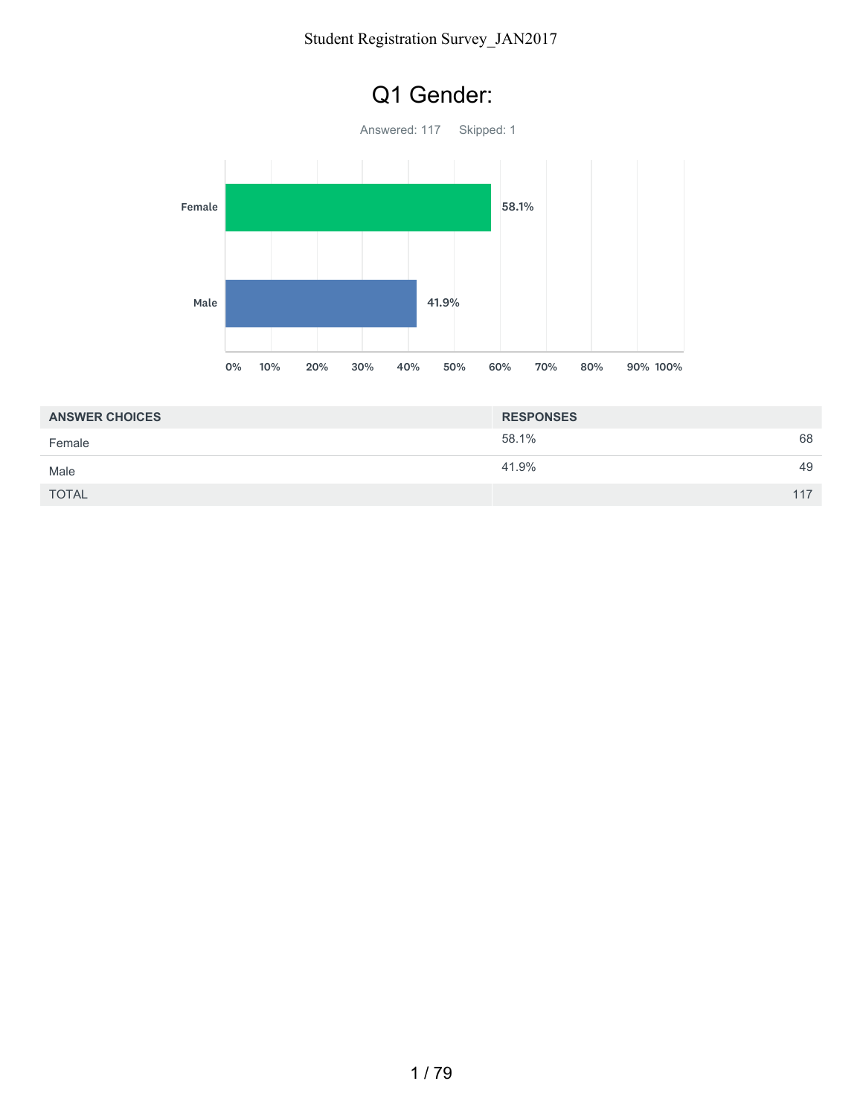

| <b>ANSWER CHOICES</b> | <b>RESPONSES</b> |     |
|-----------------------|------------------|-----|
| Female                | 58.1%            | 68  |
| Male                  | 41.9%            | 49  |
| <b>TOTAL</b>          |                  | 117 |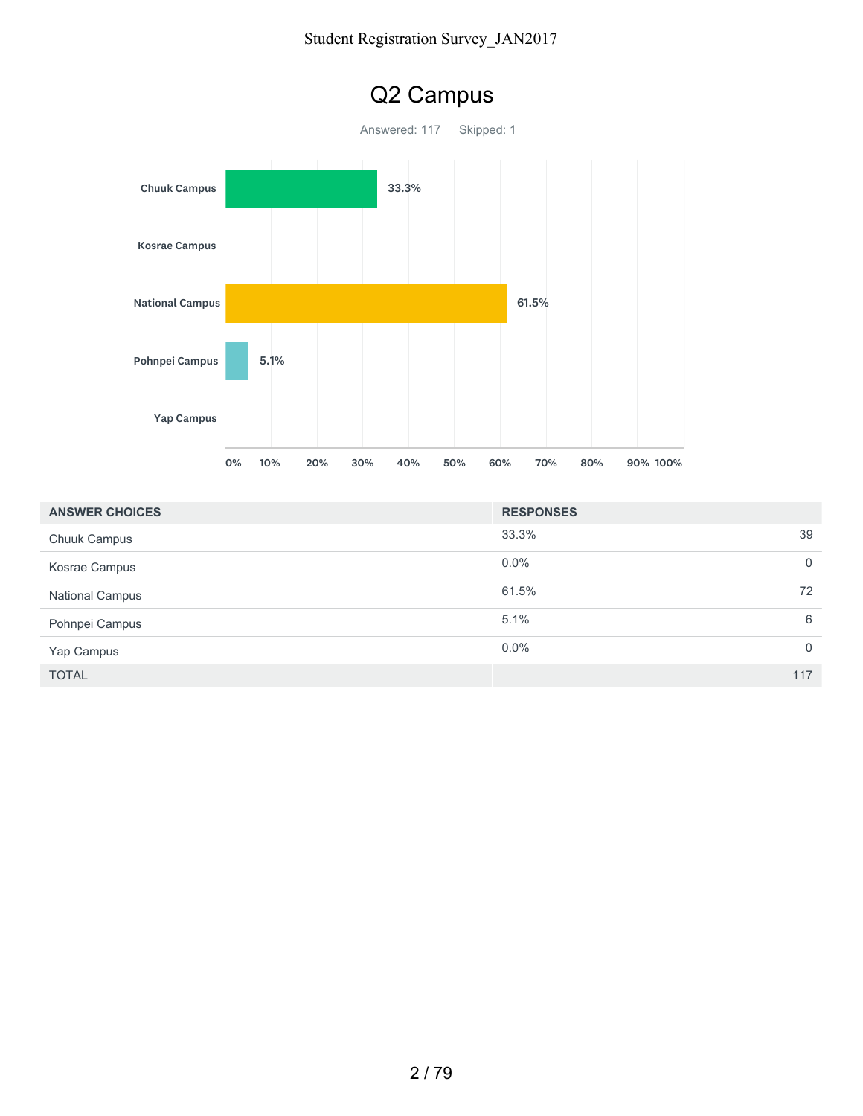

| <b>ANSWER CHOICES</b>  | <b>RESPONSES</b> |                |
|------------------------|------------------|----------------|
| <b>Chuuk Campus</b>    | 33.3%            | 39             |
| Kosrae Campus          | $0.0\%$          | $\mathbf 0$    |
| <b>National Campus</b> | 61.5%            | 72             |
| Pohnpei Campus         | 5.1%             | 6              |
| Yap Campus             | 0.0%             | $\overline{0}$ |
| <b>TOTAL</b>           |                  | 117            |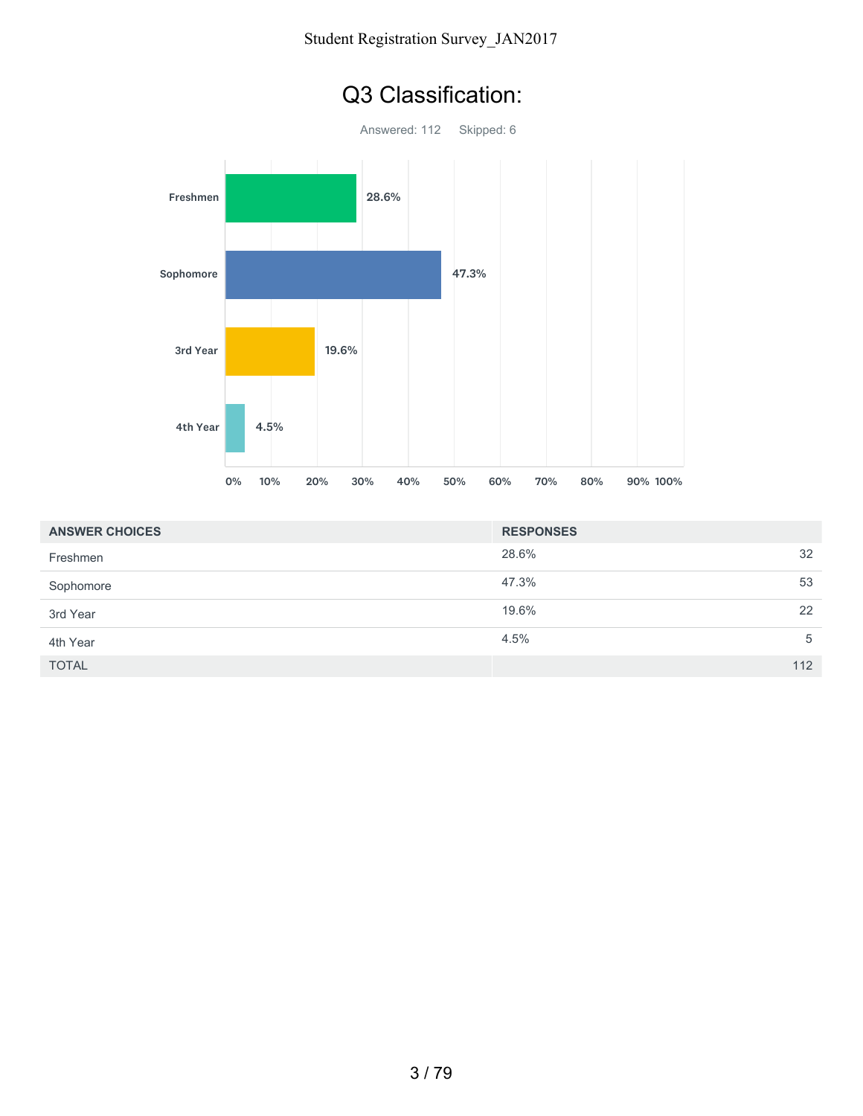

| <b>ANSWER CHOICES</b> | <b>RESPONSES</b> |     |
|-----------------------|------------------|-----|
| Freshmen              | 28.6%            | 32  |
| Sophomore             | 47.3%            | 53  |
| 3rd Year              | 19.6%            | 22  |
| 4th Year              | 4.5%             | 5   |
| <b>TOTAL</b>          |                  | 112 |

### Q3 Classification: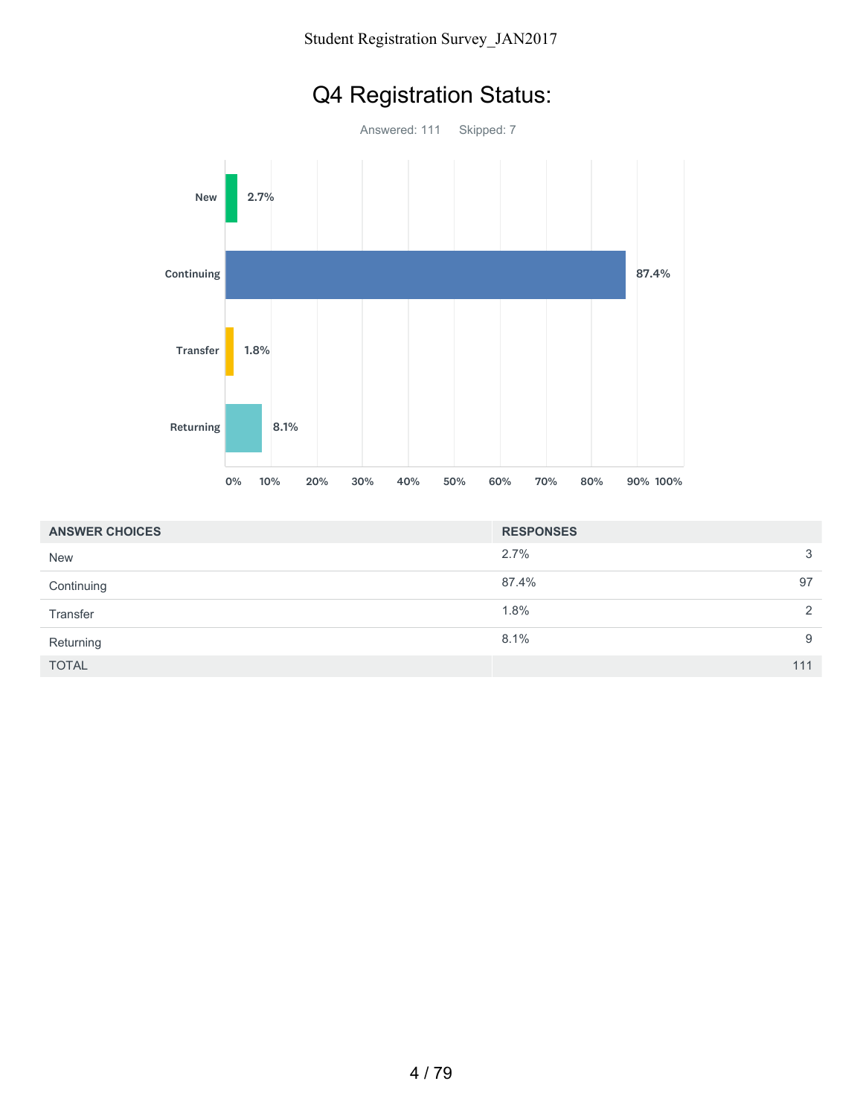## Q4 Registration Status:



| <b>ANSWER CHOICES</b> | <b>RESPONSES</b> |              |
|-----------------------|------------------|--------------|
| <b>New</b>            | 2.7%             | $\mathbf{3}$ |
| Continuing            | 87.4%            | 97           |
| Transfer              | 1.8%             | 2            |
| Returning             | 8.1%             | 9            |
| <b>TOTAL</b>          |                  | 111          |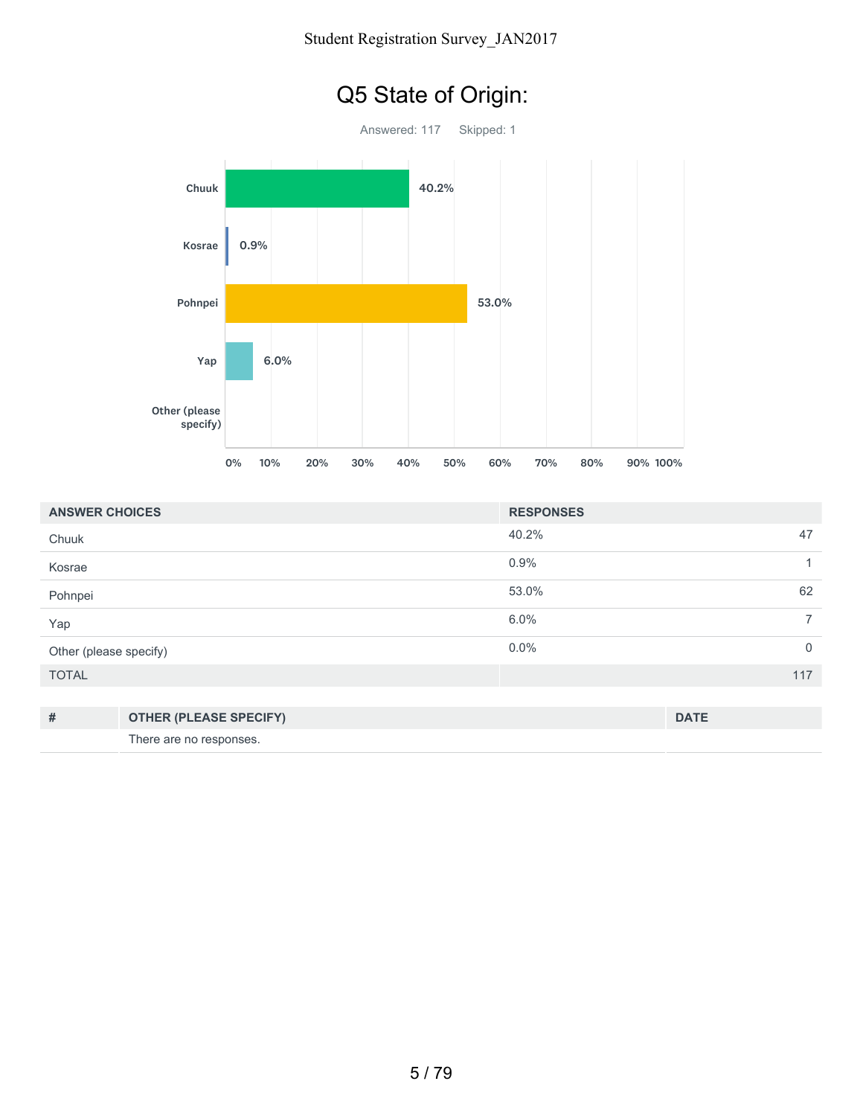

| <b>ANSWER CHOICES</b>  |                               | <b>RESPONSES</b> |                |
|------------------------|-------------------------------|------------------|----------------|
| Chuuk                  |                               | 40.2%            | 47             |
| Kosrae                 |                               | 0.9%             | 1              |
| Pohnpei                |                               | 53.0%            | 62             |
| Yap                    |                               | 6.0%             | $\overline{7}$ |
| Other (please specify) |                               | 0.0%             | $\mathbf 0$    |
| <b>TOTAL</b>           |                               |                  | 117            |
|                        |                               |                  |                |
| #                      | <b>OTHER (PLEASE SPECIFY)</b> |                  | <b>DATE</b>    |
|                        | There are no responses.       |                  |                |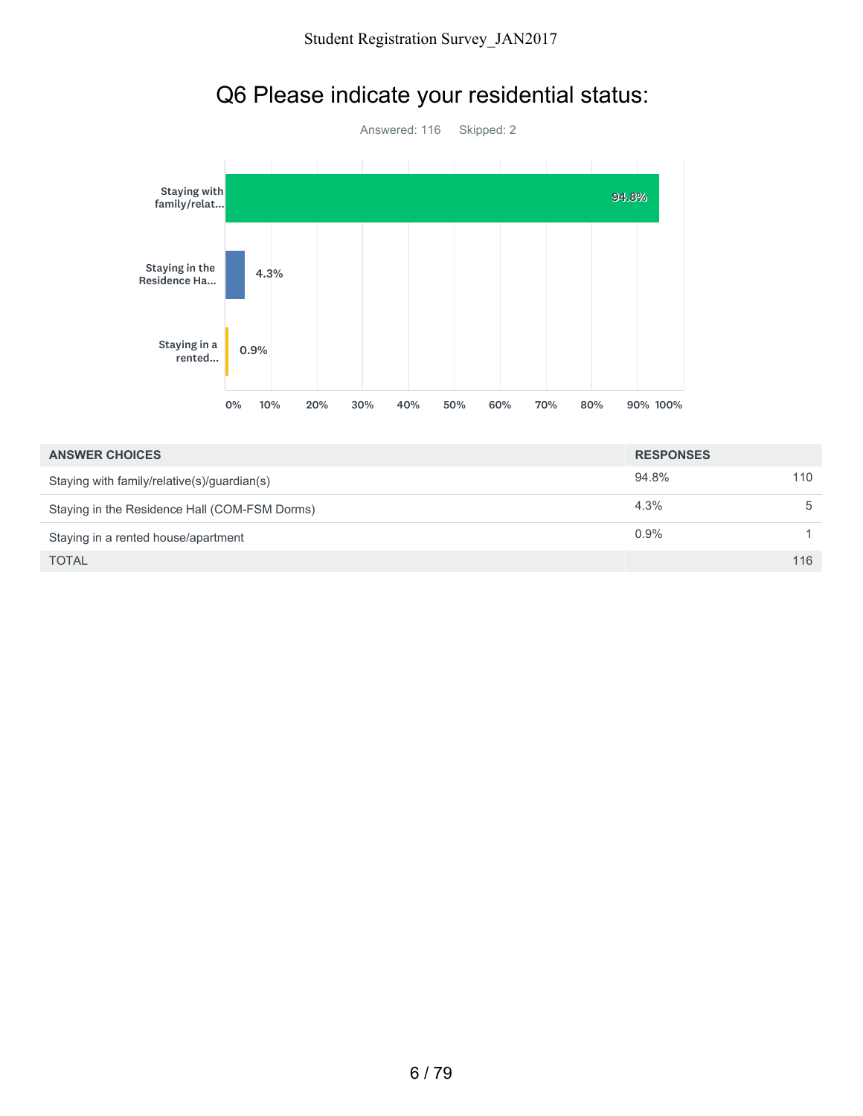

## Q6 Please indicate your residential status:

| <b>ANSWER CHOICES</b>                         | <b>RESPONSES</b> |     |
|-----------------------------------------------|------------------|-----|
| Staying with family/relative(s)/guardian(s)   | 94.8%            | 110 |
| Staying in the Residence Hall (COM-FSM Dorms) | 4.3%             | 5   |
| Staying in a rented house/apartment           | 0.9%             |     |
| <b>TOTAL</b>                                  |                  | 116 |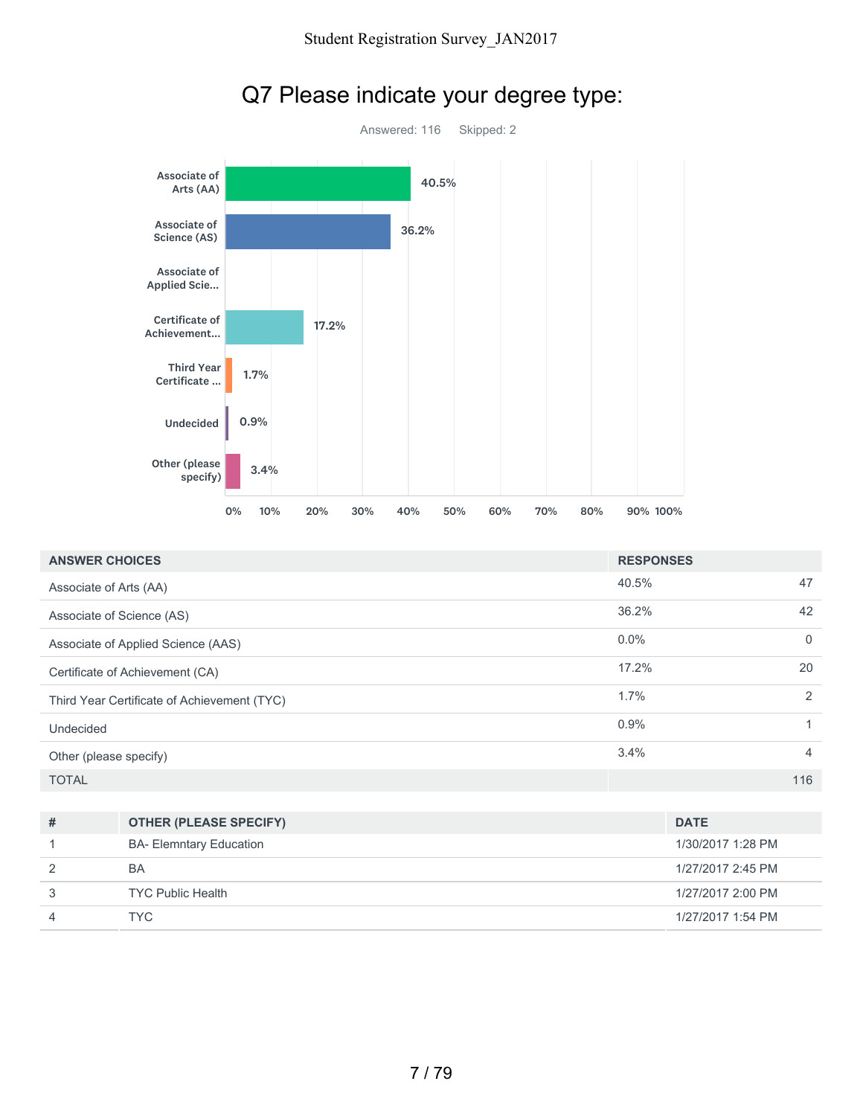

# Q7 Please indicate your degree type:

| <b>ANSWER CHOICES</b>                       | <b>RESPONSES</b> |              |
|---------------------------------------------|------------------|--------------|
| Associate of Arts (AA)                      | 40.5%            | 47           |
| Associate of Science (AS)                   | 36.2%            | 42           |
| Associate of Applied Science (AAS)          | $0.0\%$          | $\mathbf{0}$ |
| Certificate of Achievement (CA)             | 17.2%            | 20           |
| Third Year Certificate of Achievement (TYC) | $1.7\%$          | 2            |
| Undecided                                   | 0.9%             |              |
| Other (please specify)                      | 3.4%             | 4            |
| <b>TOTAL</b>                                |                  | 116          |

| # | <b>OTHER (PLEASE SPECIFY)</b>  | <b>DATE</b>       |
|---|--------------------------------|-------------------|
|   | <b>BA- Elemntary Education</b> | 1/30/2017 1:28 PM |
| 2 | BA                             | 1/27/2017 2:45 PM |
| 3 | <b>TYC Public Health</b>       | 1/27/2017 2:00 PM |
| 4 | TYC.                           | 1/27/2017 1:54 PM |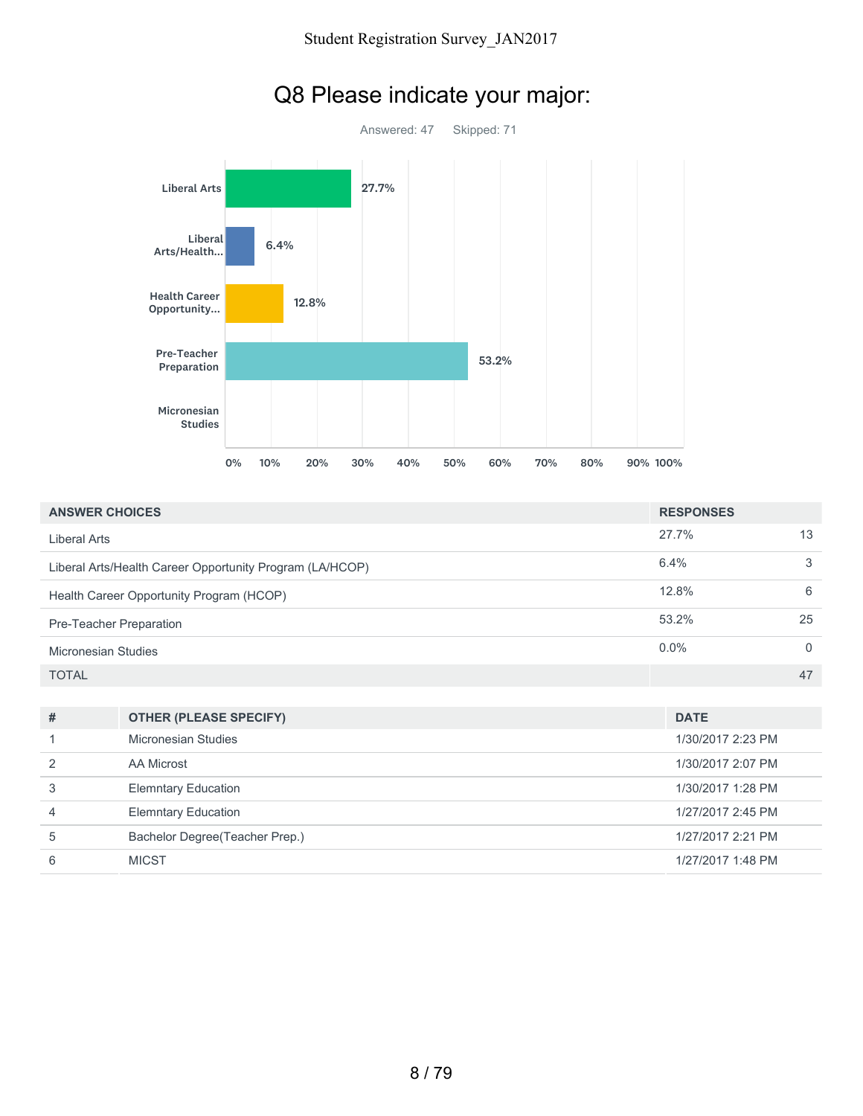

# Q8 Please indicate your major:

| <b>ANSWER CHOICES</b>                                    | <b>RESPONSES</b> |    |
|----------------------------------------------------------|------------------|----|
| Liberal Arts                                             | 27.7%            | 13 |
| Liberal Arts/Health Career Opportunity Program (LA/HCOP) | 6.4%             | 3  |
| Health Career Opportunity Program (HCOP)                 | 12.8%            | 6  |
| Pre-Teacher Preparation                                  | 53.2%            | 25 |
| Micronesian Studies                                      | $0.0\%$          |    |
| <b>TOTAL</b>                                             |                  | 47 |

| #             | <b>OTHER (PLEASE SPECIFY)</b>  | <b>DATE</b>       |
|---------------|--------------------------------|-------------------|
|               | Micronesian Studies            | 1/30/2017 2:23 PM |
| $\mathcal{P}$ | AA Microst                     | 1/30/2017 2:07 PM |
| 3             | <b>Elemntary Education</b>     | 1/30/2017 1:28 PM |
| 4             | <b>Elemntary Education</b>     | 1/27/2017 2:45 PM |
| 5             | Bachelor Degree(Teacher Prep.) | 1/27/2017 2:21 PM |
| 6             | <b>MICST</b>                   | 1/27/2017 1:48 PM |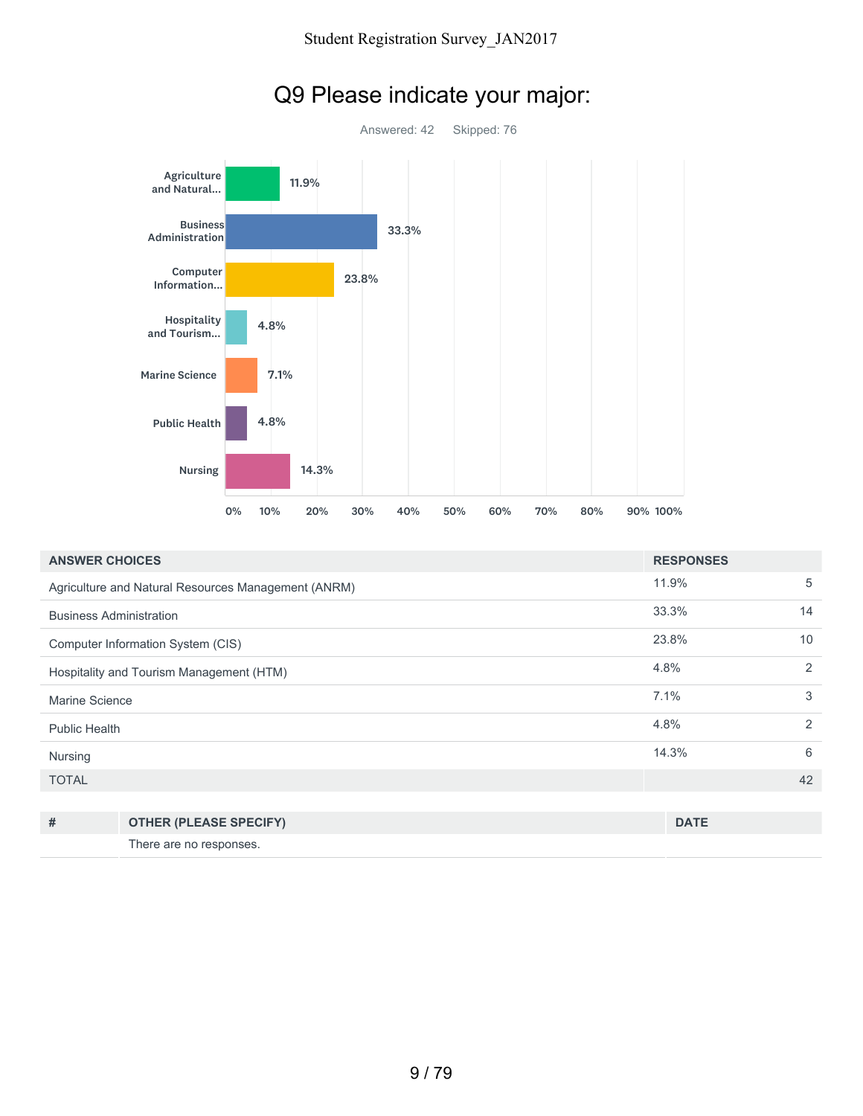

# Q9 Please indicate your major:

| <b>ANSWER CHOICES</b>                    |                                                     | <b>RESPONSES</b> |    |
|------------------------------------------|-----------------------------------------------------|------------------|----|
|                                          | Agriculture and Natural Resources Management (ANRM) | 11.9%            | 5  |
| <b>Business Administration</b>           |                                                     | 33.3%            | 14 |
| Computer Information System (CIS)        |                                                     | 23.8%            | 10 |
| Hospitality and Tourism Management (HTM) |                                                     | 4.8%             | 2  |
| Marine Science                           |                                                     | 7.1%             | 3  |
| Public Health                            |                                                     | 4.8%             | 2  |
| Nursing                                  |                                                     | 14.3%            | 6  |
| <b>TOTAL</b>                             |                                                     |                  | 42 |
|                                          |                                                     |                  |    |
| #                                        | <b>OTHER (PLEASE SPECIFY)</b>                       | <b>DATE</b>      |    |

There are no responses.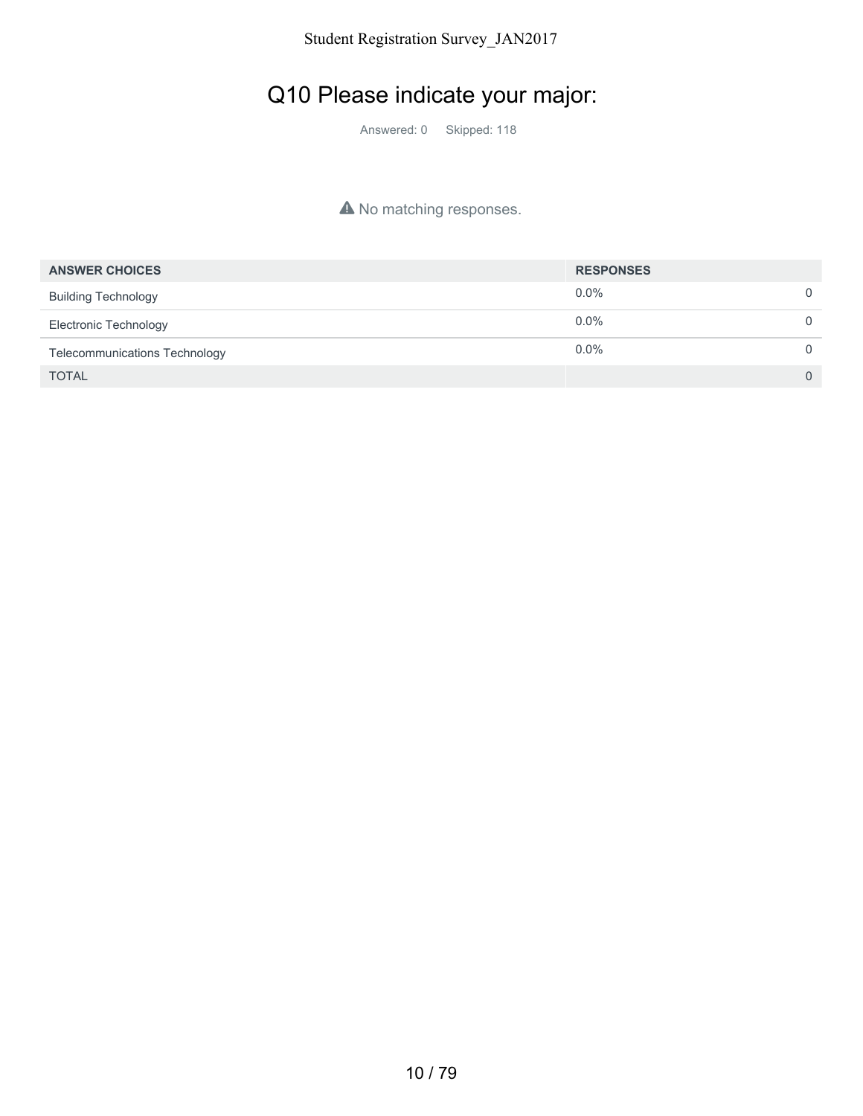## Q10 Please indicate your major:

Answered: 0 Skipped: 118

#### A No matching responses.

| <b>ANSWER CHOICES</b>                | <b>RESPONSES</b> |                |
|--------------------------------------|------------------|----------------|
| <b>Building Technology</b>           | $0.0\%$          | $\Omega$       |
| Electronic Technology                | $0.0\%$          | $\Omega$       |
| <b>Telecommunications Technology</b> | $0.0\%$          | $\Omega$       |
| <b>TOTAL</b>                         |                  | $\overline{0}$ |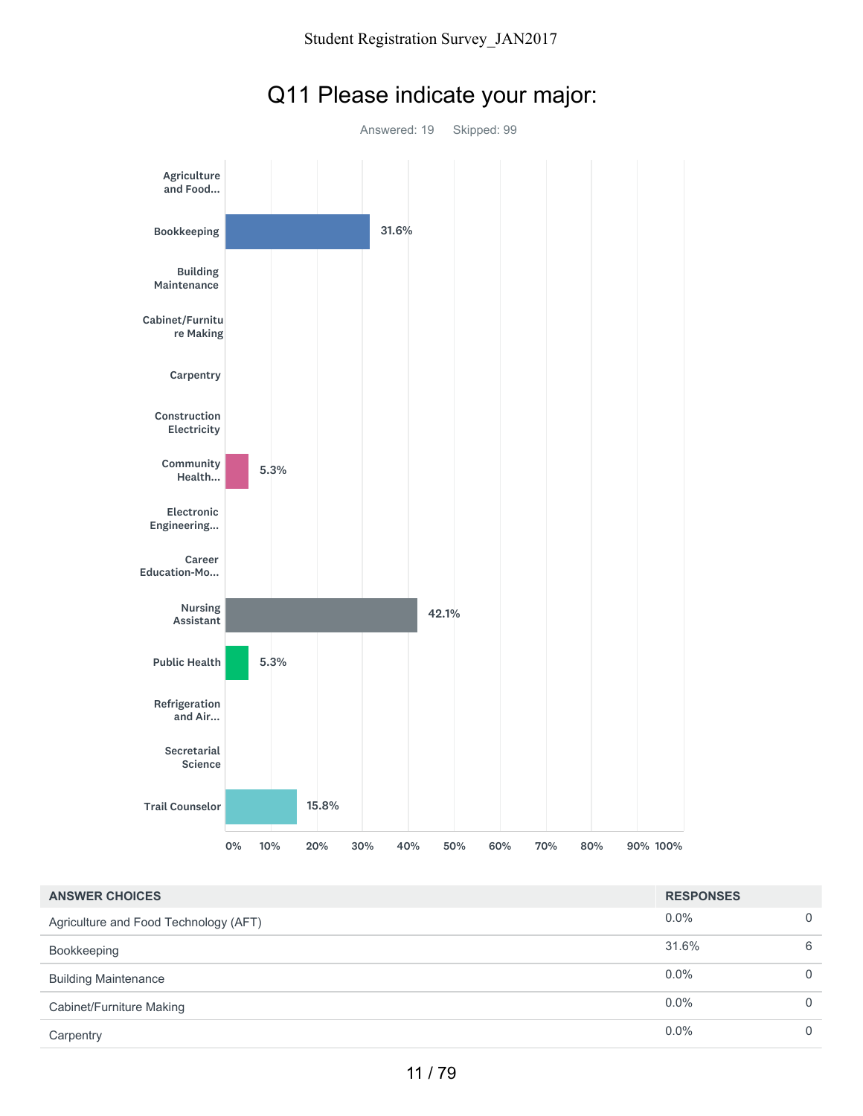

## Q11 Please indicate your major:

| <b>ANSWER CHOICES</b>                 | <b>RESPONSES</b> |          |
|---------------------------------------|------------------|----------|
| Agriculture and Food Technology (AFT) | $0.0\%$          | $\Omega$ |
| Bookkeeping                           | 31.6%            | 6        |
| <b>Building Maintenance</b>           | $0.0\%$          | $\Omega$ |
| Cabinet/Furniture Making              | $0.0\%$          | $\Omega$ |
| Carpentry                             | 0.0%             | $\Omega$ |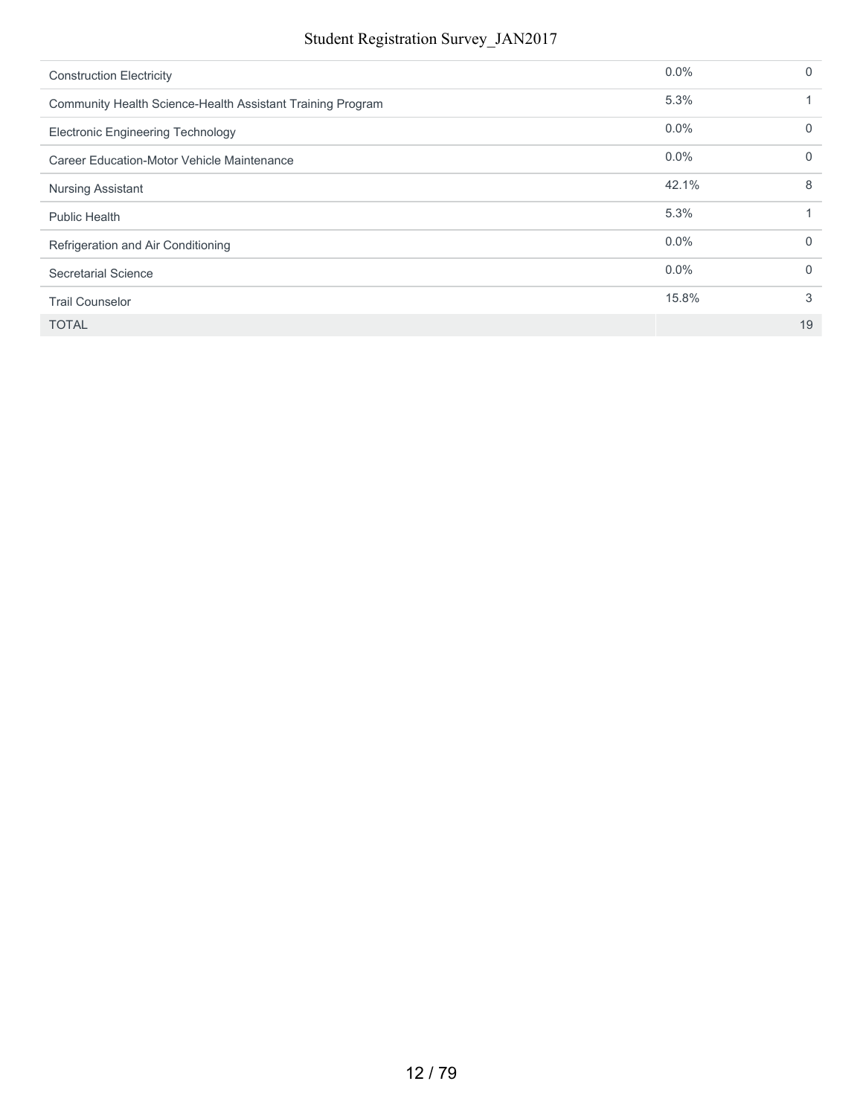| <b>Construction Electricity</b>                            | $0.0\%$ | $\Omega$ |
|------------------------------------------------------------|---------|----------|
| Community Health Science-Health Assistant Training Program | 5.3%    |          |
| <b>Electronic Engineering Technology</b>                   | 0.0%    | $\Omega$ |
| Career Education-Motor Vehicle Maintenance                 | $0.0\%$ | 0        |
| <b>Nursing Assistant</b>                                   | 42.1%   | 8        |
| <b>Public Health</b>                                       | 5.3%    |          |
| Refrigeration and Air Conditioning                         | 0.0%    | $\Omega$ |
| Secretarial Science                                        | $0.0\%$ | $\Omega$ |
| <b>Trail Counselor</b>                                     | 15.8%   | 3        |
| <b>TOTAL</b>                                               |         | 19       |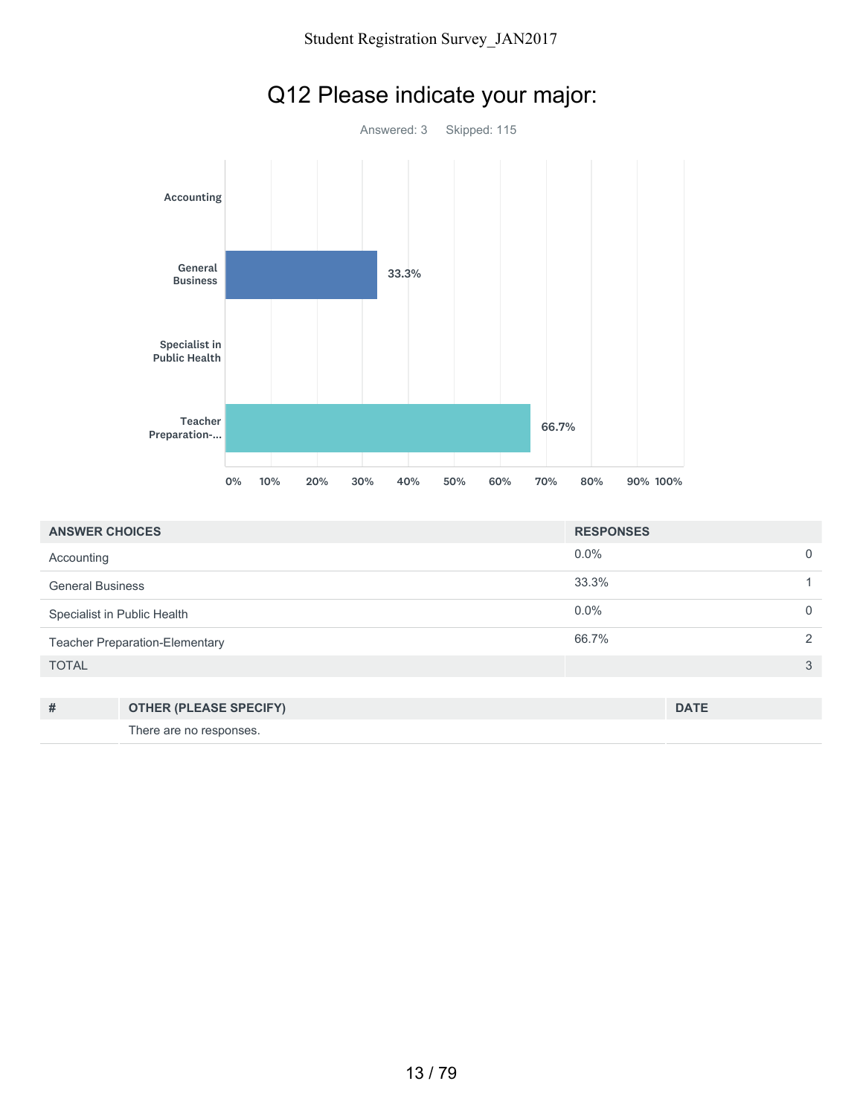

| <b>ANSWER CHOICES</b>                 | <b>RESPONSES</b> |               |
|---------------------------------------|------------------|---------------|
| Accounting                            | $0.0\%$          | $\Omega$      |
| <b>General Business</b>               | 33.3%            |               |
| Specialist in Public Health           | $0.0\%$          | $\Omega$      |
| <b>Teacher Preparation-Elementary</b> | 66.7%            | $\mathcal{P}$ |
| <b>TOTAL</b>                          |                  | 3             |
|                                       |                  |               |

| # | <b>OTHER (PLEASE SPECIFY)</b> | <b>DATE</b> |
|---|-------------------------------|-------------|
|   | There are no responses.       |             |

## Q12 Please indicate your major: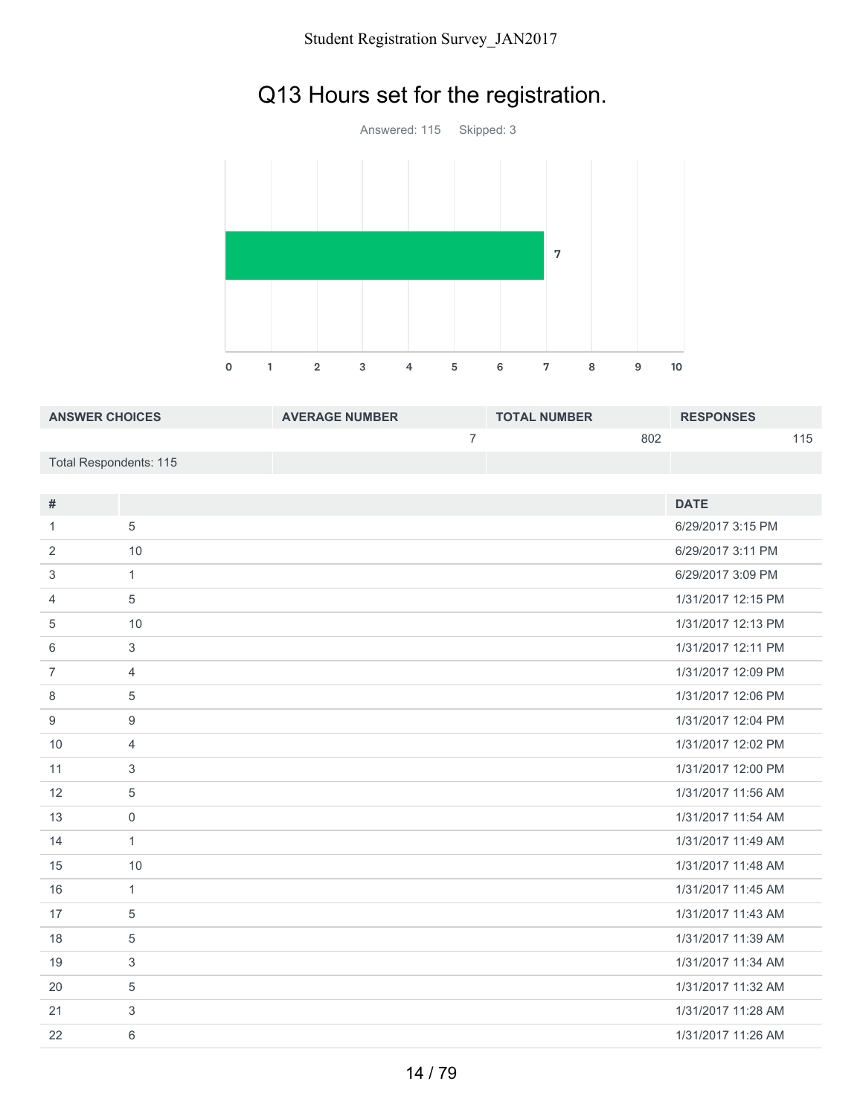# Q13 Hours set for the registration.



| <b>ANSWER CHOICES</b>  | <b>AVERAGE NUMBER</b> | <b>TOTAL NUMBER</b> | <b>RESPONSES</b> |
|------------------------|-----------------------|---------------------|------------------|
|                        |                       | 802                 | 115              |
| Total Respondents: 115 |                       |                     |                  |

| #              |                | <b>DATE</b>        |
|----------------|----------------|--------------------|
| 1              | 5              | 6/29/2017 3:15 PM  |
| $\overline{2}$ | 10             | 6/29/2017 3:11 PM  |
| 3              | $\mathbf{1}$   | 6/29/2017 3:09 PM  |
| 4              | 5              | 1/31/2017 12:15 PM |
| 5              | 10             | 1/31/2017 12:13 PM |
| 6              | 3              | 1/31/2017 12:11 PM |
| $\overline{7}$ | $\overline{4}$ | 1/31/2017 12:09 PM |
| 8              | 5              | 1/31/2017 12:06 PM |
| 9              | 9              | 1/31/2017 12:04 PM |
| 10             | $\overline{4}$ | 1/31/2017 12:02 PM |
| 11             | 3              | 1/31/2017 12:00 PM |
| 12             | 5              | 1/31/2017 11:56 AM |
| 13             | $\mathbf 0$    | 1/31/2017 11:54 AM |
| 14             | $\mathbf{1}$   | 1/31/2017 11:49 AM |
| 15             | 10             | 1/31/2017 11:48 AM |
| 16             | $\mathbf{1}$   | 1/31/2017 11:45 AM |
| 17             | 5              | 1/31/2017 11:43 AM |
| 18             | 5              | 1/31/2017 11:39 AM |
| 19             | 3              | 1/31/2017 11:34 AM |
| 20             | 5              | 1/31/2017 11:32 AM |
| 21             | 3              | 1/31/2017 11:28 AM |
| 22             | 6              | 1/31/2017 11:26 AM |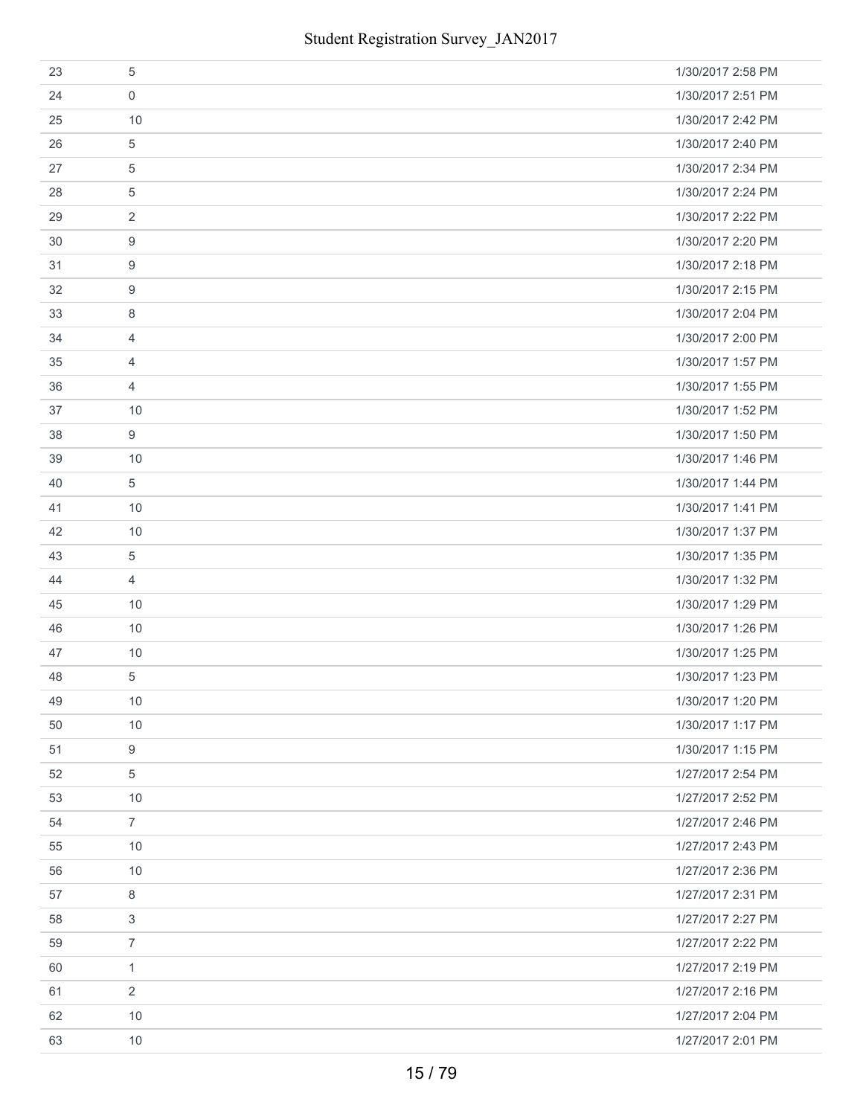| 23 | 5              | 1/30/2017 2:58 PM |
|----|----------------|-------------------|
| 24 | $\mathbf 0$    | 1/30/2017 2:51 PM |
| 25 | 10             | 1/30/2017 2:42 PM |
| 26 | $\overline{5}$ | 1/30/2017 2:40 PM |
| 27 | $\overline{5}$ | 1/30/2017 2:34 PM |
| 28 | 5              | 1/30/2017 2:24 PM |
| 29 | $\overline{2}$ | 1/30/2017 2:22 PM |
| 30 | 9              | 1/30/2017 2:20 PM |
| 31 | 9              | 1/30/2017 2:18 PM |
| 32 | 9              | 1/30/2017 2:15 PM |
| 33 | 8              | 1/30/2017 2:04 PM |
| 34 | 4              | 1/30/2017 2:00 PM |
| 35 | $\overline{4}$ | 1/30/2017 1:57 PM |
| 36 | $\overline{4}$ | 1/30/2017 1:55 PM |
| 37 | 10             | 1/30/2017 1:52 PM |
| 38 | 9              | 1/30/2017 1:50 PM |
| 39 | 10             | 1/30/2017 1:46 PM |
| 40 | $\overline{5}$ | 1/30/2017 1:44 PM |
| 41 | 10             | 1/30/2017 1:41 PM |
| 42 | 10             | 1/30/2017 1:37 PM |
| 43 | $\overline{5}$ | 1/30/2017 1:35 PM |
| 44 | $\overline{4}$ | 1/30/2017 1:32 PM |
| 45 | 10             | 1/30/2017 1:29 PM |
| 46 | 10             | 1/30/2017 1:26 PM |
| 47 | 10             | 1/30/2017 1:25 PM |
| 48 | $\sqrt{5}$     | 1/30/2017 1:23 PM |
| 49 | 10             | 1/30/2017 1:20 PM |
| 50 | 10             | 1/30/2017 1:17 PM |
| 51 | 9              | 1/30/2017 1:15 PM |
| 52 | 5              | 1/27/2017 2:54 PM |
| 53 | 10             | 1/27/2017 2:52 PM |
| 54 | $\overline{7}$ | 1/27/2017 2:46 PM |
| 55 | 10             | 1/27/2017 2:43 PM |
| 56 | 10             | 1/27/2017 2:36 PM |
| 57 | 8              | 1/27/2017 2:31 PM |
| 58 | 3              | 1/27/2017 2:27 PM |
| 59 | $\overline{7}$ | 1/27/2017 2:22 PM |
| 60 | $\mathbf{1}$   | 1/27/2017 2:19 PM |
| 61 | $\overline{2}$ | 1/27/2017 2:16 PM |
| 62 | 10             | 1/27/2017 2:04 PM |
| 63 | 10             | 1/27/2017 2:01 PM |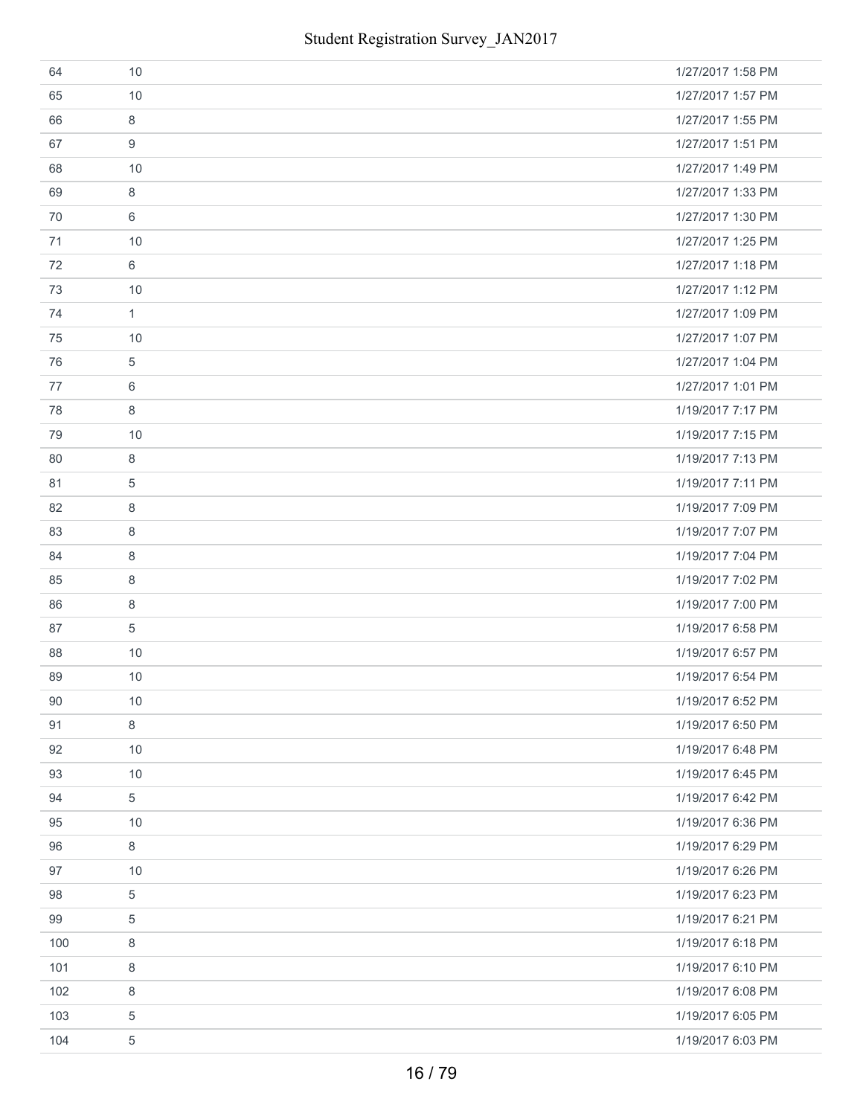| 64  | 10           | 1/27/2017 1:58 PM |
|-----|--------------|-------------------|
| 65  | 10           | 1/27/2017 1:57 PM |
| 66  | 8            | 1/27/2017 1:55 PM |
| 67  | 9            | 1/27/2017 1:51 PM |
| 68  | 10           | 1/27/2017 1:49 PM |
| 69  | 8            | 1/27/2017 1:33 PM |
| 70  | 6            | 1/27/2017 1:30 PM |
| 71  | 10           | 1/27/2017 1:25 PM |
| 72  | 6            | 1/27/2017 1:18 PM |
| 73  | 10           | 1/27/2017 1:12 PM |
| 74  | $\mathbf{1}$ | 1/27/2017 1:09 PM |
| 75  | 10           | 1/27/2017 1:07 PM |
| 76  | 5            | 1/27/2017 1:04 PM |
| 77  | 6            | 1/27/2017 1:01 PM |
| 78  | 8            | 1/19/2017 7:17 PM |
| 79  | 10           | 1/19/2017 7:15 PM |
| 80  | 8            | 1/19/2017 7:13 PM |
| 81  | 5            | 1/19/2017 7:11 PM |
| 82  | 8            | 1/19/2017 7:09 PM |
| 83  | 8            | 1/19/2017 7:07 PM |
| 84  | 8            | 1/19/2017 7:04 PM |
| 85  | 8            | 1/19/2017 7:02 PM |
| 86  | 8            | 1/19/2017 7:00 PM |
| 87  | 5            | 1/19/2017 6:58 PM |
| 88  | 10           | 1/19/2017 6:57 PM |
| 89  | 10           | 1/19/2017 6:54 PM |
| 90  | 10           | 1/19/2017 6:52 PM |
| 91  | 8            | 1/19/2017 6:50 PM |
| 92  | 10           | 1/19/2017 6:48 PM |
| 93  | 10           | 1/19/2017 6:45 PM |
| 94  | 5            | 1/19/2017 6:42 PM |
| 95  | 10           | 1/19/2017 6:36 PM |
| 96  | 8            | 1/19/2017 6:29 PM |
| 97  | 10           | 1/19/2017 6:26 PM |
| 98  | 5            | 1/19/2017 6:23 PM |
| 99  | 5            | 1/19/2017 6:21 PM |
| 100 | 8            | 1/19/2017 6:18 PM |
| 101 | 8            | 1/19/2017 6:10 PM |
| 102 | $\,8\,$      | 1/19/2017 6:08 PM |
| 103 | 5            | 1/19/2017 6:05 PM |
| 104 | 5            | 1/19/2017 6:03 PM |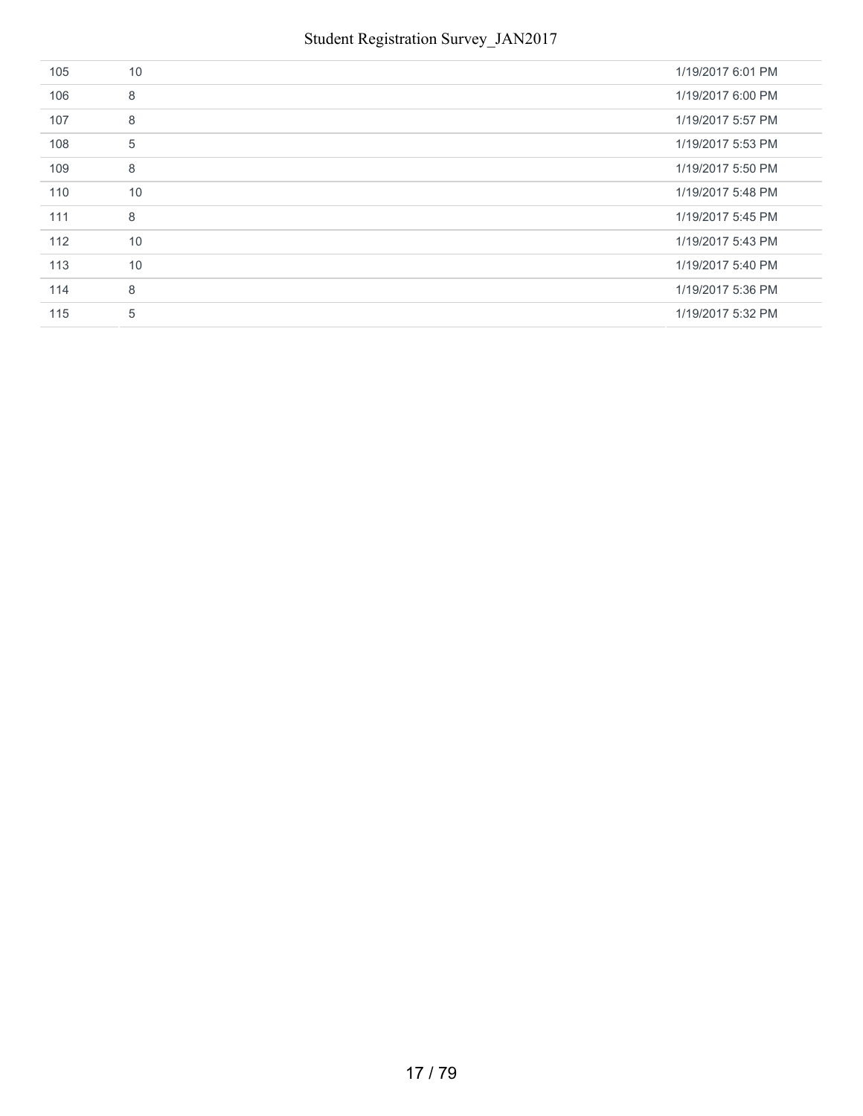| 105 | 10 | 1/19/2017 6:01 PM |
|-----|----|-------------------|
| 106 | 8  | 1/19/2017 6:00 PM |
| 107 | 8  | 1/19/2017 5:57 PM |
| 108 | 5  | 1/19/2017 5:53 PM |
| 109 | 8  | 1/19/2017 5:50 PM |
| 110 | 10 | 1/19/2017 5:48 PM |
| 111 | 8  | 1/19/2017 5:45 PM |
| 112 | 10 | 1/19/2017 5:43 PM |
| 113 | 10 | 1/19/2017 5:40 PM |
| 114 | 8  | 1/19/2017 5:36 PM |
| 115 | 5  | 1/19/2017 5:32 PM |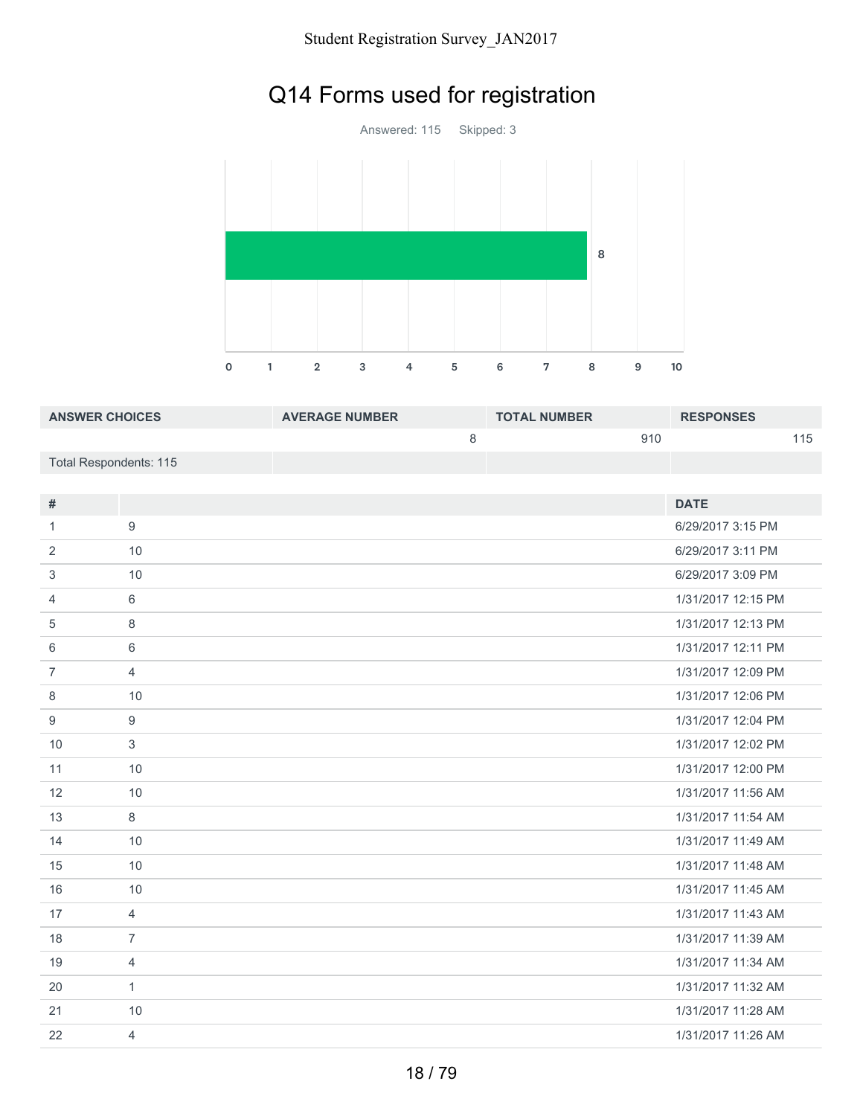# Q14 Forms used for registration

Answered: 115 Skipped: 3 1 2 3 4 5 6 7 8 9 10 

| <b>ANSWER CHOICES</b>  | <b>AVERAGE NUMBER</b> | <b>TOTAL NUMBER</b> | <b>RESPONSES</b> |
|------------------------|-----------------------|---------------------|------------------|
|                        |                       | 910                 | 115              |
| Total Respondents: 115 |                       |                     |                  |

| $\#$           |                | <b>DATE</b>        |
|----------------|----------------|--------------------|
|                |                |                    |
| 1              | 9              | 6/29/2017 3:15 PM  |
| 2              | 10             | 6/29/2017 3:11 PM  |
| 3              | 10             | 6/29/2017 3:09 PM  |
| $\overline{4}$ | 6              | 1/31/2017 12:15 PM |
| 5              | $\,8\,$        | 1/31/2017 12:13 PM |
| 6              | 6              | 1/31/2017 12:11 PM |
| $\overline{7}$ | $\overline{4}$ | 1/31/2017 12:09 PM |
| 8              | 10             | 1/31/2017 12:06 PM |
| 9              | 9              | 1/31/2017 12:04 PM |
| 10             | $\mathfrak{S}$ | 1/31/2017 12:02 PM |
| 11             | 10             | 1/31/2017 12:00 PM |
| 12             | 10             | 1/31/2017 11:56 AM |
| 13             | 8              | 1/31/2017 11:54 AM |
| 14             | 10             | 1/31/2017 11:49 AM |
| 15             | 10             | 1/31/2017 11:48 AM |
| 16             | 10             | 1/31/2017 11:45 AM |
| 17             | $\overline{4}$ | 1/31/2017 11:43 AM |
| 18             | $\overline{7}$ | 1/31/2017 11:39 AM |
| 19             | $\overline{4}$ | 1/31/2017 11:34 AM |
| 20             | $\mathbf{1}$   | 1/31/2017 11:32 AM |
| 21             | 10             | 1/31/2017 11:28 AM |
| 22             | 4              | 1/31/2017 11:26 AM |
|                |                |                    |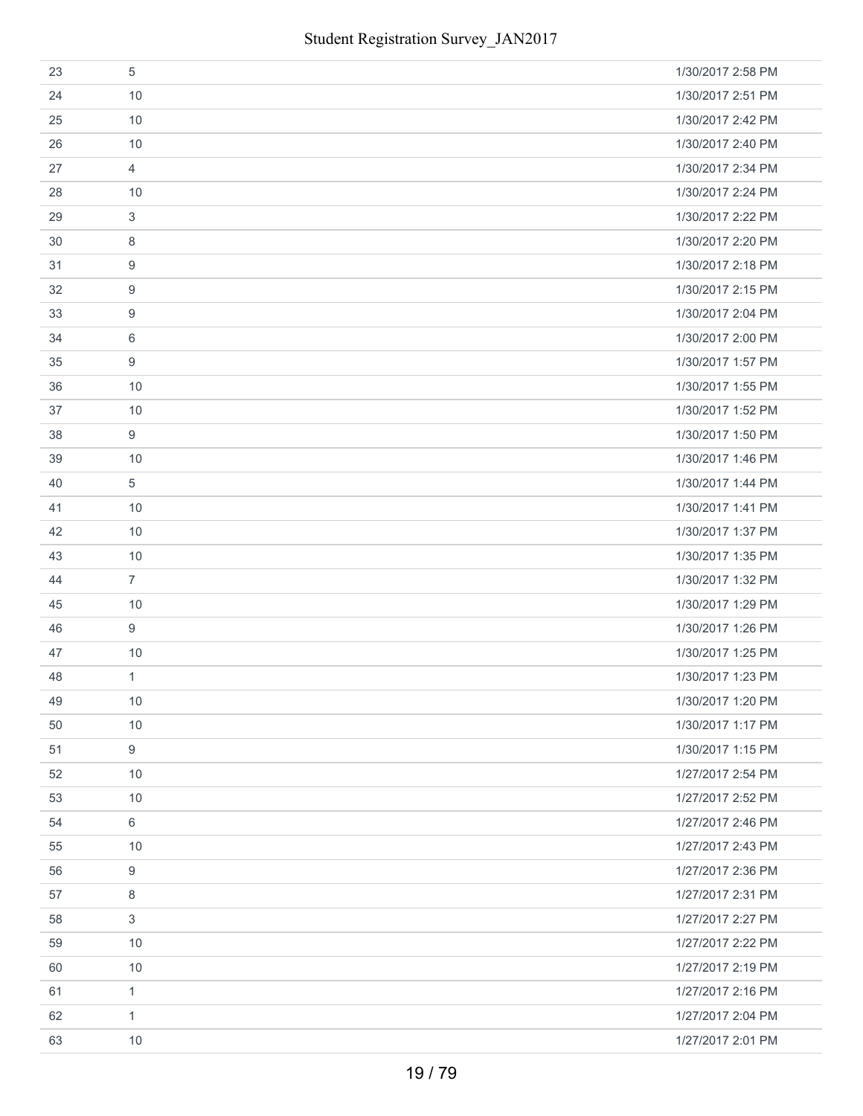| 23 | 5              | 1/30/2017 2:58 PM |
|----|----------------|-------------------|
| 24 | 10             | 1/30/2017 2:51 PM |
| 25 | 10             | 1/30/2017 2:42 PM |
| 26 | 10             | 1/30/2017 2:40 PM |
| 27 | $\overline{4}$ | 1/30/2017 2:34 PM |
| 28 | 10             | 1/30/2017 2:24 PM |
| 29 | 3              | 1/30/2017 2:22 PM |
| 30 | 8              | 1/30/2017 2:20 PM |
| 31 | 9              | 1/30/2017 2:18 PM |
| 32 | 9              | 1/30/2017 2:15 PM |
| 33 | 9              | 1/30/2017 2:04 PM |
| 34 | 6              | 1/30/2017 2:00 PM |
| 35 | 9              | 1/30/2017 1:57 PM |
| 36 | 10             | 1/30/2017 1:55 PM |
| 37 | 10             | 1/30/2017 1:52 PM |
| 38 | 9              | 1/30/2017 1:50 PM |
| 39 | 10             | 1/30/2017 1:46 PM |
| 40 | 5              | 1/30/2017 1:44 PM |
| 41 | 10             | 1/30/2017 1:41 PM |
| 42 | 10             | 1/30/2017 1:37 PM |
| 43 | 10             | 1/30/2017 1:35 PM |
| 44 | $\overline{7}$ | 1/30/2017 1:32 PM |
| 45 | 10             | 1/30/2017 1:29 PM |
| 46 | 9              | 1/30/2017 1:26 PM |
| 47 | 10             | 1/30/2017 1:25 PM |
| 48 | 1              | 1/30/2017 1:23 PM |
| 49 | 10             | 1/30/2017 1:20 PM |
| 50 | 10             | 1/30/2017 1:17 PM |
| 51 | 9              | 1/30/2017 1:15 PM |
| 52 | 10             | 1/27/2017 2:54 PM |
| 53 | 10             | 1/27/2017 2:52 PM |
| 54 | $6\,$          | 1/27/2017 2:46 PM |
| 55 | 10             | 1/27/2017 2:43 PM |
| 56 | 9              | 1/27/2017 2:36 PM |
| 57 | 8              | 1/27/2017 2:31 PM |
| 58 | 3              | 1/27/2017 2:27 PM |
| 59 | 10             | 1/27/2017 2:22 PM |
| 60 | 10             | 1/27/2017 2:19 PM |
| 61 | $\mathbf{1}$   | 1/27/2017 2:16 PM |
| 62 | 1              | 1/27/2017 2:04 PM |
| 63 | 10             | 1/27/2017 2:01 PM |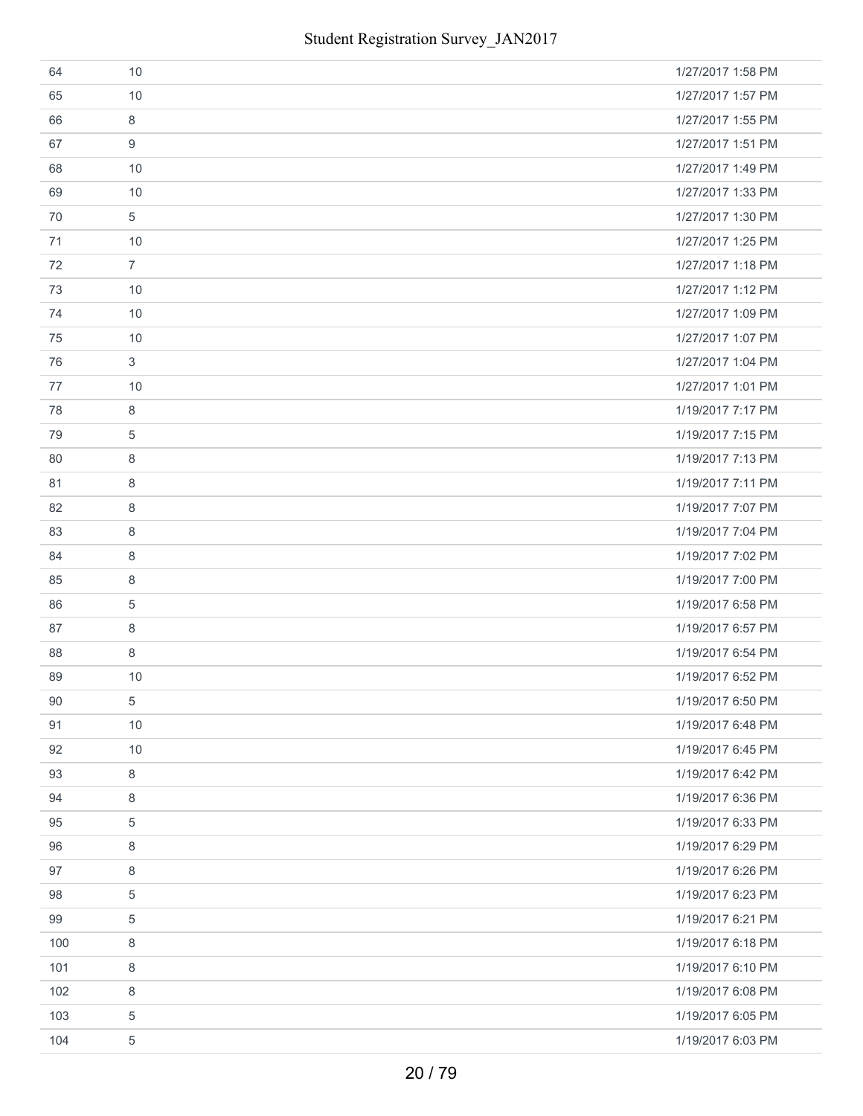| 64  | 10             | 1/27/2017 1:58 PM |
|-----|----------------|-------------------|
| 65  | 10             | 1/27/2017 1:57 PM |
| 66  | 8              | 1/27/2017 1:55 PM |
| 67  | 9              | 1/27/2017 1:51 PM |
| 68  | 10             | 1/27/2017 1:49 PM |
| 69  | 10             | 1/27/2017 1:33 PM |
| 70  | 5              | 1/27/2017 1:30 PM |
| 71  | 10             | 1/27/2017 1:25 PM |
| 72  | $\overline{7}$ | 1/27/2017 1:18 PM |
| 73  | 10             | 1/27/2017 1:12 PM |
| 74  | 10             | 1/27/2017 1:09 PM |
| 75  | 10             | 1/27/2017 1:07 PM |
| 76  | 3              | 1/27/2017 1:04 PM |
| 77  | 10             | 1/27/2017 1:01 PM |
| 78  | 8              | 1/19/2017 7:17 PM |
| 79  | 5              | 1/19/2017 7:15 PM |
| 80  | 8              | 1/19/2017 7:13 PM |
| 81  | 8              | 1/19/2017 7:11 PM |
| 82  | 8              | 1/19/2017 7:07 PM |
| 83  | 8              | 1/19/2017 7:04 PM |
| 84  | 8              | 1/19/2017 7:02 PM |
| 85  | 8              | 1/19/2017 7:00 PM |
| 86  | 5              | 1/19/2017 6:58 PM |
| 87  | 8              | 1/19/2017 6:57 PM |
| 88  | 8              | 1/19/2017 6:54 PM |
| 89  | 10             | 1/19/2017 6:52 PM |
| 90  | 5              | 1/19/2017 6:50 PM |
| 91  | 10             | 1/19/2017 6:48 PM |
| 92  | 10             | 1/19/2017 6:45 PM |
| 93  | 8              | 1/19/2017 6:42 PM |
| 94  | 8              | 1/19/2017 6:36 PM |
| 95  | $\,$ 5 $\,$    | 1/19/2017 6:33 PM |
| 96  | 8              | 1/19/2017 6:29 PM |
| 97  | 8              | 1/19/2017 6:26 PM |
| 98  | 5              | 1/19/2017 6:23 PM |
| 99  | 5              | 1/19/2017 6:21 PM |
| 100 | 8              | 1/19/2017 6:18 PM |
| 101 | 8              | 1/19/2017 6:10 PM |
| 102 | $\,8\,$        | 1/19/2017 6:08 PM |
| 103 | 5              | 1/19/2017 6:05 PM |
| 104 | 5              | 1/19/2017 6:03 PM |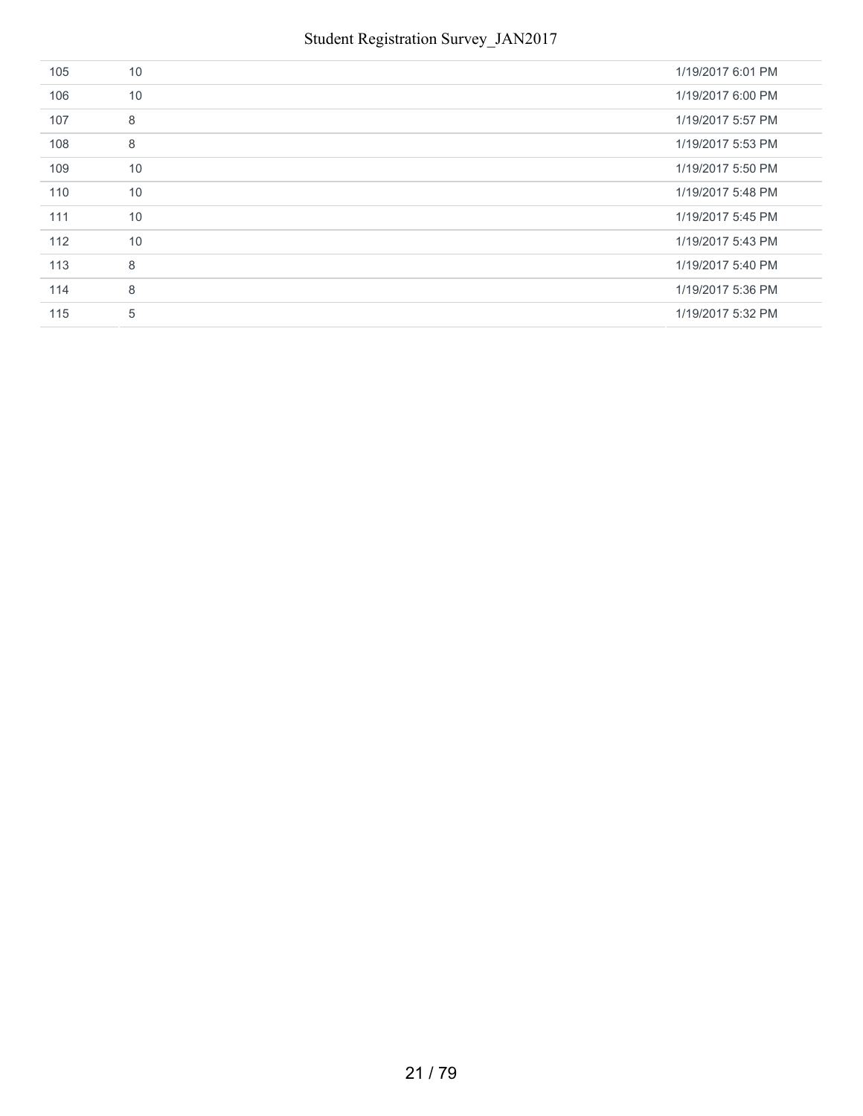| 105 | 10 | 1/19/2017 6:01 PM |
|-----|----|-------------------|
| 106 | 10 | 1/19/2017 6:00 PM |
| 107 | 8  | 1/19/2017 5:57 PM |
| 108 | 8  | 1/19/2017 5:53 PM |
| 109 | 10 | 1/19/2017 5:50 PM |
| 110 | 10 | 1/19/2017 5:48 PM |
| 111 | 10 | 1/19/2017 5:45 PM |
| 112 | 10 | 1/19/2017 5:43 PM |
| 113 | 8  | 1/19/2017 5:40 PM |
| 114 | 8  | 1/19/2017 5:36 PM |
| 115 | 5  | 1/19/2017 5:32 PM |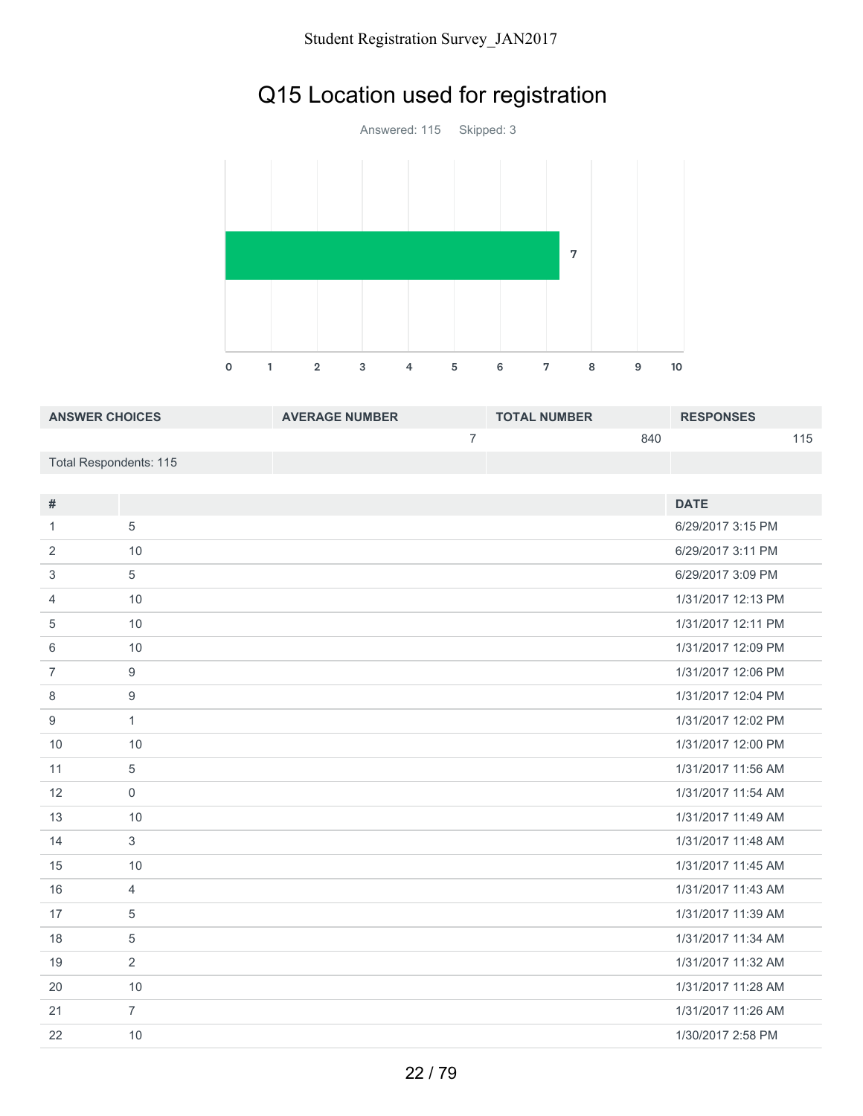# Q15 Location used for registration

Answered: 115 Skipped: 3 1 2 3 4 5 6 7 8 9 10 

| <b>ANSWER CHOICES</b>  | <b>AVERAGE NUMBER</b> | <b>TOTAL NUMBER</b> | <b>RESPONSES</b> |
|------------------------|-----------------------|---------------------|------------------|
|                        |                       | 840                 | 115              |
| Total Respondents: 115 |                       |                     |                  |

| #              |                  | <b>DATE</b>        |
|----------------|------------------|--------------------|
| 1              | 5                | 6/29/2017 3:15 PM  |
| 2              | 10               | 6/29/2017 3:11 PM  |
| 3              | 5                | 6/29/2017 3:09 PM  |
| 4              | 10               | 1/31/2017 12:13 PM |
| 5              | 10               | 1/31/2017 12:11 PM |
| 6              | 10               | 1/31/2017 12:09 PM |
| $\overline{7}$ | $\boldsymbol{9}$ | 1/31/2017 12:06 PM |
| 8              | 9                | 1/31/2017 12:04 PM |
| 9              | $\mathbf{1}$     | 1/31/2017 12:02 PM |
| 10             | 10               | 1/31/2017 12:00 PM |
| 11             | 5                | 1/31/2017 11:56 AM |
| 12             | $\mathbf 0$      | 1/31/2017 11:54 AM |
| 13             | 10               | 1/31/2017 11:49 AM |
| 14             | 3                | 1/31/2017 11:48 AM |
| 15             | 10               | 1/31/2017 11:45 AM |
| 16             | $\overline{4}$   | 1/31/2017 11:43 AM |
| 17             | 5                | 1/31/2017 11:39 AM |
| 18             | $\overline{5}$   | 1/31/2017 11:34 AM |
| 19             | 2                | 1/31/2017 11:32 AM |
| 20             | 10               | 1/31/2017 11:28 AM |
| 21             | $\overline{7}$   | 1/31/2017 11:26 AM |
| 22             | 10               | 1/30/2017 2:58 PM  |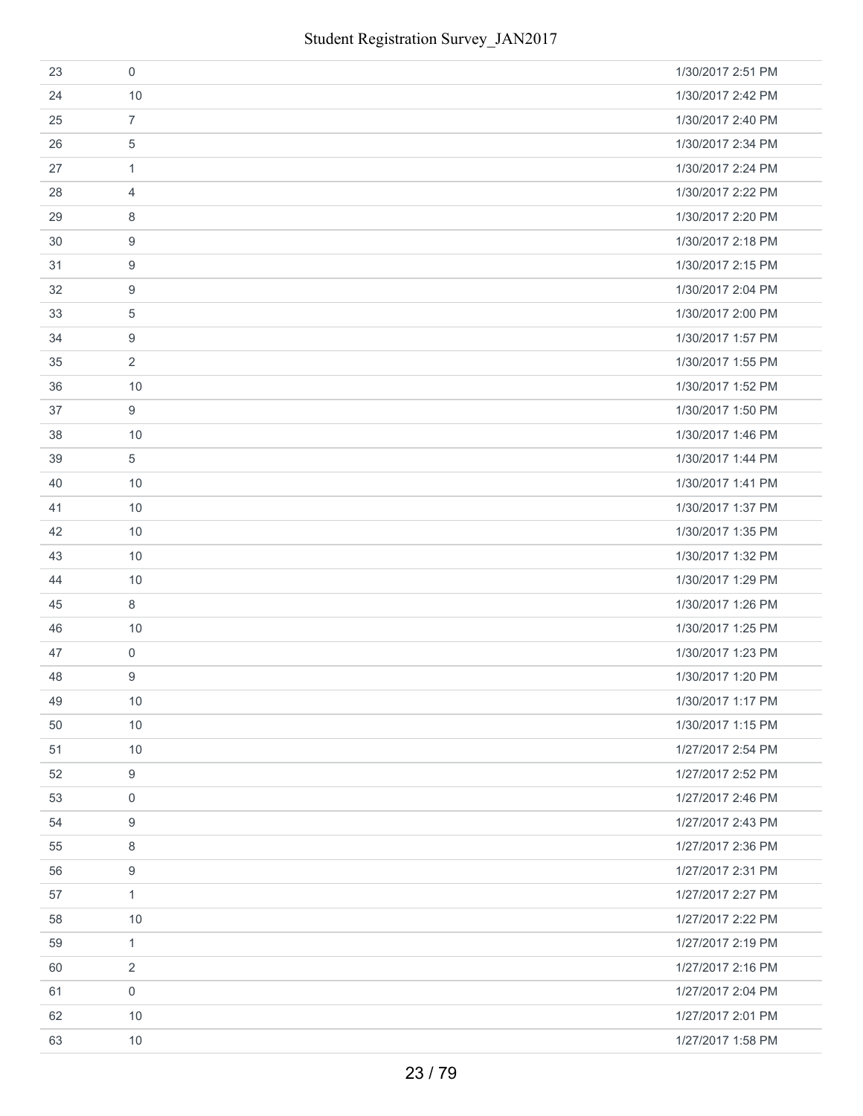| 23 | $\mathbf 0$    | 1/30/2017 2:51 PM |
|----|----------------|-------------------|
| 24 | 10             | 1/30/2017 2:42 PM |
| 25 | $\overline{7}$ | 1/30/2017 2:40 PM |
| 26 | 5              | 1/30/2017 2:34 PM |
| 27 | 1              | 1/30/2017 2:24 PM |
| 28 | 4              | 1/30/2017 2:22 PM |
| 29 | 8              | 1/30/2017 2:20 PM |
| 30 | 9              | 1/30/2017 2:18 PM |
| 31 | 9              | 1/30/2017 2:15 PM |
| 32 | 9              | 1/30/2017 2:04 PM |
| 33 | 5              | 1/30/2017 2:00 PM |
| 34 | 9              | 1/30/2017 1:57 PM |
| 35 | $\overline{2}$ | 1/30/2017 1:55 PM |
| 36 | 10             | 1/30/2017 1:52 PM |
| 37 | 9              | 1/30/2017 1:50 PM |
| 38 | 10             | 1/30/2017 1:46 PM |
| 39 | 5              | 1/30/2017 1:44 PM |
| 40 | 10             | 1/30/2017 1:41 PM |
| 41 | 10             | 1/30/2017 1:37 PM |
| 42 | 10             | 1/30/2017 1:35 PM |
| 43 | 10             | 1/30/2017 1:32 PM |
| 44 | 10             | 1/30/2017 1:29 PM |
| 45 | 8              | 1/30/2017 1:26 PM |
| 46 | 10             | 1/30/2017 1:25 PM |
| 47 | $\mathbf 0$    | 1/30/2017 1:23 PM |
| 48 | 9              | 1/30/2017 1:20 PM |
| 49 | 10             | 1/30/2017 1:17 PM |
| 50 | 10             | 1/30/2017 1:15 PM |
| 51 | 10             | 1/27/2017 2:54 PM |
| 52 | 9              | 1/27/2017 2:52 PM |
| 53 | $\mathbf 0$    | 1/27/2017 2:46 PM |
| 54 | 9              | 1/27/2017 2:43 PM |
| 55 | 8              | 1/27/2017 2:36 PM |
| 56 | $9$            | 1/27/2017 2:31 PM |
| 57 | $\mathbf{1}$   | 1/27/2017 2:27 PM |
| 58 | 10             | 1/27/2017 2:22 PM |
| 59 | 1              | 1/27/2017 2:19 PM |
| 60 | $\overline{2}$ | 1/27/2017 2:16 PM |
| 61 | $\mathbf 0$    | 1/27/2017 2:04 PM |
| 62 | 10             | 1/27/2017 2:01 PM |
| 63 | 10             | 1/27/2017 1:58 PM |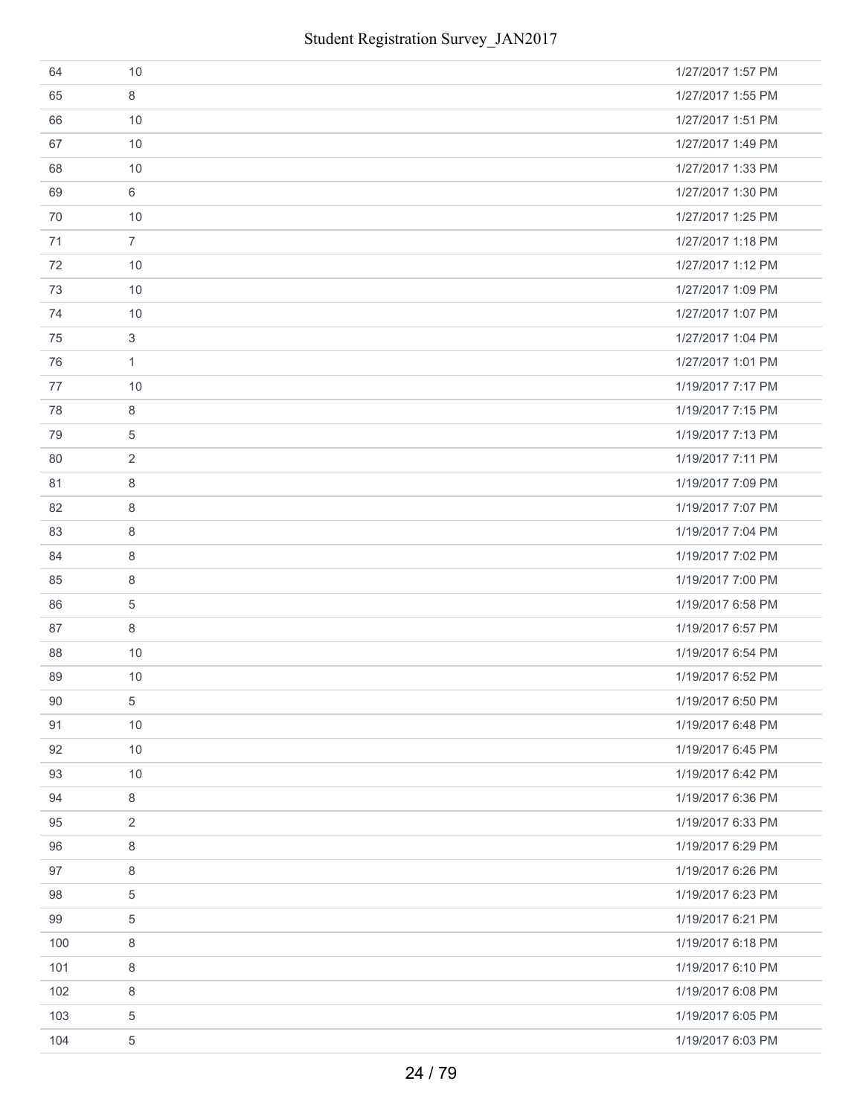| 64  | 10             | 1/27/2017 1:57 PM |
|-----|----------------|-------------------|
| 65  | 8              | 1/27/2017 1:55 PM |
| 66  | 10             | 1/27/2017 1:51 PM |
| 67  | 10             | 1/27/2017 1:49 PM |
| 68  | 10             | 1/27/2017 1:33 PM |
| 69  | 6              | 1/27/2017 1:30 PM |
| 70  | 10             | 1/27/2017 1:25 PM |
| 71  | $\overline{7}$ | 1/27/2017 1:18 PM |
| 72  | 10             | 1/27/2017 1:12 PM |
| 73  | 10             | 1/27/2017 1:09 PM |
| 74  | 10             | 1/27/2017 1:07 PM |
| 75  | 3              | 1/27/2017 1:04 PM |
| 76  | $\mathbf{1}$   | 1/27/2017 1:01 PM |
| 77  | 10             | 1/19/2017 7:17 PM |
| 78  | 8              | 1/19/2017 7:15 PM |
| 79  | 5              | 1/19/2017 7:13 PM |
| 80  | 2              | 1/19/2017 7:11 PM |
| 81  | 8              | 1/19/2017 7:09 PM |
| 82  | 8              | 1/19/2017 7:07 PM |
| 83  | 8              | 1/19/2017 7:04 PM |
| 84  | 8              | 1/19/2017 7:02 PM |
| 85  | 8              | 1/19/2017 7:00 PM |
| 86  | $\overline{5}$ | 1/19/2017 6:58 PM |
| 87  | 8              | 1/19/2017 6:57 PM |
| 88  | 10             | 1/19/2017 6:54 PM |
| 89  | 10             | 1/19/2017 6:52 PM |
| 90  | 5              | 1/19/2017 6:50 PM |
| 91  | 10             | 1/19/2017 6:48 PM |
| 92  | 10             | 1/19/2017 6:45 PM |
| 93  | 10             | 1/19/2017 6:42 PM |
| 94  | 8              | 1/19/2017 6:36 PM |
| 95  | $\overline{2}$ | 1/19/2017 6:33 PM |
| 96  | 8              | 1/19/2017 6:29 PM |
| 97  | 8              | 1/19/2017 6:26 PM |
| 98  | 5              | 1/19/2017 6:23 PM |
| 99  | $\sqrt{5}$     | 1/19/2017 6:21 PM |
| 100 | 8              | 1/19/2017 6:18 PM |
| 101 | $\,8\,$        | 1/19/2017 6:10 PM |
| 102 | 8              | 1/19/2017 6:08 PM |
| 103 | 5              | 1/19/2017 6:05 PM |
| 104 | 5              | 1/19/2017 6:03 PM |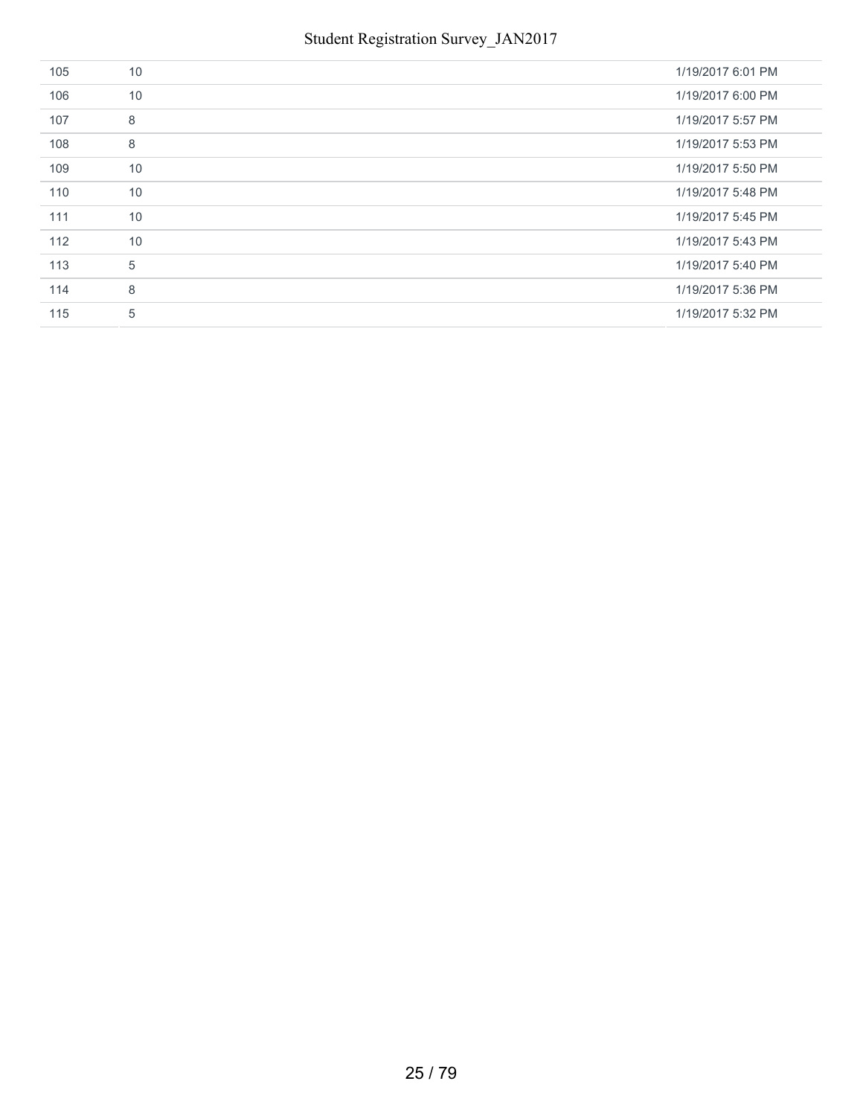| 105 | 10 | 1/19/2017 6:01 PM |
|-----|----|-------------------|
| 106 | 10 | 1/19/2017 6:00 PM |
| 107 | 8  | 1/19/2017 5:57 PM |
| 108 | 8  | 1/19/2017 5:53 PM |
| 109 | 10 | 1/19/2017 5:50 PM |
| 110 | 10 | 1/19/2017 5:48 PM |
| 111 | 10 | 1/19/2017 5:45 PM |
| 112 | 10 | 1/19/2017 5:43 PM |
| 113 | 5  | 1/19/2017 5:40 PM |
| 114 | 8  | 1/19/2017 5:36 PM |
| 115 | 5  | 1/19/2017 5:32 PM |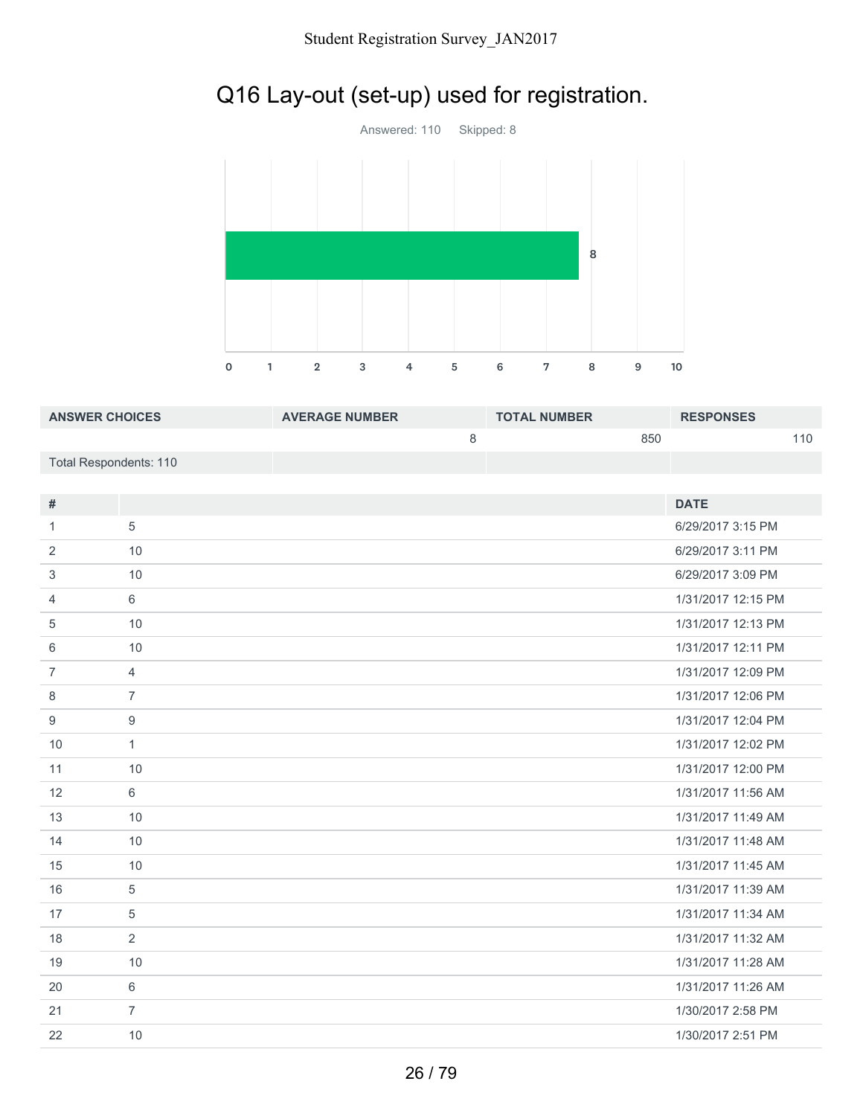# Q16 Lay-out (set-up) used for registration.



| <b>ANSWER CHOICES</b>  | <b>AVERAGE NUMBER</b> | <b>TOTAL NUMBER</b> | <b>RESPONSES</b> |
|------------------------|-----------------------|---------------------|------------------|
|                        |                       | 850                 | 110              |
| Total Respondents: 110 |                       |                     |                  |

| #              |                | <b>DATE</b>        |
|----------------|----------------|--------------------|
| 1              | 5              | 6/29/2017 3:15 PM  |
| 2              | 10             | 6/29/2017 3:11 PM  |
| 3              | 10             | 6/29/2017 3:09 PM  |
| 4              | 6              | 1/31/2017 12:15 PM |
| 5              | 10             | 1/31/2017 12:13 PM |
| 6              | 10             | 1/31/2017 12:11 PM |
| $\overline{7}$ | $\overline{4}$ | 1/31/2017 12:09 PM |
| 8              | $\overline{7}$ | 1/31/2017 12:06 PM |
| 9              | 9              | 1/31/2017 12:04 PM |
| 10             | $\mathbf{1}$   | 1/31/2017 12:02 PM |
| 11             | 10             | 1/31/2017 12:00 PM |
| 12             | 6              | 1/31/2017 11:56 AM |
| 13             | 10             | 1/31/2017 11:49 AM |
| 14             | 10             | 1/31/2017 11:48 AM |
| 15             | 10             | 1/31/2017 11:45 AM |
| 16             | 5              | 1/31/2017 11:39 AM |
| 17             | 5              | 1/31/2017 11:34 AM |
| 18             | 2              | 1/31/2017 11:32 AM |
| 19             | 10             | 1/31/2017 11:28 AM |
| 20             | 6              | 1/31/2017 11:26 AM |
| 21             | $\overline{7}$ | 1/30/2017 2:58 PM  |
| 22             | 10             | 1/30/2017 2:51 PM  |
|                |                |                    |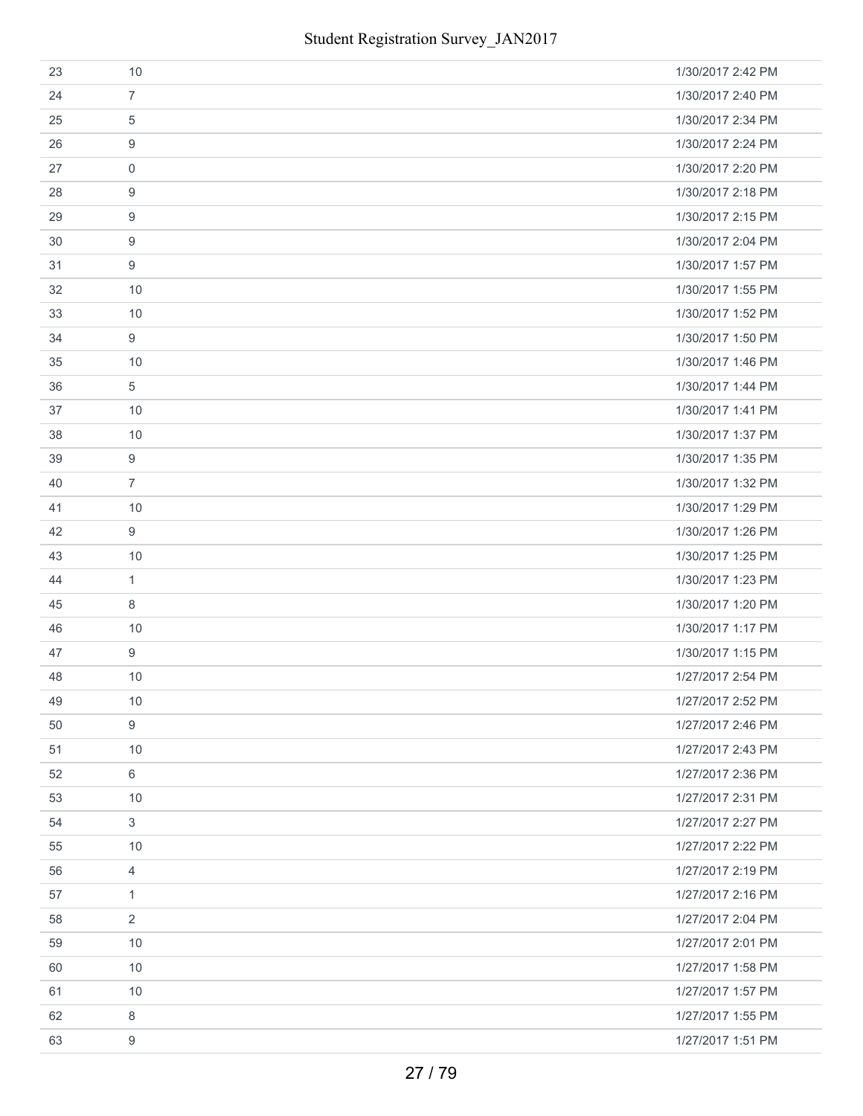| 23 | 10             | 1/30/2017 2:42 PM |
|----|----------------|-------------------|
| 24 | $\overline{7}$ | 1/30/2017 2:40 PM |
| 25 | 5              | 1/30/2017 2:34 PM |
| 26 | 9              | 1/30/2017 2:24 PM |
| 27 | $\mathbf 0$    | 1/30/2017 2:20 PM |
| 28 | 9              | 1/30/2017 2:18 PM |
| 29 | 9              | 1/30/2017 2:15 PM |
| 30 | 9              | 1/30/2017 2:04 PM |
| 31 | 9              | 1/30/2017 1:57 PM |
| 32 | 10             | 1/30/2017 1:55 PM |
| 33 | 10             | 1/30/2017 1:52 PM |
| 34 | 9              | 1/30/2017 1:50 PM |
| 35 | 10             | 1/30/2017 1:46 PM |
| 36 | 5              | 1/30/2017 1:44 PM |
| 37 | 10             | 1/30/2017 1:41 PM |
| 38 | 10             | 1/30/2017 1:37 PM |
| 39 | 9              | 1/30/2017 1:35 PM |
| 40 | $\overline{7}$ | 1/30/2017 1:32 PM |
| 41 | 10             | 1/30/2017 1:29 PM |
| 42 | 9              | 1/30/2017 1:26 PM |
| 43 | 10             | 1/30/2017 1:25 PM |
| 44 | 1              | 1/30/2017 1:23 PM |
| 45 | 8              | 1/30/2017 1:20 PM |
| 46 | 10             | 1/30/2017 1:17 PM |
| 47 | 9              | 1/30/2017 1:15 PM |
| 48 | 10             | 1/27/2017 2:54 PM |
| 49 | 10             | 1/27/2017 2:52 PM |
| 50 | 9              | 1/27/2017 2:46 PM |
| 51 | 10             | 1/27/2017 2:43 PM |
| 52 | 6              | 1/27/2017 2:36 PM |
| 53 | 10             | 1/27/2017 2:31 PM |
| 54 | $\mathbf{3}$   | 1/27/2017 2:27 PM |
| 55 | 10             | 1/27/2017 2:22 PM |
| 56 | $\overline{4}$ | 1/27/2017 2:19 PM |
| 57 | $\mathbf{1}$   | 1/27/2017 2:16 PM |
| 58 | $\overline{2}$ | 1/27/2017 2:04 PM |
| 59 | 10             | 1/27/2017 2:01 PM |
| 60 | 10             | 1/27/2017 1:58 PM |
| 61 | 10             | 1/27/2017 1:57 PM |
| 62 | 8              | 1/27/2017 1:55 PM |
| 63 | 9              | 1/27/2017 1:51 PM |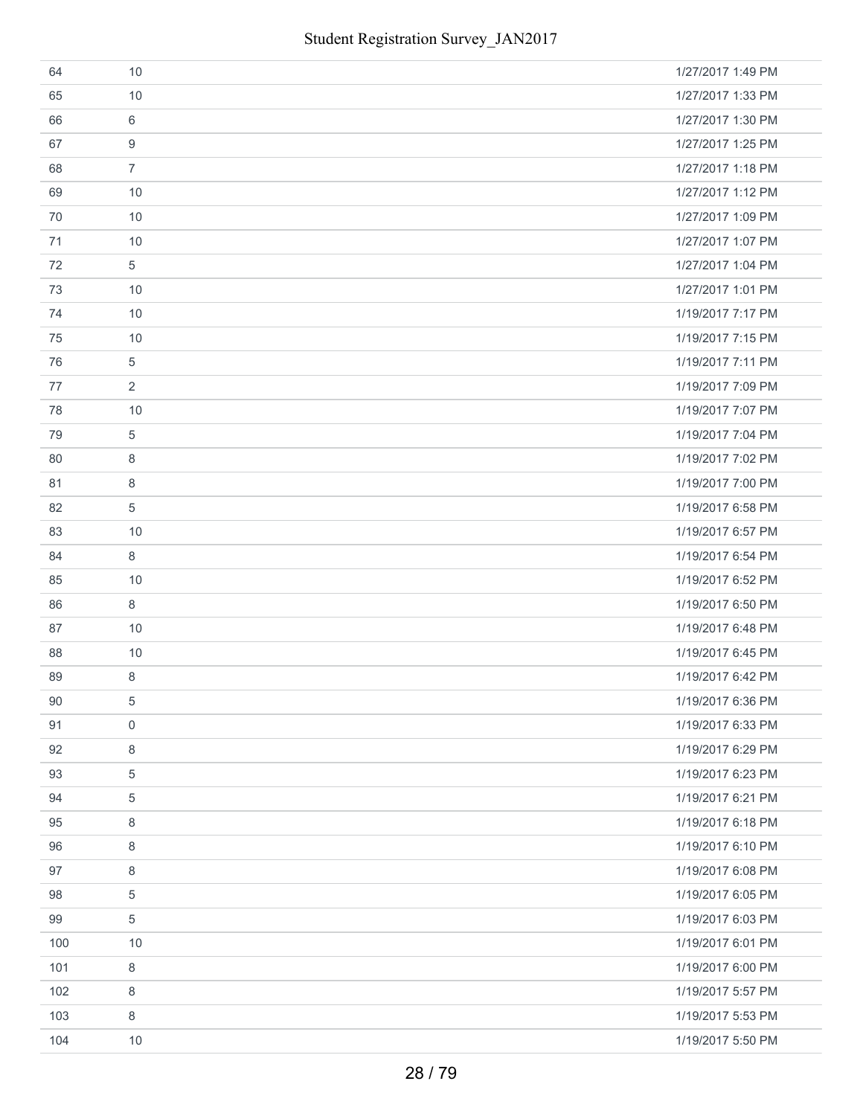| 64  | 10             | 1/27/2017 1:49 PM |
|-----|----------------|-------------------|
| 65  | 10             | 1/27/2017 1:33 PM |
| 66  | 6              | 1/27/2017 1:30 PM |
| 67  | 9              | 1/27/2017 1:25 PM |
| 68  | $\overline{7}$ | 1/27/2017 1:18 PM |
| 69  | 10             | 1/27/2017 1:12 PM |
| 70  | 10             | 1/27/2017 1:09 PM |
| 71  | 10             | 1/27/2017 1:07 PM |
| 72  | 5              | 1/27/2017 1:04 PM |
| 73  | 10             | 1/27/2017 1:01 PM |
| 74  | 10             | 1/19/2017 7:17 PM |
| 75  | 10             | 1/19/2017 7:15 PM |
| 76  | 5              | 1/19/2017 7:11 PM |
| 77  | $\overline{2}$ | 1/19/2017 7:09 PM |
| 78  | 10             | 1/19/2017 7:07 PM |
| 79  | 5              | 1/19/2017 7:04 PM |
| 80  | 8              | 1/19/2017 7:02 PM |
| 81  | 8              | 1/19/2017 7:00 PM |
| 82  | 5              | 1/19/2017 6:58 PM |
| 83  | 10             | 1/19/2017 6:57 PM |
| 84  | 8              | 1/19/2017 6:54 PM |
| 85  | 10             | 1/19/2017 6:52 PM |
| 86  | 8              | 1/19/2017 6:50 PM |
| 87  | 10             | 1/19/2017 6:48 PM |
| 88  | 10             | 1/19/2017 6:45 PM |
| 89  | 8              | 1/19/2017 6:42 PM |
| 90  | 5              | 1/19/2017 6:36 PM |
| 91  | $\mathbf 0$    | 1/19/2017 6:33 PM |
| 92  | 8              | 1/19/2017 6:29 PM |
| 93  | 5              | 1/19/2017 6:23 PM |
| 94  | 5              | 1/19/2017 6:21 PM |
| 95  | 8              | 1/19/2017 6:18 PM |
| 96  | 8              | 1/19/2017 6:10 PM |
| 97  | 8              | 1/19/2017 6:08 PM |
| 98  | 5              | 1/19/2017 6:05 PM |
| 99  | 5              | 1/19/2017 6:03 PM |
| 100 | 10             | 1/19/2017 6:01 PM |
| 101 | 8              | 1/19/2017 6:00 PM |
| 102 | 8              | 1/19/2017 5:57 PM |
| 103 | 8              | 1/19/2017 5:53 PM |
| 104 | 10             | 1/19/2017 5:50 PM |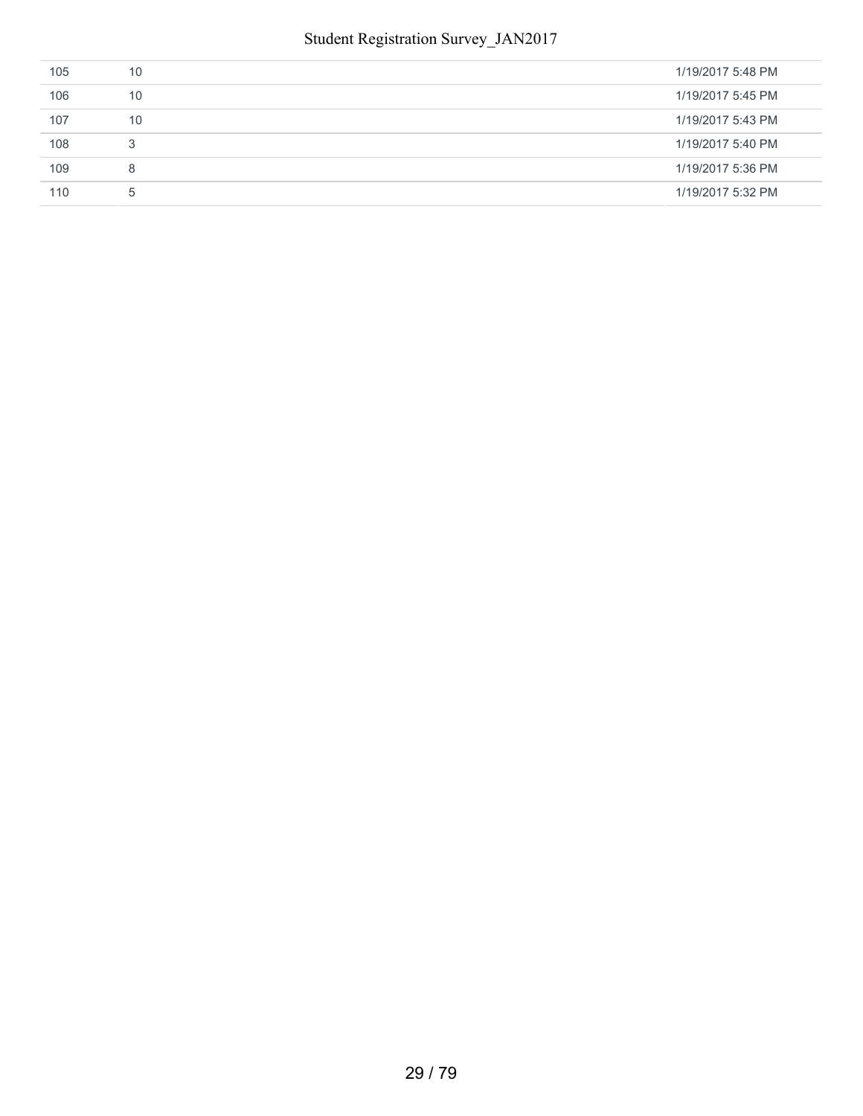| 105 | 10 | 1/19/2017 5:48 PM |
|-----|----|-------------------|
| 106 | 10 | 1/19/2017 5:45 PM |
| 107 | 10 | 1/19/2017 5:43 PM |
| 108 | 3  | 1/19/2017 5:40 PM |
| 109 | 8  | 1/19/2017 5:36 PM |
| 110 | 5  | 1/19/2017 5:32 PM |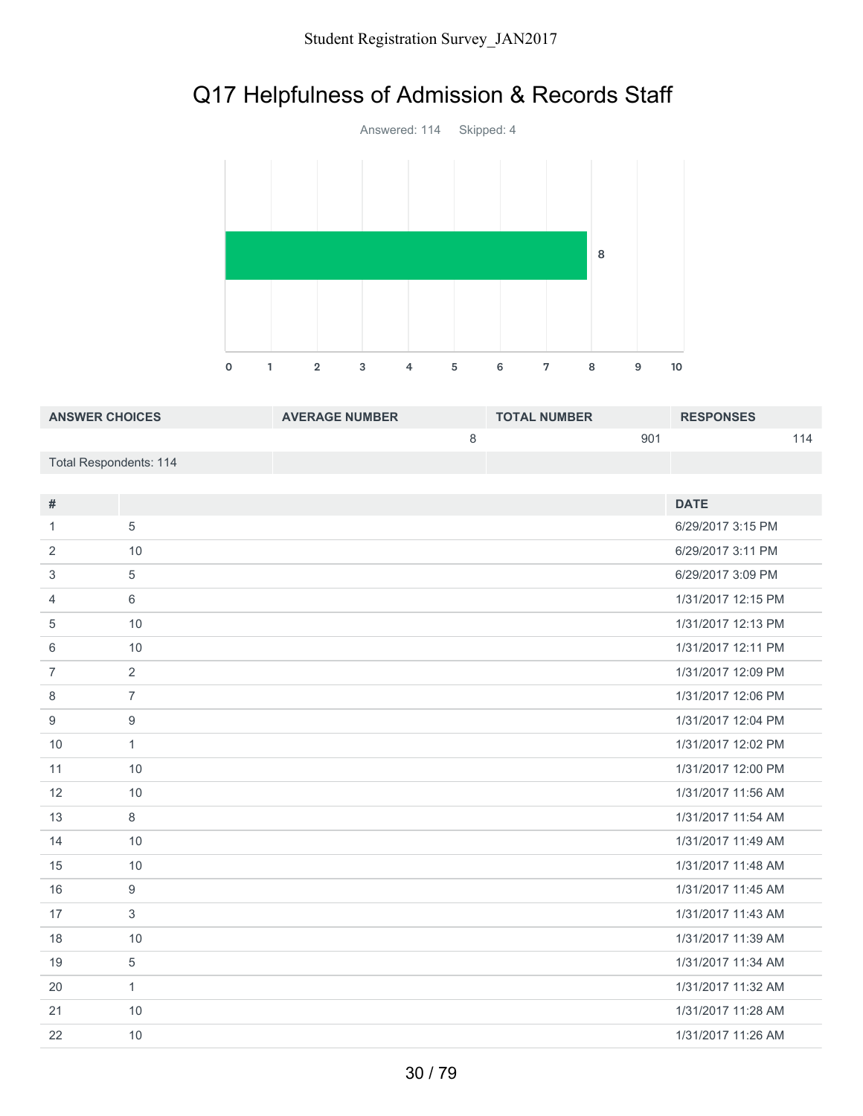# Q17 Helpfulness of Admission & Records Staff



| <b>ANSWER CHOICES</b>  | <b>AVERAGE NUMBER</b> | <b>TOTAL NUMBER</b> | <b>RESPONSES</b> |
|------------------------|-----------------------|---------------------|------------------|
|                        |                       | 90 <sup>4</sup>     | 114              |
| Total Respondents: 114 |                       |                     |                  |

| #              |                | <b>DATE</b>        |
|----------------|----------------|--------------------|
| 1              | 5              | 6/29/2017 3:15 PM  |
|                |                |                    |
| 2              | 10             | 6/29/2017 3:11 PM  |
| 3              | 5              | 6/29/2017 3:09 PM  |
| 4              | 6              | 1/31/2017 12:15 PM |
| 5              | 10             | 1/31/2017 12:13 PM |
| 6              | 10             | 1/31/2017 12:11 PM |
| $\overline{7}$ | 2              | 1/31/2017 12:09 PM |
| 8              | $\overline{7}$ | 1/31/2017 12:06 PM |
| 9              | 9              | 1/31/2017 12:04 PM |
| 10             | $\mathbf{1}$   | 1/31/2017 12:02 PM |
| 11             | 10             | 1/31/2017 12:00 PM |
| 12             | 10             | 1/31/2017 11:56 AM |
| 13             | 8              | 1/31/2017 11:54 AM |
| 14             | 10             | 1/31/2017 11:49 AM |
| 15             | 10             | 1/31/2017 11:48 AM |
| 16             | 9              | 1/31/2017 11:45 AM |
| 17             | 3              | 1/31/2017 11:43 AM |
| 18             | 10             | 1/31/2017 11:39 AM |
| 19             | 5              | 1/31/2017 11:34 AM |
| 20             | $\mathbf{1}$   | 1/31/2017 11:32 AM |
| 21             | 10             | 1/31/2017 11:28 AM |
| 22             | 10             | 1/31/2017 11:26 AM |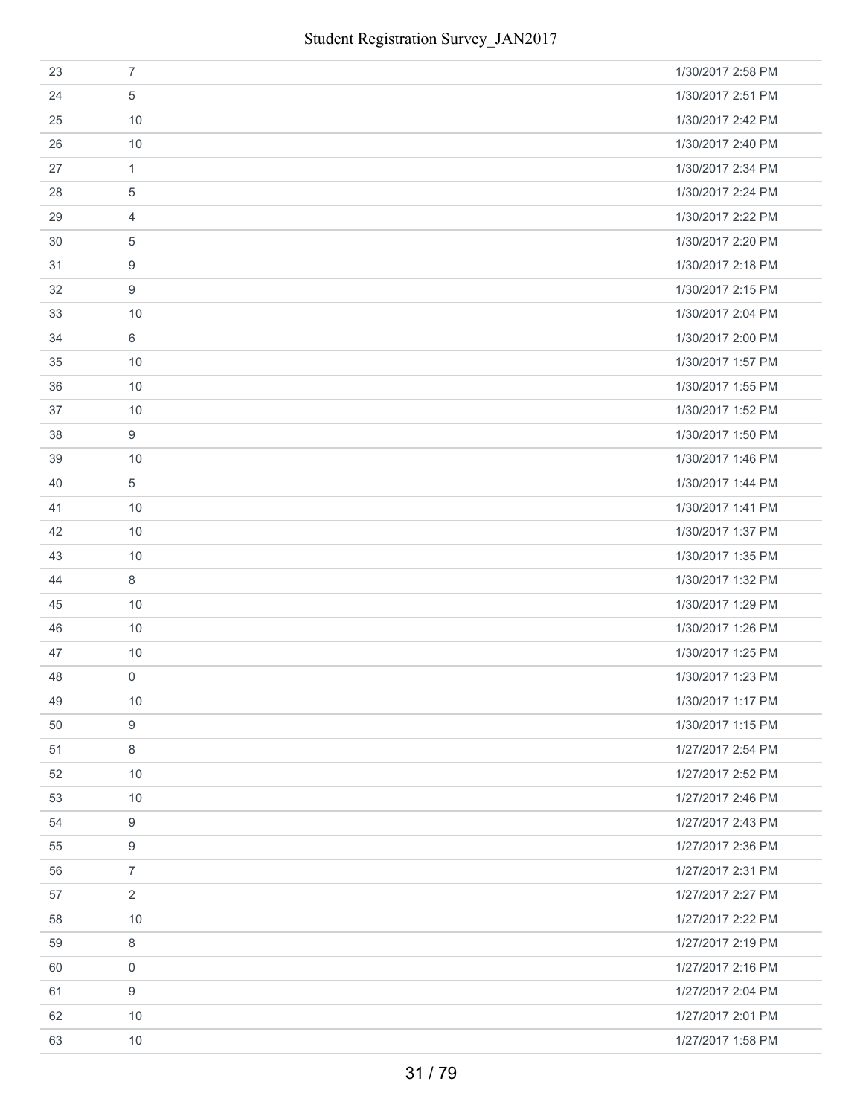| 23 | $\overline{7}$      | 1/30/2017 2:58 PM |
|----|---------------------|-------------------|
| 24 | 5                   | 1/30/2017 2:51 PM |
| 25 | 10                  | 1/30/2017 2:42 PM |
| 26 | 10                  | 1/30/2017 2:40 PM |
| 27 | $\mathbf{1}$        | 1/30/2017 2:34 PM |
| 28 | 5                   | 1/30/2017 2:24 PM |
| 29 | $\overline{4}$      | 1/30/2017 2:22 PM |
| 30 | 5                   | 1/30/2017 2:20 PM |
| 31 | 9                   | 1/30/2017 2:18 PM |
| 32 | 9                   | 1/30/2017 2:15 PM |
| 33 | 10                  | 1/30/2017 2:04 PM |
| 34 | 6                   | 1/30/2017 2:00 PM |
| 35 | 10                  | 1/30/2017 1:57 PM |
| 36 | 10                  | 1/30/2017 1:55 PM |
| 37 | 10                  | 1/30/2017 1:52 PM |
| 38 | 9                   | 1/30/2017 1:50 PM |
| 39 | 10                  | 1/30/2017 1:46 PM |
| 40 | 5                   | 1/30/2017 1:44 PM |
| 41 | 10                  | 1/30/2017 1:41 PM |
| 42 | 10                  | 1/30/2017 1:37 PM |
| 43 | 10                  | 1/30/2017 1:35 PM |
| 44 | 8                   | 1/30/2017 1:32 PM |
| 45 | 10                  | 1/30/2017 1:29 PM |
| 46 | 10                  | 1/30/2017 1:26 PM |
| 47 | 10                  | 1/30/2017 1:25 PM |
| 48 | $\mathsf{O}\xspace$ | 1/30/2017 1:23 PM |
| 49 | 10                  | 1/30/2017 1:17 PM |
| 50 | 9                   | 1/30/2017 1:15 PM |
| 51 | 8                   | 1/27/2017 2:54 PM |
| 52 | 10                  | 1/27/2017 2:52 PM |
| 53 | 10                  | 1/27/2017 2:46 PM |
| 54 | 9                   | 1/27/2017 2:43 PM |
| 55 | 9                   | 1/27/2017 2:36 PM |
| 56 | $\overline{7}$      | 1/27/2017 2:31 PM |
| 57 | $\overline{2}$      | 1/27/2017 2:27 PM |
| 58 | 10                  | 1/27/2017 2:22 PM |
| 59 | 8                   | 1/27/2017 2:19 PM |
| 60 | $\mathbf 0$         | 1/27/2017 2:16 PM |
| 61 | 9                   | 1/27/2017 2:04 PM |
| 62 | 10                  | 1/27/2017 2:01 PM |
| 63 | 10                  | 1/27/2017 1:58 PM |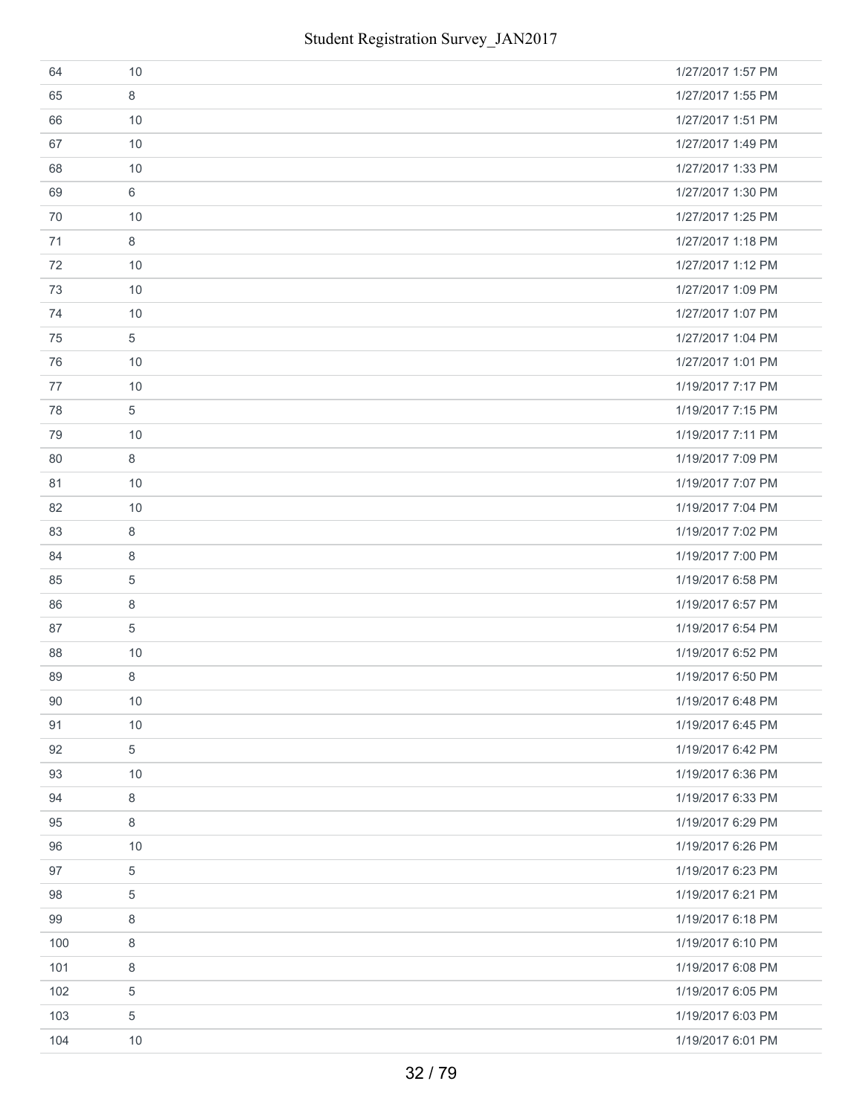| 64  | 10             | 1/27/2017 1:57 PM |
|-----|----------------|-------------------|
| 65  | 8              | 1/27/2017 1:55 PM |
| 66  | 10             | 1/27/2017 1:51 PM |
| 67  | 10             | 1/27/2017 1:49 PM |
| 68  | 10             | 1/27/2017 1:33 PM |
| 69  | 6              | 1/27/2017 1:30 PM |
| 70  | 10             | 1/27/2017 1:25 PM |
| 71  | 8              | 1/27/2017 1:18 PM |
| 72  | 10             | 1/27/2017 1:12 PM |
| 73  | 10             | 1/27/2017 1:09 PM |
| 74  | 10             | 1/27/2017 1:07 PM |
| 75  | $\overline{5}$ | 1/27/2017 1:04 PM |
| 76  | 10             | 1/27/2017 1:01 PM |
| 77  | 10             | 1/19/2017 7:17 PM |
| 78  | 5              | 1/19/2017 7:15 PM |
| 79  | 10             | 1/19/2017 7:11 PM |
| 80  | 8              | 1/19/2017 7:09 PM |
| 81  | 10             | 1/19/2017 7:07 PM |
| 82  | 10             | 1/19/2017 7:04 PM |
| 83  | 8              | 1/19/2017 7:02 PM |
| 84  | 8              | 1/19/2017 7:00 PM |
| 85  | $\overline{5}$ | 1/19/2017 6:58 PM |
| 86  | 8              | 1/19/2017 6:57 PM |
| 87  | 5              | 1/19/2017 6:54 PM |
| 88  | 10             | 1/19/2017 6:52 PM |
| 89  | 8              | 1/19/2017 6:50 PM |
| 90  | 10             | 1/19/2017 6:48 PM |
| 91  | 10             | 1/19/2017 6:45 PM |
| 92  | $\sqrt{5}$     | 1/19/2017 6:42 PM |
| 93  | 10             | 1/19/2017 6:36 PM |
| 94  | 8              | 1/19/2017 6:33 PM |
| 95  | 8              | 1/19/2017 6:29 PM |
| 96  | 10             | 1/19/2017 6:26 PM |
| 97  | $\overline{5}$ | 1/19/2017 6:23 PM |
| 98  | 5              | 1/19/2017 6:21 PM |
| 99  | 8              | 1/19/2017 6:18 PM |
| 100 | $\,8\,$        | 1/19/2017 6:10 PM |
| 101 | 8              | 1/19/2017 6:08 PM |
| 102 | 5              | 1/19/2017 6:05 PM |
| 103 | 5              | 1/19/2017 6:03 PM |
| 104 | 10             | 1/19/2017 6:01 PM |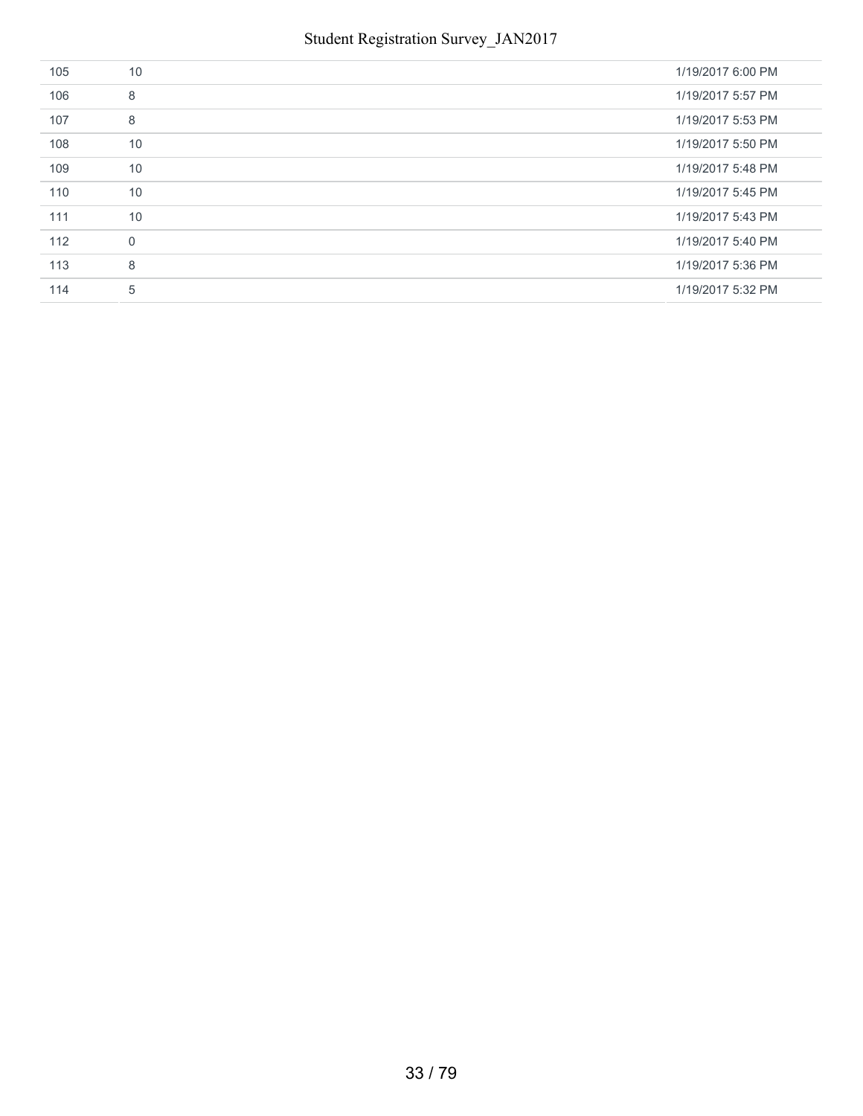| 105 | 10       | 1/19/2017 6:00 PM |
|-----|----------|-------------------|
| 106 | 8        | 1/19/2017 5:57 PM |
| 107 | 8        | 1/19/2017 5:53 PM |
| 108 | 10       | 1/19/2017 5:50 PM |
| 109 | 10       | 1/19/2017 5:48 PM |
| 110 | 10       | 1/19/2017 5:45 PM |
| 111 | 10       | 1/19/2017 5:43 PM |
| 112 | $\Omega$ | 1/19/2017 5:40 PM |
| 113 | 8        | 1/19/2017 5:36 PM |
| 114 | 5        | 1/19/2017 5:32 PM |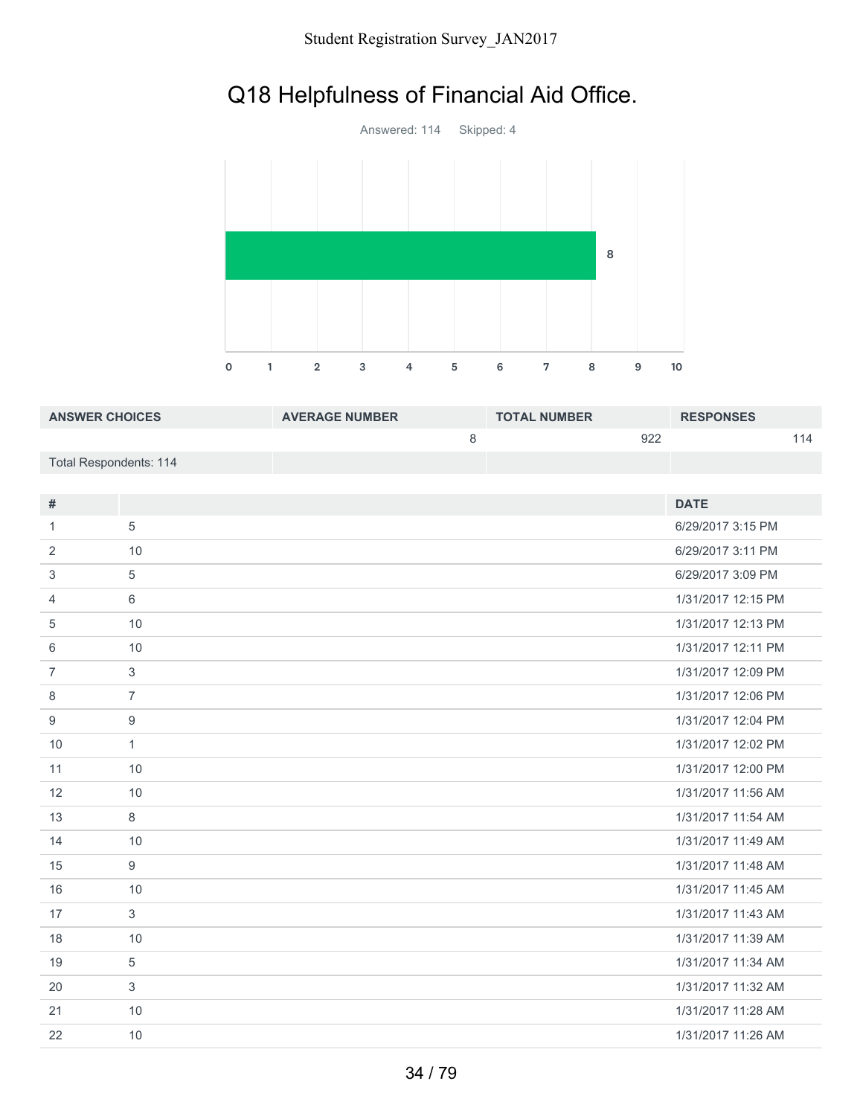# Q18 Helpfulness of Financial Aid Office.



| <b>ANSWER CHOICES</b>  | <b>AVERAGE NUMBER</b> | <b>TOTAL NUMBER</b> | <b>RESPONSES</b> |
|------------------------|-----------------------|---------------------|------------------|
|                        |                       | 922                 | 114              |
| Total Respondents: 114 |                       |                     |                  |

| #              |                | <b>DATE</b>        |
|----------------|----------------|--------------------|
| 1              | 5              | 6/29/2017 3:15 PM  |
| 2              | 10             | 6/29/2017 3:11 PM  |
| 3              | 5              | 6/29/2017 3:09 PM  |
| 4              | 6              | 1/31/2017 12:15 PM |
| 5              | 10             | 1/31/2017 12:13 PM |
| 6              | 10             | 1/31/2017 12:11 PM |
| $\overline{7}$ | $\mathbf{3}$   | 1/31/2017 12:09 PM |
| 8              | $\overline{7}$ | 1/31/2017 12:06 PM |
| 9              | 9              | 1/31/2017 12:04 PM |
| 10             | $\mathbf{1}$   | 1/31/2017 12:02 PM |
| 11             | 10             | 1/31/2017 12:00 PM |
| 12             | 10             | 1/31/2017 11:56 AM |
| 13             | 8              | 1/31/2017 11:54 AM |
| 14             | 10             | 1/31/2017 11:49 AM |
| 15             | 9              | 1/31/2017 11:48 AM |
| 16             | 10             | 1/31/2017 11:45 AM |
| 17             | 3              | 1/31/2017 11:43 AM |
| 18             | 10             | 1/31/2017 11:39 AM |
| 19             | 5              | 1/31/2017 11:34 AM |
| 20             | 3              | 1/31/2017 11:32 AM |
| 21             | 10             | 1/31/2017 11:28 AM |
| 22             | 10             | 1/31/2017 11:26 AM |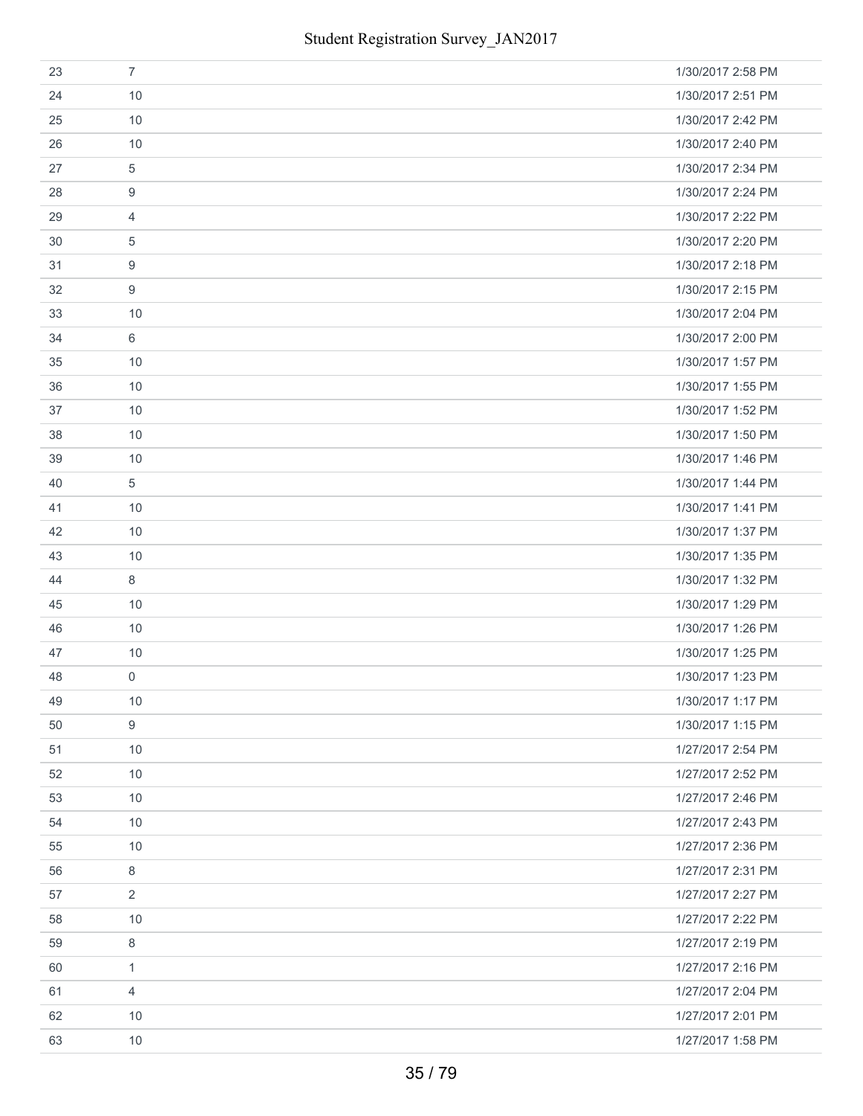| 23 | $\overline{7}$      | 1/30/2017 2:58 PM |
|----|---------------------|-------------------|
| 24 | 10                  | 1/30/2017 2:51 PM |
| 25 | 10                  | 1/30/2017 2:42 PM |
| 26 | 10                  | 1/30/2017 2:40 PM |
| 27 | $\,$ 5 $\,$         | 1/30/2017 2:34 PM |
| 28 | $\boldsymbol{9}$    | 1/30/2017 2:24 PM |
| 29 | $\overline{4}$      | 1/30/2017 2:22 PM |
| 30 | 5                   | 1/30/2017 2:20 PM |
| 31 | $\boldsymbol{9}$    | 1/30/2017 2:18 PM |
| 32 | $\boldsymbol{9}$    | 1/30/2017 2:15 PM |
| 33 | 10                  | 1/30/2017 2:04 PM |
| 34 | $6\,$               | 1/30/2017 2:00 PM |
| 35 | 10                  | 1/30/2017 1:57 PM |
| 36 | 10                  | 1/30/2017 1:55 PM |
| 37 | 10                  | 1/30/2017 1:52 PM |
| 38 | 10                  | 1/30/2017 1:50 PM |
| 39 | 10                  | 1/30/2017 1:46 PM |
| 40 | 5                   | 1/30/2017 1:44 PM |
| 41 | 10                  | 1/30/2017 1:41 PM |
| 42 | 10                  | 1/30/2017 1:37 PM |
| 43 | 10                  | 1/30/2017 1:35 PM |
| 44 | 8                   | 1/30/2017 1:32 PM |
| 45 | 10                  | 1/30/2017 1:29 PM |
| 46 | 10                  | 1/30/2017 1:26 PM |
| 47 | 10                  | 1/30/2017 1:25 PM |
| 48 | $\mathsf{O}\xspace$ | 1/30/2017 1:23 PM |
| 49 | 10                  | 1/30/2017 1:17 PM |
| 50 | 9                   | 1/30/2017 1:15 PM |
| 51 | 10                  | 1/27/2017 2:54 PM |
| 52 | 10                  | 1/27/2017 2:52 PM |
| 53 | 10                  | 1/27/2017 2:46 PM |
| 54 | 10                  | 1/27/2017 2:43 PM |
| 55 | 10                  | 1/27/2017 2:36 PM |
| 56 | $\,8\,$             | 1/27/2017 2:31 PM |
| 57 | $\overline{2}$      | 1/27/2017 2:27 PM |
| 58 | 10                  | 1/27/2017 2:22 PM |
| 59 | 8                   | 1/27/2017 2:19 PM |
| 60 | $\mathbf{1}$        | 1/27/2017 2:16 PM |
| 61 | $\overline{4}$      | 1/27/2017 2:04 PM |
| 62 | 10                  | 1/27/2017 2:01 PM |
| 63 | 10                  | 1/27/2017 1:58 PM |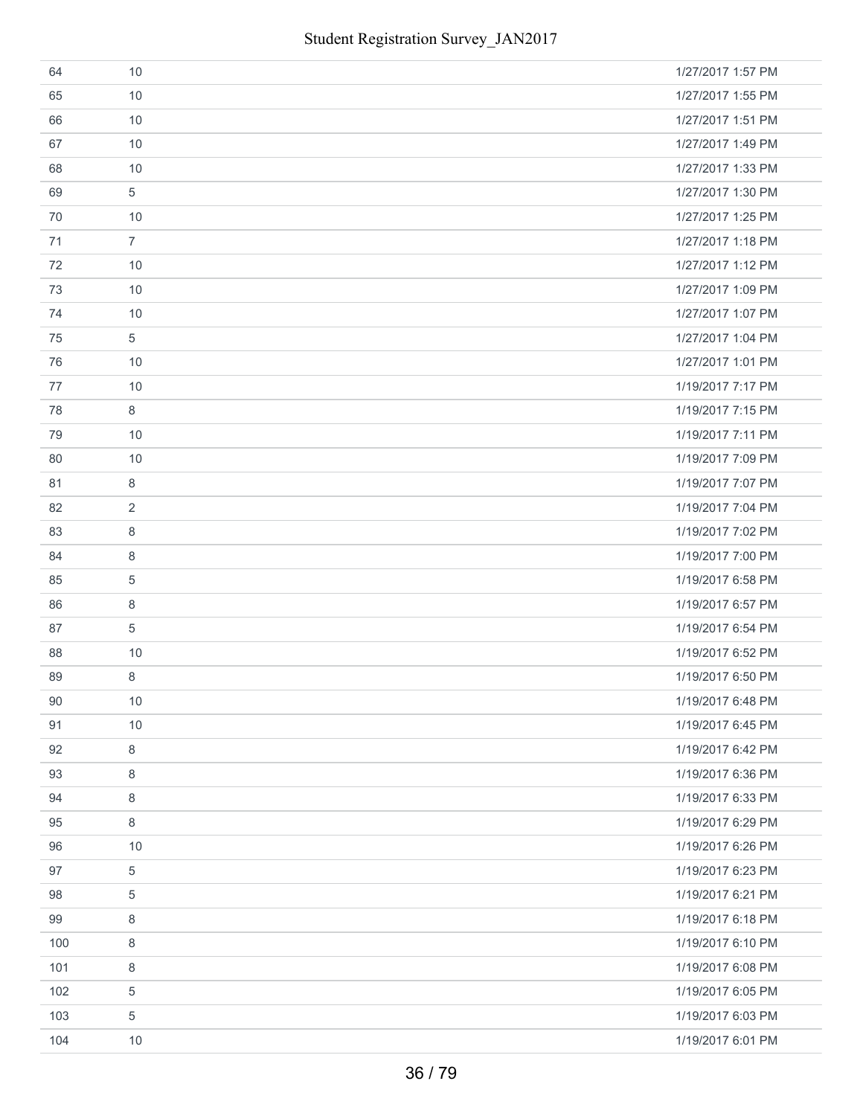| 64  | 10             | 1/27/2017 1:57 PM |
|-----|----------------|-------------------|
| 65  | 10             | 1/27/2017 1:55 PM |
| 66  | 10             | 1/27/2017 1:51 PM |
| 67  | 10             | 1/27/2017 1:49 PM |
| 68  | 10             | 1/27/2017 1:33 PM |
| 69  | 5              | 1/27/2017 1:30 PM |
| 70  | 10             | 1/27/2017 1:25 PM |
| 71  | $\overline{7}$ | 1/27/2017 1:18 PM |
| 72  | 10             | 1/27/2017 1:12 PM |
| 73  | 10             | 1/27/2017 1:09 PM |
| 74  | 10             | 1/27/2017 1:07 PM |
| 75  | 5              | 1/27/2017 1:04 PM |
| 76  | 10             | 1/27/2017 1:01 PM |
| 77  | 10             | 1/19/2017 7:17 PM |
| 78  | 8              | 1/19/2017 7:15 PM |
| 79  | 10             | 1/19/2017 7:11 PM |
| 80  | 10             | 1/19/2017 7:09 PM |
| 81  | 8              | 1/19/2017 7:07 PM |
| 82  | $\sqrt{2}$     | 1/19/2017 7:04 PM |
| 83  | 8              | 1/19/2017 7:02 PM |
| 84  | 8              | 1/19/2017 7:00 PM |
| 85  | $\overline{5}$ | 1/19/2017 6:58 PM |
| 86  | 8              | 1/19/2017 6:57 PM |
| 87  | 5              | 1/19/2017 6:54 PM |
| 88  | 10             | 1/19/2017 6:52 PM |
| 89  | 8              | 1/19/2017 6:50 PM |
| 90  | 10             | 1/19/2017 6:48 PM |
| 91  | 10             | 1/19/2017 6:45 PM |
| 92  | $\,8\,$        | 1/19/2017 6:42 PM |
| 93  | 8              | 1/19/2017 6:36 PM |
| 94  | 8              | 1/19/2017 6:33 PM |
| 95  | 8              | 1/19/2017 6:29 PM |
| 96  | 10             | 1/19/2017 6:26 PM |
| 97  | $\overline{5}$ | 1/19/2017 6:23 PM |
| 98  | 5              | 1/19/2017 6:21 PM |
| 99  | 8              | 1/19/2017 6:18 PM |
| 100 | $\,8\,$        | 1/19/2017 6:10 PM |
| 101 | 8              | 1/19/2017 6:08 PM |
| 102 | 5              | 1/19/2017 6:05 PM |
| 103 | 5              | 1/19/2017 6:03 PM |
| 104 | 10             | 1/19/2017 6:01 PM |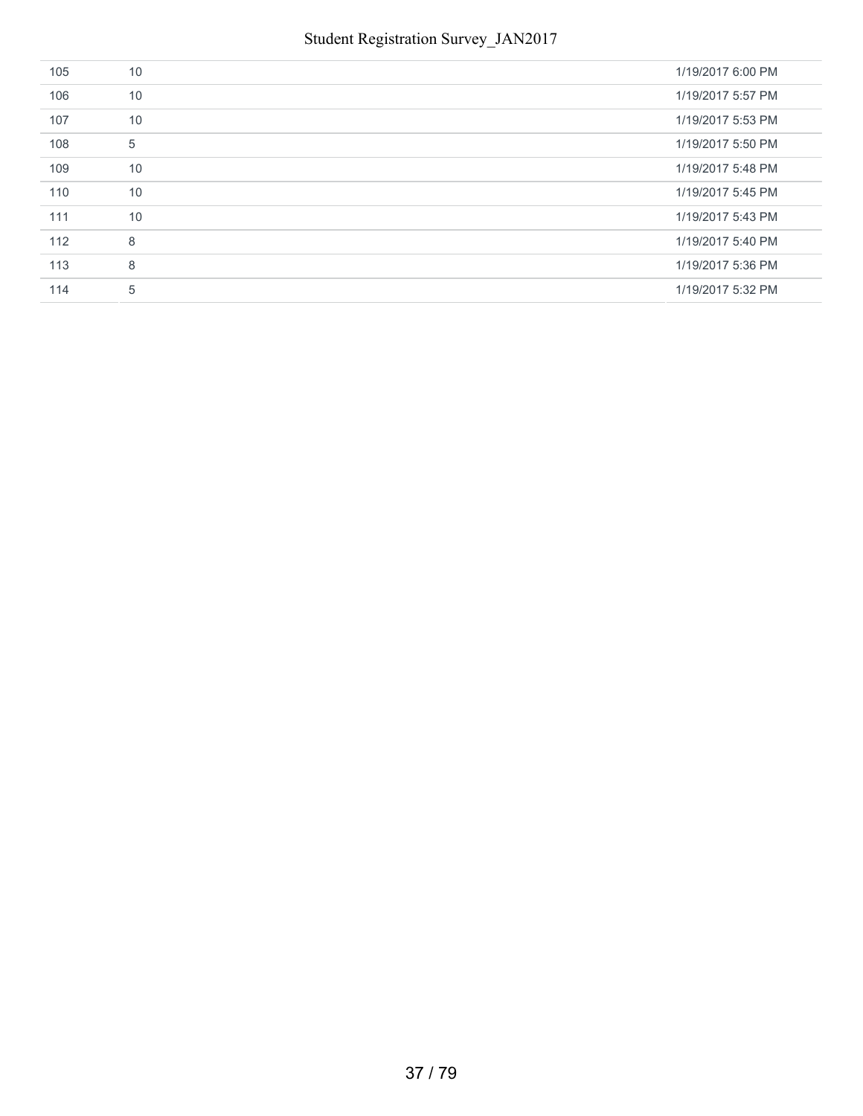| 105 | 10 | 1/19/2017 6:00 PM |
|-----|----|-------------------|
| 106 | 10 | 1/19/2017 5:57 PM |
| 107 | 10 | 1/19/2017 5:53 PM |
| 108 | 5  | 1/19/2017 5:50 PM |
| 109 | 10 | 1/19/2017 5:48 PM |
| 110 | 10 | 1/19/2017 5:45 PM |
| 111 | 10 | 1/19/2017 5:43 PM |
| 112 | 8  | 1/19/2017 5:40 PM |
| 113 | 8  | 1/19/2017 5:36 PM |
| 114 | 5  | 1/19/2017 5:32 PM |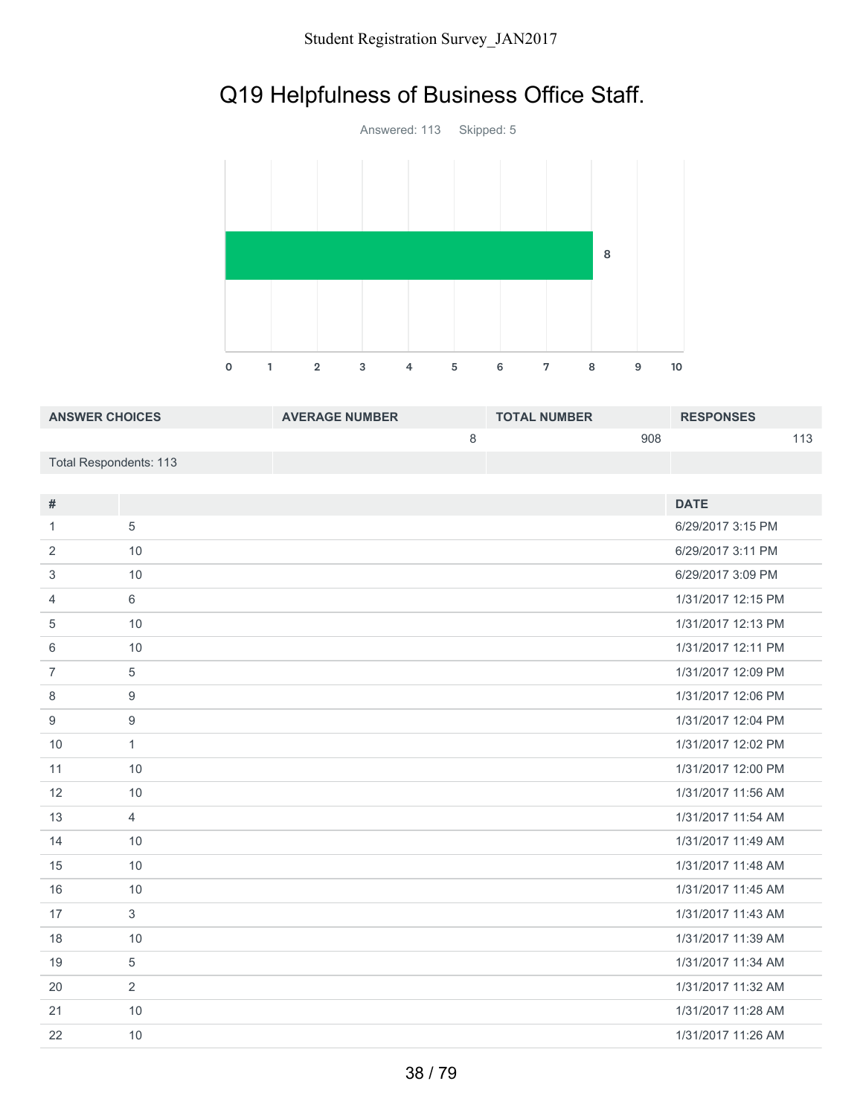# Q19 Helpfulness of Business Office Staff.



| <b>ANSWER CHOICES</b>  | <b>AVERAGE NUMBER</b> | <b>TOTAL NUMBER</b> | <b>RESPONSES</b> |  |
|------------------------|-----------------------|---------------------|------------------|--|
|                        |                       | 908                 |                  |  |
| Total Respondents: 113 |                       |                     |                  |  |

| #              |                | <b>DATE</b>        |
|----------------|----------------|--------------------|
| 1.             | 5              | 6/29/2017 3:15 PM  |
| 2              | 10             | 6/29/2017 3:11 PM  |
| 3              | 10             | 6/29/2017 3:09 PM  |
| 4              | 6              | 1/31/2017 12:15 PM |
| 5              | 10             | 1/31/2017 12:13 PM |
| 6              | 10             | 1/31/2017 12:11 PM |
| $\overline{7}$ | $\overline{5}$ | 1/31/2017 12:09 PM |
| 8              | $9$            | 1/31/2017 12:06 PM |
| 9              | 9              | 1/31/2017 12:04 PM |
| 10             | $\mathbf{1}$   | 1/31/2017 12:02 PM |
| 11             | 10             | 1/31/2017 12:00 PM |
| 12             | 10             | 1/31/2017 11:56 AM |
| 13             | $\overline{4}$ | 1/31/2017 11:54 AM |
| 14             | 10             | 1/31/2017 11:49 AM |
| 15             | 10             | 1/31/2017 11:48 AM |
| 16             | 10             | 1/31/2017 11:45 AM |
| 17             | 3              | 1/31/2017 11:43 AM |
| 18             | 10             | 1/31/2017 11:39 AM |
| 19             | 5              | 1/31/2017 11:34 AM |
| 20             | 2              | 1/31/2017 11:32 AM |
| 21             | 10             | 1/31/2017 11:28 AM |
| 22             | 10             | 1/31/2017 11:26 AM |
|                |                |                    |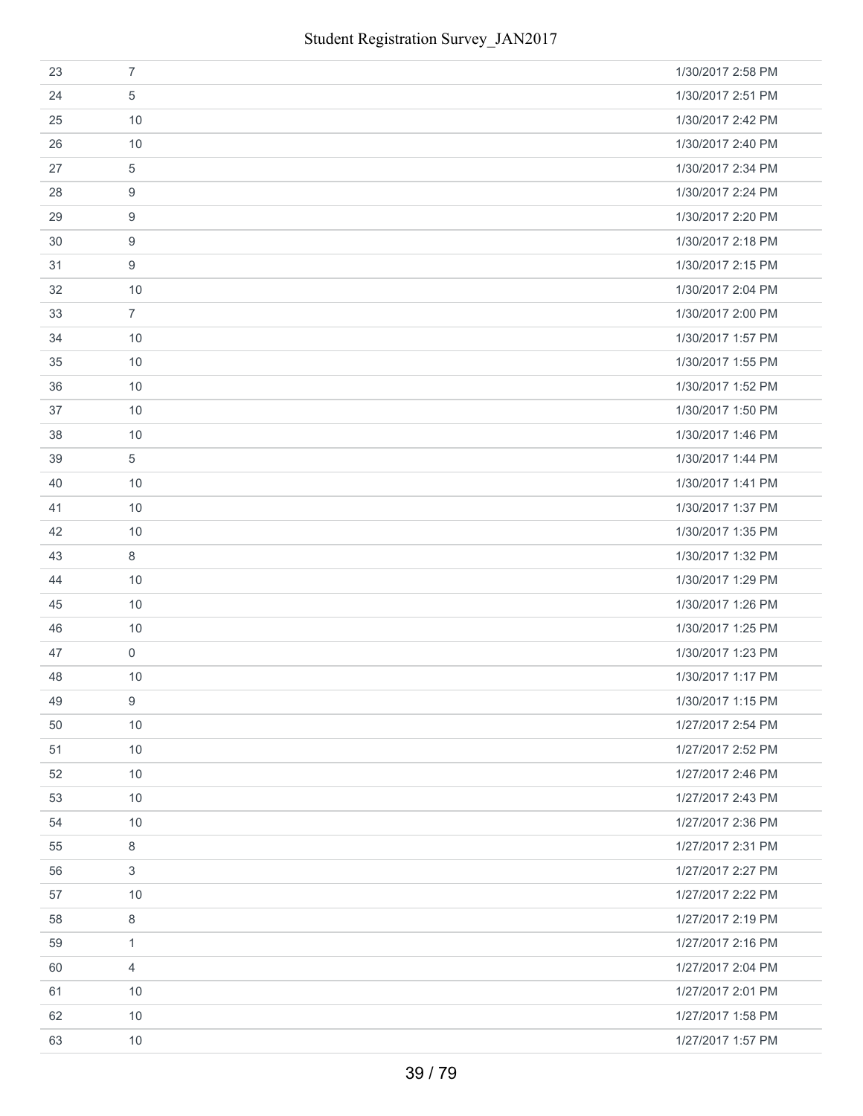| 23 | $\overline{7}$      | 1/30/2017 2:58 PM |
|----|---------------------|-------------------|
| 24 | 5                   | 1/30/2017 2:51 PM |
| 25 | 10                  | 1/30/2017 2:42 PM |
| 26 | 10                  | 1/30/2017 2:40 PM |
| 27 | 5                   | 1/30/2017 2:34 PM |
| 28 | 9                   | 1/30/2017 2:24 PM |
| 29 | 9                   | 1/30/2017 2:20 PM |
| 30 | 9                   | 1/30/2017 2:18 PM |
| 31 | 9                   | 1/30/2017 2:15 PM |
| 32 | 10                  | 1/30/2017 2:04 PM |
| 33 | $\overline{7}$      | 1/30/2017 2:00 PM |
| 34 | 10                  | 1/30/2017 1:57 PM |
| 35 | 10                  | 1/30/2017 1:55 PM |
| 36 | 10                  | 1/30/2017 1:52 PM |
| 37 | 10                  | 1/30/2017 1:50 PM |
| 38 | 10                  | 1/30/2017 1:46 PM |
| 39 | 5                   | 1/30/2017 1:44 PM |
| 40 | 10                  | 1/30/2017 1:41 PM |
| 41 | 10                  | 1/30/2017 1:37 PM |
| 42 | 10                  | 1/30/2017 1:35 PM |
| 43 | 8                   | 1/30/2017 1:32 PM |
| 44 | 10                  | 1/30/2017 1:29 PM |
| 45 | 10                  | 1/30/2017 1:26 PM |
| 46 | 10                  | 1/30/2017 1:25 PM |
| 47 | $\mathsf{O}\xspace$ | 1/30/2017 1:23 PM |
| 48 | 10                  | 1/30/2017 1:17 PM |
| 49 | 9                   | 1/30/2017 1:15 PM |
| 50 | 10                  | 1/27/2017 2:54 PM |
| 51 | 10                  | 1/27/2017 2:52 PM |
| 52 | 10                  | 1/27/2017 2:46 PM |
| 53 | 10                  | 1/27/2017 2:43 PM |
| 54 | 10                  | 1/27/2017 2:36 PM |
| 55 | 8                   | 1/27/2017 2:31 PM |
| 56 | 3                   | 1/27/2017 2:27 PM |
| 57 | 10                  | 1/27/2017 2:22 PM |
| 58 | 8                   | 1/27/2017 2:19 PM |
| 59 | $\mathbf{1}$        | 1/27/2017 2:16 PM |
| 60 | $\overline{4}$      | 1/27/2017 2:04 PM |
| 61 | 10                  | 1/27/2017 2:01 PM |
| 62 | 10                  | 1/27/2017 1:58 PM |
| 63 | 10                  | 1/27/2017 1:57 PM |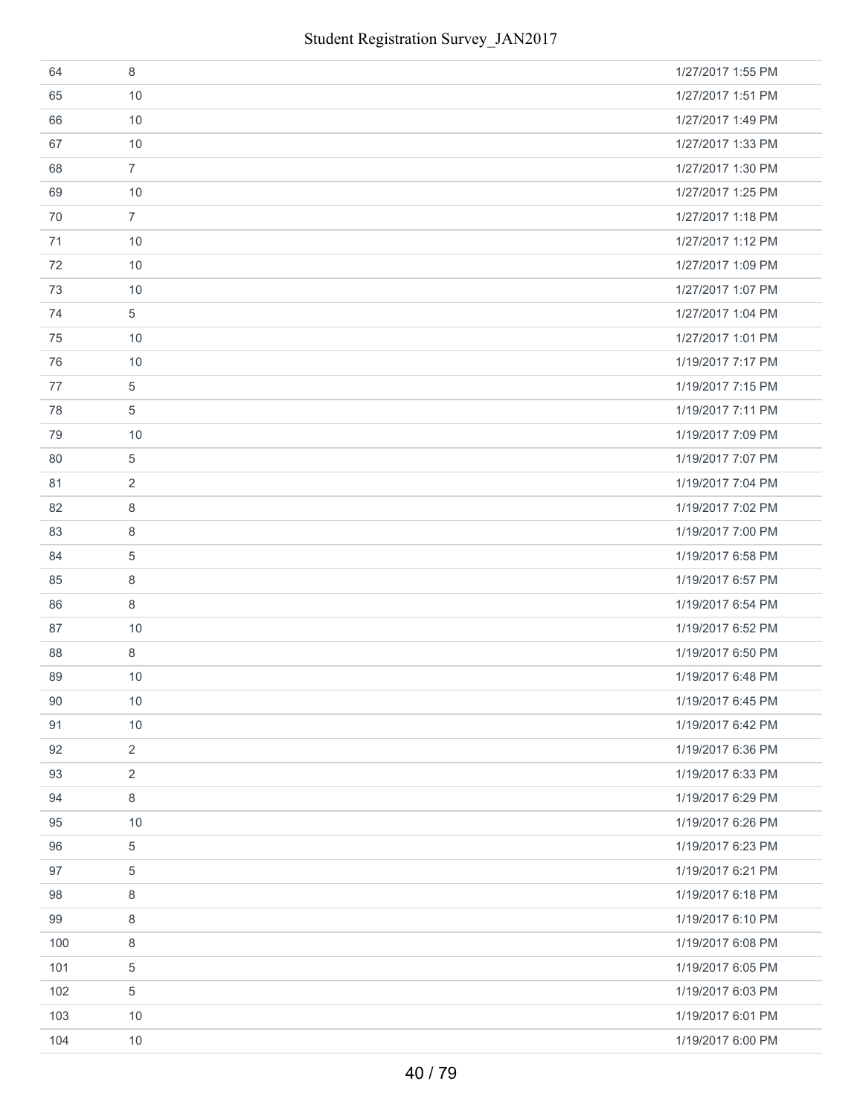| 64  | 8              | 1/27/2017 1:55 PM |
|-----|----------------|-------------------|
| 65  | 10             | 1/27/2017 1:51 PM |
| 66  | 10             | 1/27/2017 1:49 PM |
| 67  | 10             | 1/27/2017 1:33 PM |
| 68  | $\overline{7}$ | 1/27/2017 1:30 PM |
| 69  | 10             | 1/27/2017 1:25 PM |
| 70  | $\overline{7}$ | 1/27/2017 1:18 PM |
| 71  | 10             | 1/27/2017 1:12 PM |
| 72  | 10             | 1/27/2017 1:09 PM |
| 73  | 10             | 1/27/2017 1:07 PM |
| 74  | 5              | 1/27/2017 1:04 PM |
| 75  | 10             | 1/27/2017 1:01 PM |
| 76  | 10             | 1/19/2017 7:17 PM |
| 77  | 5              | 1/19/2017 7:15 PM |
| 78  | 5              | 1/19/2017 7:11 PM |
| 79  | 10             | 1/19/2017 7:09 PM |
| 80  | 5              | 1/19/2017 7:07 PM |
| 81  | 2              | 1/19/2017 7:04 PM |
| 82  | 8              | 1/19/2017 7:02 PM |
| 83  | 8              | 1/19/2017 7:00 PM |
| 84  | 5              | 1/19/2017 6:58 PM |
| 85  | 8              | 1/19/2017 6:57 PM |
| 86  | 8              | 1/19/2017 6:54 PM |
| 87  | 10             | 1/19/2017 6:52 PM |
| 88  | 8              | 1/19/2017 6:50 PM |
| 89  | 10             | 1/19/2017 6:48 PM |
| 90  | 10             | 1/19/2017 6:45 PM |
| 91  | 10             | 1/19/2017 6:42 PM |
| 92  | $\overline{2}$ | 1/19/2017 6:36 PM |
| 93  | $\overline{2}$ | 1/19/2017 6:33 PM |
| 94  | 8              | 1/19/2017 6:29 PM |
| 95  | 10             | 1/19/2017 6:26 PM |
| 96  | 5              | 1/19/2017 6:23 PM |
| 97  | 5              | 1/19/2017 6:21 PM |
| 98  | 8              | 1/19/2017 6:18 PM |
| 99  | 8              | 1/19/2017 6:10 PM |
| 100 | 8              | 1/19/2017 6:08 PM |
| 101 | 5              | 1/19/2017 6:05 PM |
| 102 | 5              | 1/19/2017 6:03 PM |
| 103 | 10             | 1/19/2017 6:01 PM |
| 104 | 10             | 1/19/2017 6:00 PM |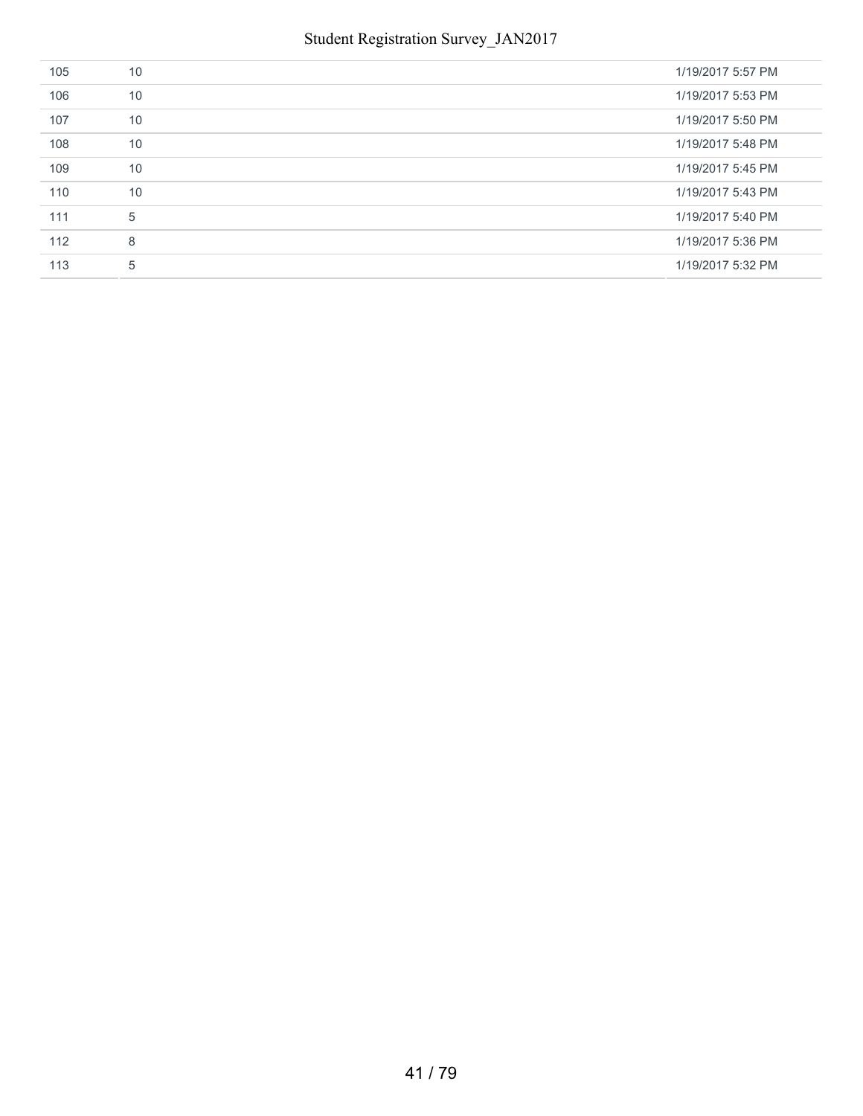| 105 | 10 | 1/19/2017 5:57 PM |
|-----|----|-------------------|
| 106 | 10 | 1/19/2017 5:53 PM |
| 107 | 10 | 1/19/2017 5:50 PM |
| 108 | 10 | 1/19/2017 5:48 PM |
| 109 | 10 | 1/19/2017 5:45 PM |
| 110 | 10 | 1/19/2017 5:43 PM |
| 111 | 5  | 1/19/2017 5:40 PM |
| 112 | 8  | 1/19/2017 5:36 PM |
| 113 | 5  | 1/19/2017 5:32 PM |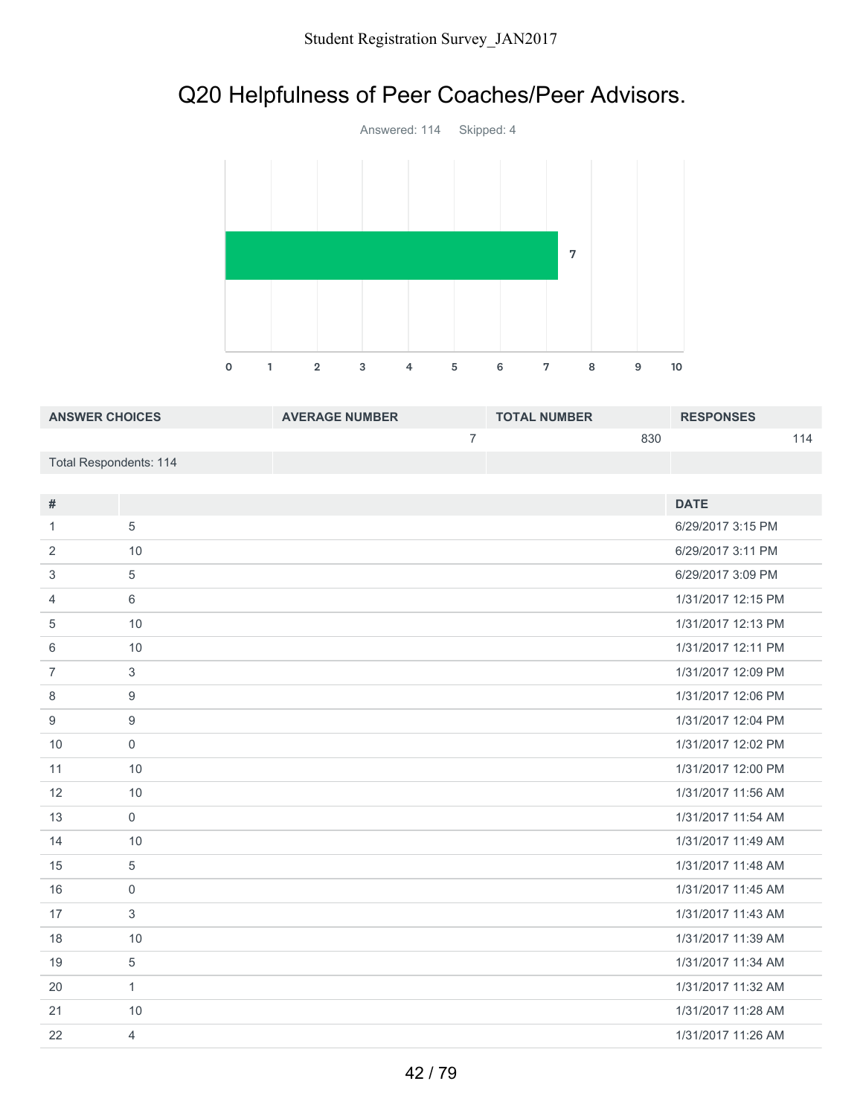# Q20 Helpfulness of Peer Coaches/Peer Advisors.



| <b>ANSWER CHOICES</b>  | <b>AVERAGE NUMBER</b> | <b>TOTAL NUMBER</b> | <b>RESPONSES</b> |
|------------------------|-----------------------|---------------------|------------------|
|                        |                       | 830                 | 114              |
| Total Respondents: 114 |                       |                     |                  |

| $\#$           |                | <b>DATE</b>        |
|----------------|----------------|--------------------|
| 1              | 5              | 6/29/2017 3:15 PM  |
| 2              | 10             | 6/29/2017 3:11 PM  |
| 3              | 5              | 6/29/2017 3:09 PM  |
| 4              | 6              | 1/31/2017 12:15 PM |
| 5              | 10             | 1/31/2017 12:13 PM |
| 6              | 10             | 1/31/2017 12:11 PM |
| $\overline{7}$ | 3              | 1/31/2017 12:09 PM |
| 8              | 9              | 1/31/2017 12:06 PM |
| 9              | 9              | 1/31/2017 12:04 PM |
| 10             | $\mathbf 0$    | 1/31/2017 12:02 PM |
| 11             | 10             | 1/31/2017 12:00 PM |
| 12             | 10             | 1/31/2017 11:56 AM |
| 13             | $\mathsf{O}$   | 1/31/2017 11:54 AM |
| 14             | 10             | 1/31/2017 11:49 AM |
| 15             | 5              | 1/31/2017 11:48 AM |
| 16             | $\mathbf{0}$   | 1/31/2017 11:45 AM |
| 17             | 3              | 1/31/2017 11:43 AM |
| 18             | 10             | 1/31/2017 11:39 AM |
| 19             | 5              | 1/31/2017 11:34 AM |
| 20             | 1              | 1/31/2017 11:32 AM |
| 21             | 10             | 1/31/2017 11:28 AM |
| 22             | $\overline{4}$ | 1/31/2017 11:26 AM |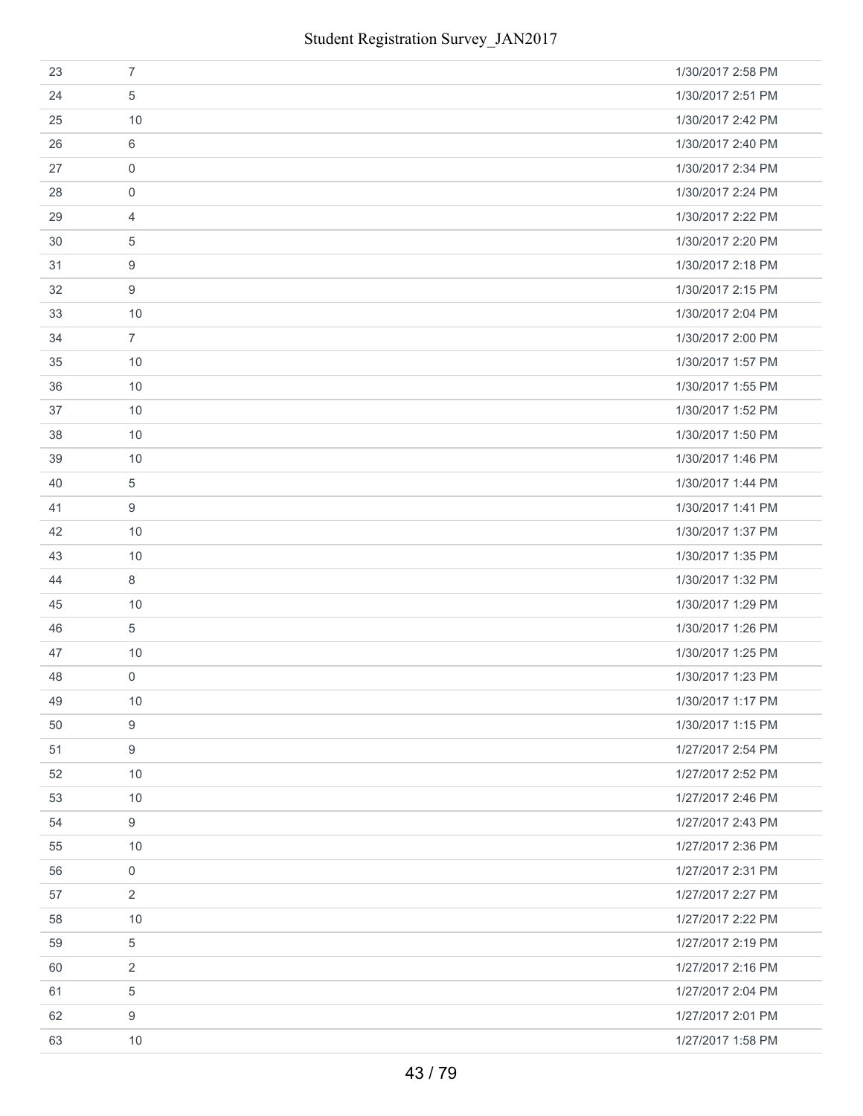| 23 | $\overline{7}$      | 1/30/2017 2:58 PM |
|----|---------------------|-------------------|
| 24 | 5                   | 1/30/2017 2:51 PM |
| 25 | 10                  | 1/30/2017 2:42 PM |
| 26 | 6                   | 1/30/2017 2:40 PM |
| 27 | $\boldsymbol{0}$    | 1/30/2017 2:34 PM |
| 28 | $\boldsymbol{0}$    | 1/30/2017 2:24 PM |
| 29 | $\overline{4}$      | 1/30/2017 2:22 PM |
| 30 | 5                   | 1/30/2017 2:20 PM |
| 31 | 9                   | 1/30/2017 2:18 PM |
| 32 | 9                   | 1/30/2017 2:15 PM |
| 33 | 10                  | 1/30/2017 2:04 PM |
| 34 | $\overline{7}$      | 1/30/2017 2:00 PM |
| 35 | 10                  | 1/30/2017 1:57 PM |
| 36 | 10                  | 1/30/2017 1:55 PM |
| 37 | 10                  | 1/30/2017 1:52 PM |
| 38 | 10                  | 1/30/2017 1:50 PM |
| 39 | 10                  | 1/30/2017 1:46 PM |
| 40 | $\overline{5}$      | 1/30/2017 1:44 PM |
| 41 | 9                   | 1/30/2017 1:41 PM |
| 42 | 10                  | 1/30/2017 1:37 PM |
| 43 | 10                  | 1/30/2017 1:35 PM |
| 44 | 8                   | 1/30/2017 1:32 PM |
| 45 | 10                  | 1/30/2017 1:29 PM |
| 46 | 5                   | 1/30/2017 1:26 PM |
| 47 | 10                  | 1/30/2017 1:25 PM |
| 48 | $\mathsf{O}\xspace$ | 1/30/2017 1:23 PM |
| 49 | 10                  | 1/30/2017 1:17 PM |
| 50 | 9                   | 1/30/2017 1:15 PM |
| 51 | 9                   | 1/27/2017 2:54 PM |
| 52 | 10                  | 1/27/2017 2:52 PM |
| 53 | 10                  | 1/27/2017 2:46 PM |
| 54 | 9                   | 1/27/2017 2:43 PM |
| 55 | 10                  | 1/27/2017 2:36 PM |
| 56 | $\mathbf 0$         | 1/27/2017 2:31 PM |
| 57 | $\overline{2}$      | 1/27/2017 2:27 PM |
| 58 | 10                  | 1/27/2017 2:22 PM |
| 59 | 5                   | 1/27/2017 2:19 PM |
| 60 | $\overline{2}$      | 1/27/2017 2:16 PM |
| 61 | 5                   | 1/27/2017 2:04 PM |
| 62 | 9                   | 1/27/2017 2:01 PM |
| 63 | 10                  | 1/27/2017 1:58 PM |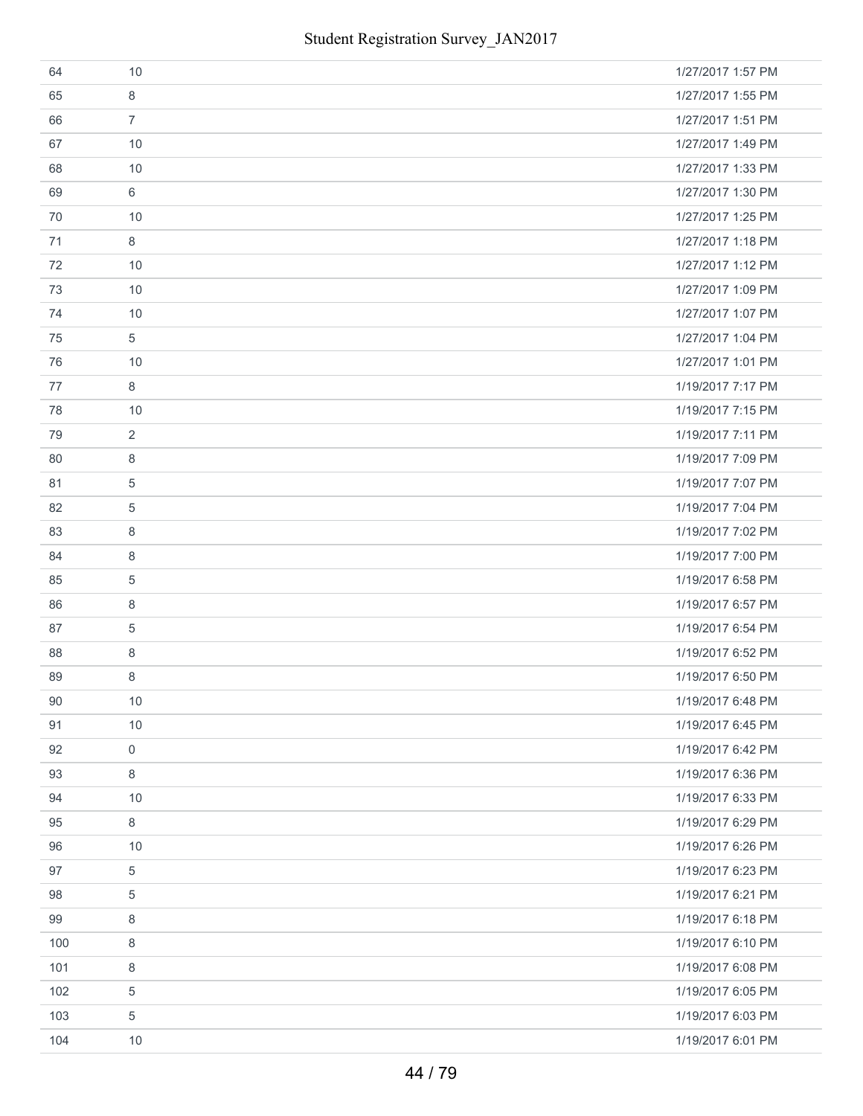| 64  | 10                  | 1/27/2017 1:57 PM |
|-----|---------------------|-------------------|
| 65  | 8                   | 1/27/2017 1:55 PM |
| 66  | $\overline{7}$      | 1/27/2017 1:51 PM |
| 67  | 10                  | 1/27/2017 1:49 PM |
| 68  | 10                  | 1/27/2017 1:33 PM |
| 69  | 6                   | 1/27/2017 1:30 PM |
| 70  | 10                  | 1/27/2017 1:25 PM |
| 71  | 8                   | 1/27/2017 1:18 PM |
| 72  | 10                  | 1/27/2017 1:12 PM |
| 73  | 10                  | 1/27/2017 1:09 PM |
| 74  | 10                  | 1/27/2017 1:07 PM |
| 75  | 5                   | 1/27/2017 1:04 PM |
| 76  | 10                  | 1/27/2017 1:01 PM |
| 77  | 8                   | 1/19/2017 7:17 PM |
| 78  | 10                  | 1/19/2017 7:15 PM |
| 79  | 2                   | 1/19/2017 7:11 PM |
| 80  | 8                   | 1/19/2017 7:09 PM |
| 81  | $\overline{5}$      | 1/19/2017 7:07 PM |
| 82  | 5                   | 1/19/2017 7:04 PM |
| 83  | 8                   | 1/19/2017 7:02 PM |
| 84  | 8                   | 1/19/2017 7:00 PM |
| 85  | 5                   | 1/19/2017 6:58 PM |
| 86  | 8                   | 1/19/2017 6:57 PM |
| 87  | 5                   | 1/19/2017 6:54 PM |
| 88  | 8                   | 1/19/2017 6:52 PM |
| 89  | 8                   | 1/19/2017 6:50 PM |
| 90  | 10                  | 1/19/2017 6:48 PM |
| 91  | 10                  | 1/19/2017 6:45 PM |
| 92  | $\mathsf{O}\xspace$ | 1/19/2017 6:42 PM |
| 93  | 8                   | 1/19/2017 6:36 PM |
| 94  | 10                  | 1/19/2017 6:33 PM |
| 95  | 8                   | 1/19/2017 6:29 PM |
| 96  | 10                  | 1/19/2017 6:26 PM |
| 97  | 5                   | 1/19/2017 6:23 PM |
| 98  | 5                   | 1/19/2017 6:21 PM |
| 99  | 8                   | 1/19/2017 6:18 PM |
| 100 | 8                   | 1/19/2017 6:10 PM |
| 101 | 8                   | 1/19/2017 6:08 PM |
| 102 | 5                   | 1/19/2017 6:05 PM |
| 103 | 5                   | 1/19/2017 6:03 PM |
| 104 | 10                  | 1/19/2017 6:01 PM |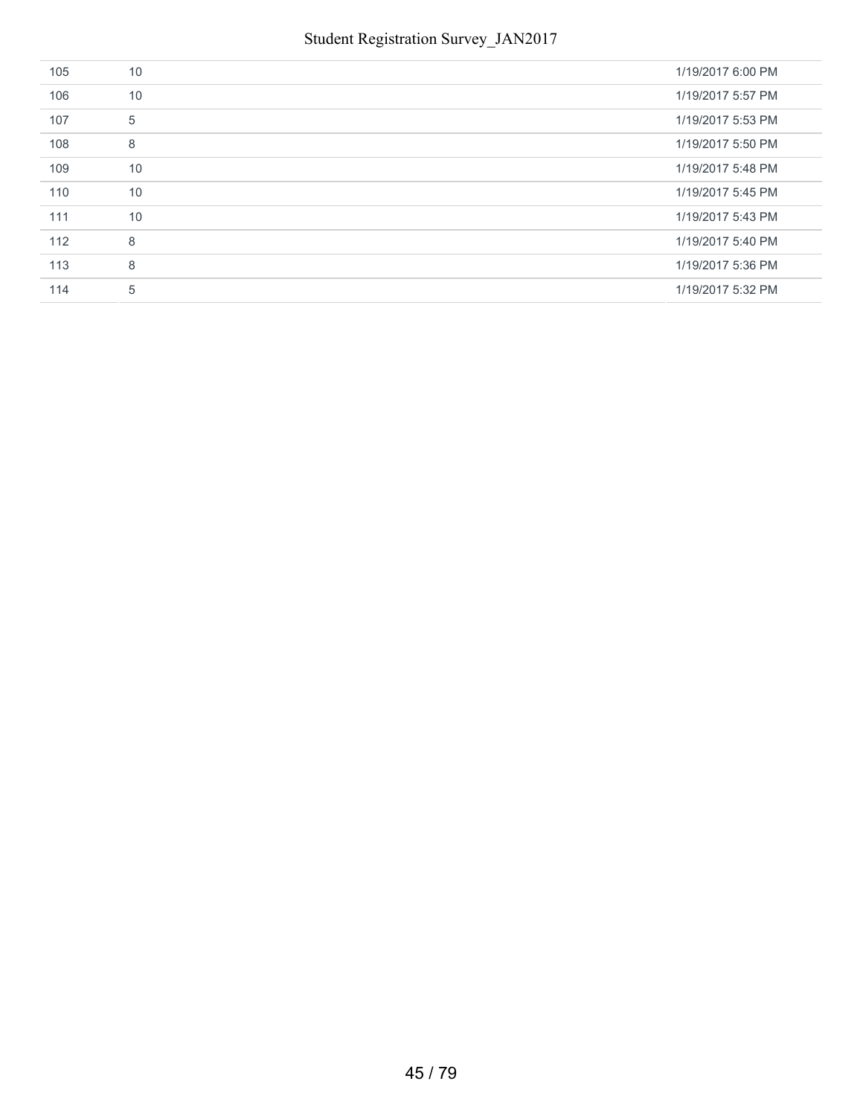| 105 | 10 | 1/19/2017 6:00 PM |
|-----|----|-------------------|
| 106 | 10 | 1/19/2017 5:57 PM |
| 107 | 5  | 1/19/2017 5:53 PM |
| 108 | 8  | 1/19/2017 5:50 PM |
| 109 | 10 | 1/19/2017 5:48 PM |
| 110 | 10 | 1/19/2017 5:45 PM |
| 111 | 10 | 1/19/2017 5:43 PM |
| 112 | 8  | 1/19/2017 5:40 PM |
| 113 | 8  | 1/19/2017 5:36 PM |
| 114 | 5  | 1/19/2017 5:32 PM |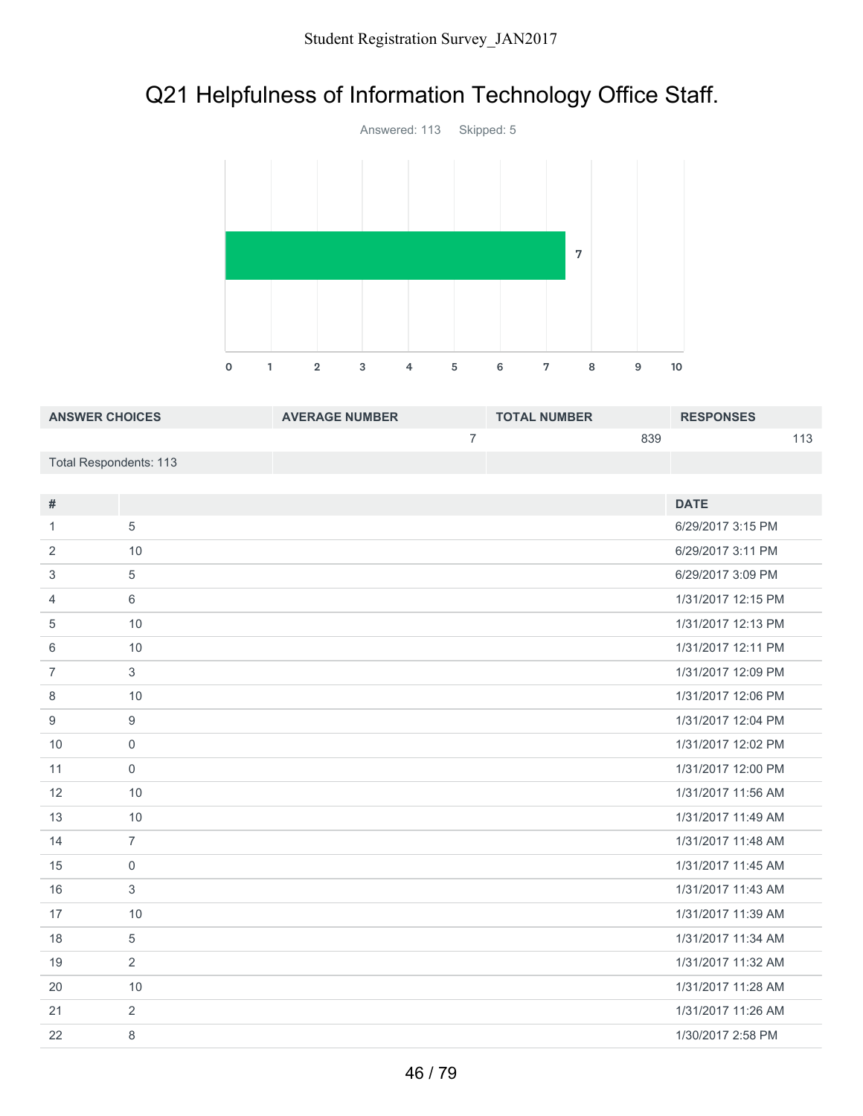# Q21 Helpfulness of Information Technology Office Staff.



| <b>ANSWER CHOICES</b>  | <b>AVERAGE NUMBER</b> | <b>TOTAL NUMBER</b> | <b>RESPONSES</b> |
|------------------------|-----------------------|---------------------|------------------|
|                        |                       | 839                 |                  |
| Total Respondents: 113 |                       |                     |                  |

| #              |                | <b>DATE</b>        |
|----------------|----------------|--------------------|
| 1              | 5              | 6/29/2017 3:15 PM  |
| 2              | 10             | 6/29/2017 3:11 PM  |
| 3              | 5              | 6/29/2017 3:09 PM  |
| 4              | 6              | 1/31/2017 12:15 PM |
| 5              | 10             | 1/31/2017 12:13 PM |
| 6              | 10             | 1/31/2017 12:11 PM |
| $\overline{7}$ | 3              | 1/31/2017 12:09 PM |
| 8              | 10             | 1/31/2017 12:06 PM |
| 9              | 9              | 1/31/2017 12:04 PM |
| 10             | $\mathbf 0$    | 1/31/2017 12:02 PM |
| 11             | $\mathbf 0$    | 1/31/2017 12:00 PM |
| 12             | 10             | 1/31/2017 11:56 AM |
| 13             | 10             | 1/31/2017 11:49 AM |
| 14             | $\overline{7}$ | 1/31/2017 11:48 AM |
| 15             | $\mathbf 0$    | 1/31/2017 11:45 AM |
| 16             | 3              | 1/31/2017 11:43 AM |
| 17             | 10             | 1/31/2017 11:39 AM |
| 18             | 5              | 1/31/2017 11:34 AM |
| 19             | 2              | 1/31/2017 11:32 AM |
| 20             | 10             | 1/31/2017 11:28 AM |
| 21             | 2              | 1/31/2017 11:26 AM |
| 22             | 8              | 1/30/2017 2:58 PM  |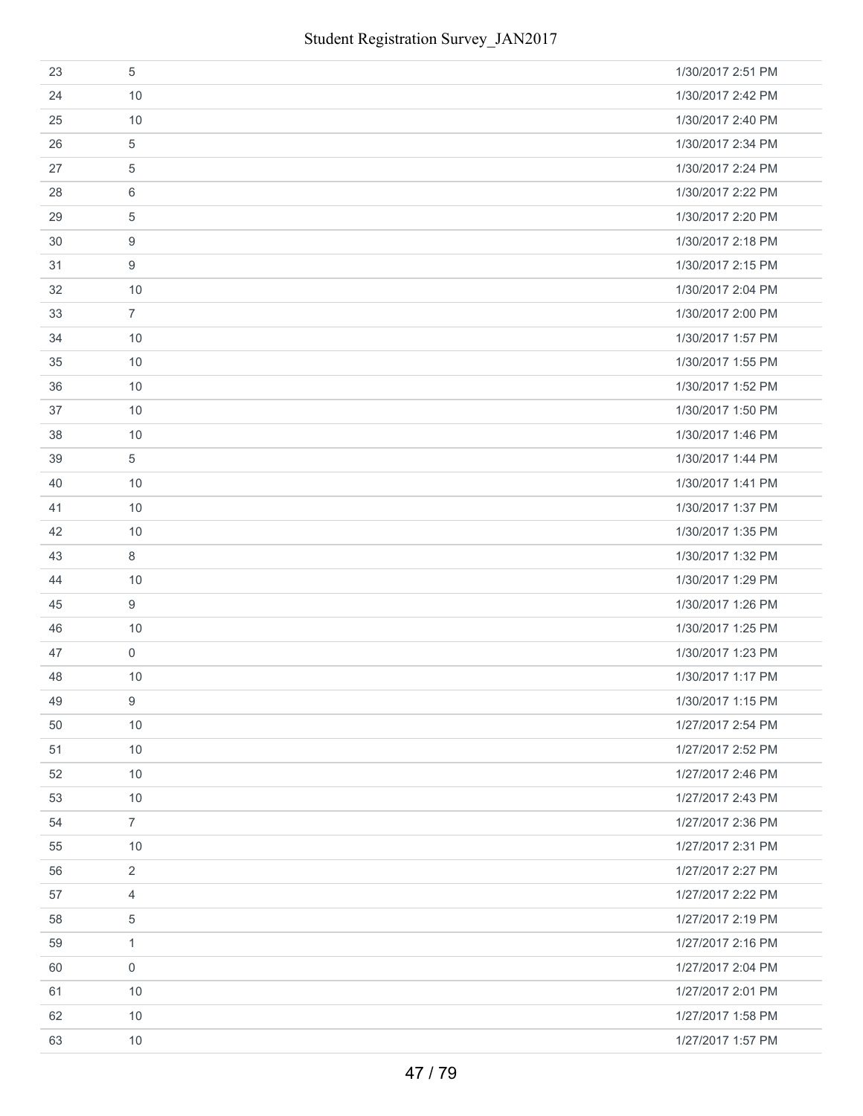| 23 | 5                   | 1/30/2017 2:51 PM |
|----|---------------------|-------------------|
| 24 | 10                  | 1/30/2017 2:42 PM |
| 25 | 10                  | 1/30/2017 2:40 PM |
| 26 | 5                   | 1/30/2017 2:34 PM |
| 27 | 5                   | 1/30/2017 2:24 PM |
| 28 | 6                   | 1/30/2017 2:22 PM |
| 29 | 5                   | 1/30/2017 2:20 PM |
| 30 | 9                   | 1/30/2017 2:18 PM |
| 31 | 9                   | 1/30/2017 2:15 PM |
| 32 | 10                  | 1/30/2017 2:04 PM |
| 33 | $\overline{7}$      | 1/30/2017 2:00 PM |
| 34 | 10                  | 1/30/2017 1:57 PM |
| 35 | 10                  | 1/30/2017 1:55 PM |
| 36 | 10                  | 1/30/2017 1:52 PM |
| 37 | 10                  | 1/30/2017 1:50 PM |
| 38 | 10                  | 1/30/2017 1:46 PM |
| 39 | 5                   | 1/30/2017 1:44 PM |
| 40 | 10                  | 1/30/2017 1:41 PM |
| 41 | 10                  | 1/30/2017 1:37 PM |
| 42 | 10                  | 1/30/2017 1:35 PM |
| 43 | 8                   | 1/30/2017 1:32 PM |
| 44 | 10                  | 1/30/2017 1:29 PM |
| 45 | 9                   | 1/30/2017 1:26 PM |
| 46 | 10                  | 1/30/2017 1:25 PM |
| 47 | $\mathsf{O}\xspace$ | 1/30/2017 1:23 PM |
| 48 | 10                  | 1/30/2017 1:17 PM |
| 49 | 9                   | 1/30/2017 1:15 PM |
| 50 | 10                  | 1/27/2017 2:54 PM |
| 51 | 10                  | 1/27/2017 2:52 PM |
| 52 | 10                  | 1/27/2017 2:46 PM |
| 53 | 10                  | 1/27/2017 2:43 PM |
| 54 | $\overline{7}$      | 1/27/2017 2:36 PM |
| 55 | 10                  | 1/27/2017 2:31 PM |
| 56 | $\overline{2}$      | 1/27/2017 2:27 PM |
| 57 | $\overline{4}$      | 1/27/2017 2:22 PM |
| 58 | $\sqrt{5}$          | 1/27/2017 2:19 PM |
| 59 | $\mathbf{1}$        | 1/27/2017 2:16 PM |
| 60 | $\mathbf 0$         | 1/27/2017 2:04 PM |
| 61 | 10                  | 1/27/2017 2:01 PM |
| 62 | 10                  | 1/27/2017 1:58 PM |
| 63 | 10                  | 1/27/2017 1:57 PM |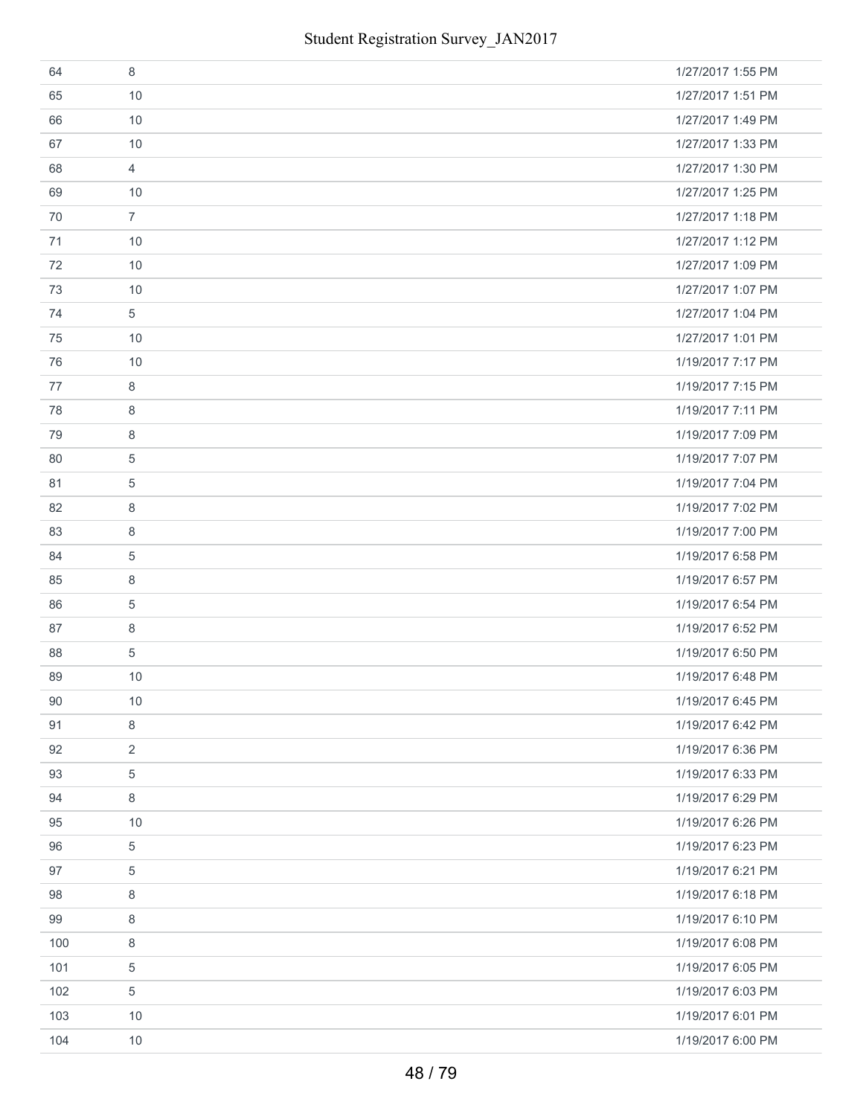| 64  | 8              | 1/27/2017 1:55 PM |
|-----|----------------|-------------------|
| 65  | 10             | 1/27/2017 1:51 PM |
| 66  | 10             | 1/27/2017 1:49 PM |
| 67  | 10             | 1/27/2017 1:33 PM |
| 68  | $\overline{4}$ | 1/27/2017 1:30 PM |
| 69  | 10             | 1/27/2017 1:25 PM |
| 70  | $\overline{7}$ | 1/27/2017 1:18 PM |
| 71  | 10             | 1/27/2017 1:12 PM |
| 72  | 10             | 1/27/2017 1:09 PM |
| 73  | 10             | 1/27/2017 1:07 PM |
| 74  | $\sqrt{5}$     | 1/27/2017 1:04 PM |
| 75  | 10             | 1/27/2017 1:01 PM |
| 76  | 10             | 1/19/2017 7:17 PM |
| 77  | 8              | 1/19/2017 7:15 PM |
| 78  | 8              | 1/19/2017 7:11 PM |
| 79  | 8              | 1/19/2017 7:09 PM |
| 80  | 5              | 1/19/2017 7:07 PM |
| 81  | $\overline{5}$ | 1/19/2017 7:04 PM |
| 82  | 8              | 1/19/2017 7:02 PM |
| 83  | 8              | 1/19/2017 7:00 PM |
| 84  | $\overline{5}$ | 1/19/2017 6:58 PM |
| 85  | 8              | 1/19/2017 6:57 PM |
| 86  | $\overline{5}$ | 1/19/2017 6:54 PM |
| 87  | 8              | 1/19/2017 6:52 PM |
| 88  | $\overline{5}$ | 1/19/2017 6:50 PM |
| 89  | 10             | 1/19/2017 6:48 PM |
| 90  | 10             | 1/19/2017 6:45 PM |
| 91  | 8              | 1/19/2017 6:42 PM |
| 92  | $\overline{2}$ | 1/19/2017 6:36 PM |
| 93  | 5              | 1/19/2017 6:33 PM |
| 94  | 8              | 1/19/2017 6:29 PM |
| 95  | 10             | 1/19/2017 6:26 PM |
| 96  | $\overline{5}$ | 1/19/2017 6:23 PM |
| 97  | 5              | 1/19/2017 6:21 PM |
| 98  | 8              | 1/19/2017 6:18 PM |
| 99  | 8              | 1/19/2017 6:10 PM |
| 100 | 8              | 1/19/2017 6:08 PM |
| 101 | $\sqrt{5}$     | 1/19/2017 6:05 PM |
| 102 | $\,$ 5 $\,$    | 1/19/2017 6:03 PM |
| 103 | 10             | 1/19/2017 6:01 PM |
| 104 | 10             | 1/19/2017 6:00 PM |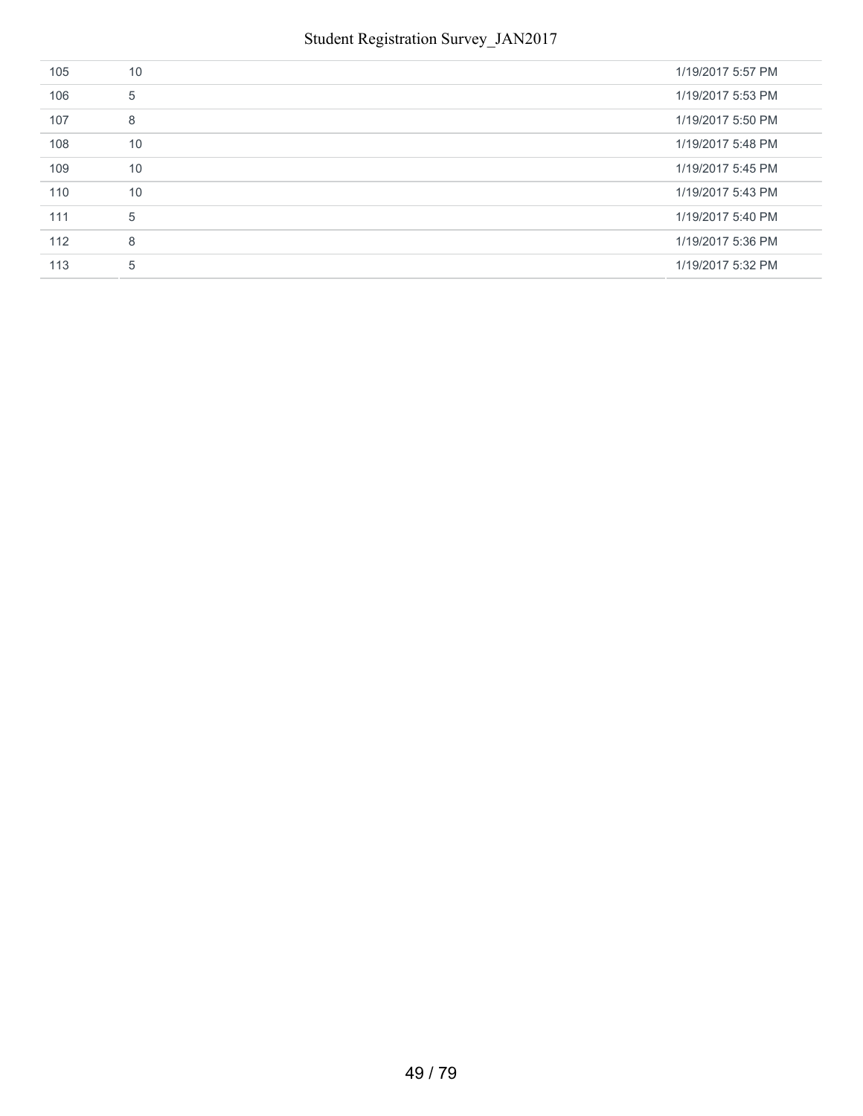| 105 | 10 | 1/19/2017 5:57 PM |
|-----|----|-------------------|
| 106 | 5  | 1/19/2017 5:53 PM |
| 107 | 8  | 1/19/2017 5:50 PM |
| 108 | 10 | 1/19/2017 5:48 PM |
| 109 | 10 | 1/19/2017 5:45 PM |
| 110 | 10 | 1/19/2017 5:43 PM |
| 111 | 5  | 1/19/2017 5:40 PM |
| 112 | 8  | 1/19/2017 5:36 PM |
| 113 | 5  | 1/19/2017 5:32 PM |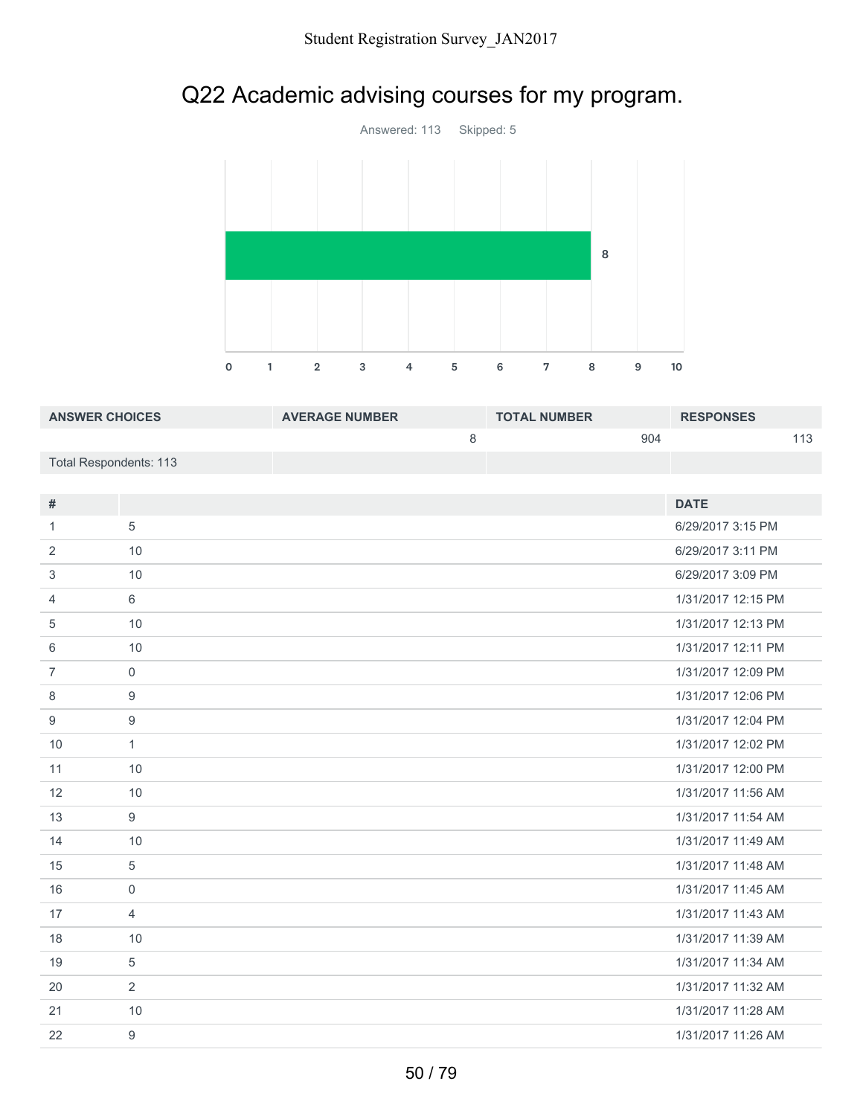# Q22 Academic advising courses for my program.



| <b>ANSWER CHOICES</b>  | <b>AVERAGE NUMBER</b> | <b>TOTAL NUMBER</b> | <b>RESPONSES</b> |
|------------------------|-----------------------|---------------------|------------------|
|                        |                       | 904                 |                  |
| Total Respondents: 113 |                       |                     |                  |

| #              |                  | <b>DATE</b>        |
|----------------|------------------|--------------------|
| 1              | 5                | 6/29/2017 3:15 PM  |
| 2              | 10               | 6/29/2017 3:11 PM  |
| 3              | 10               | 6/29/2017 3:09 PM  |
| 4              | 6                | 1/31/2017 12:15 PM |
| 5              | 10               | 1/31/2017 12:13 PM |
| 6              | 10               | 1/31/2017 12:11 PM |
| $\overline{7}$ | $\mathbf 0$      | 1/31/2017 12:09 PM |
| 8              | $\boldsymbol{9}$ | 1/31/2017 12:06 PM |
| 9              | $\boldsymbol{9}$ | 1/31/2017 12:04 PM |
| 10             | $\mathbf{1}$     | 1/31/2017 12:02 PM |
| 11             | 10               | 1/31/2017 12:00 PM |
| 12             | 10               | 1/31/2017 11:56 AM |
| 13             | 9                | 1/31/2017 11:54 AM |
| 14             | 10               | 1/31/2017 11:49 AM |
| 15             | 5                | 1/31/2017 11:48 AM |
| 16             | $\mathbf 0$      | 1/31/2017 11:45 AM |
| 17             | $\overline{4}$   | 1/31/2017 11:43 AM |
| 18             | 10               | 1/31/2017 11:39 AM |
| 19             | 5                | 1/31/2017 11:34 AM |
| 20             | 2                | 1/31/2017 11:32 AM |
| 21             | 10               | 1/31/2017 11:28 AM |
| 22             | 9                | 1/31/2017 11:26 AM |
|                |                  |                    |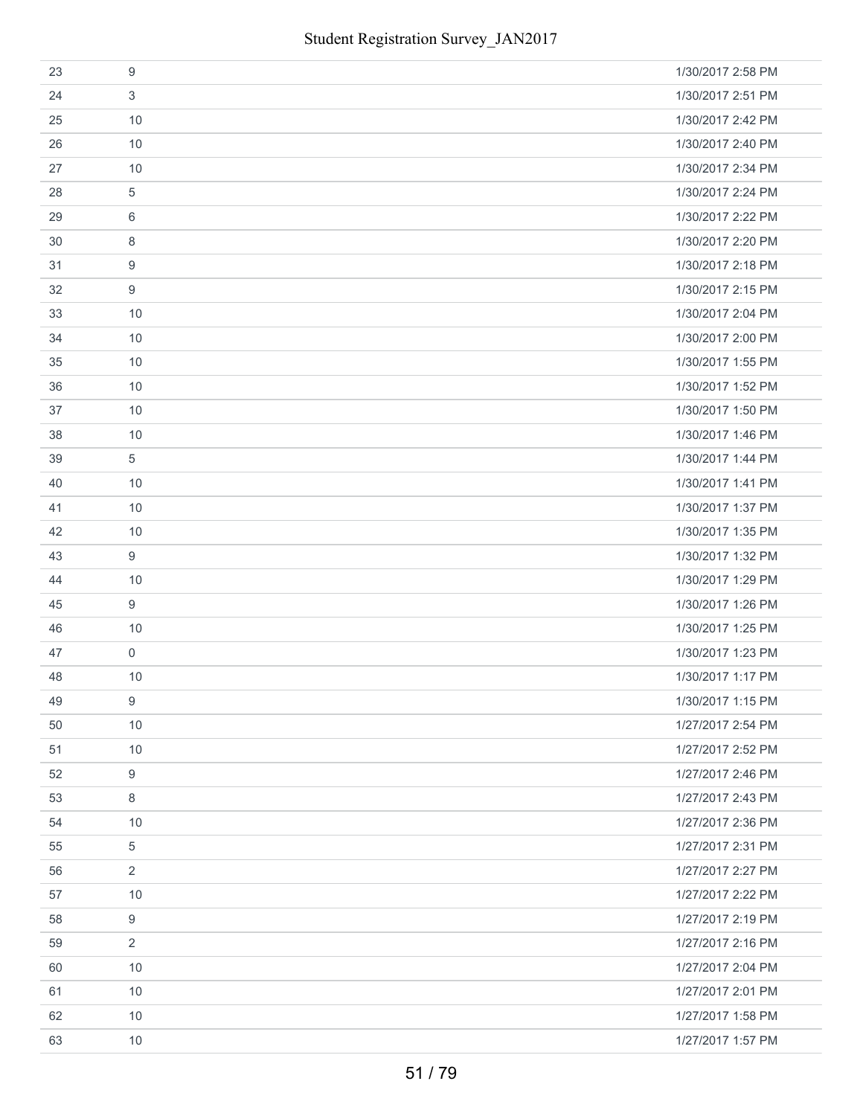| 23 | 9              | 1/30/2017 2:58 PM |
|----|----------------|-------------------|
| 24 | 3              | 1/30/2017 2:51 PM |
| 25 | 10             | 1/30/2017 2:42 PM |
| 26 | 10             | 1/30/2017 2:40 PM |
| 27 | 10             | 1/30/2017 2:34 PM |
| 28 | 5              | 1/30/2017 2:24 PM |
| 29 | 6              | 1/30/2017 2:22 PM |
| 30 | 8              | 1/30/2017 2:20 PM |
| 31 | 9              | 1/30/2017 2:18 PM |
| 32 | 9              | 1/30/2017 2:15 PM |
| 33 | 10             | 1/30/2017 2:04 PM |
| 34 | 10             | 1/30/2017 2:00 PM |
| 35 | 10             | 1/30/2017 1:55 PM |
| 36 | 10             | 1/30/2017 1:52 PM |
| 37 | 10             | 1/30/2017 1:50 PM |
| 38 | 10             | 1/30/2017 1:46 PM |
| 39 | 5              | 1/30/2017 1:44 PM |
| 40 | 10             | 1/30/2017 1:41 PM |
| 41 | 10             | 1/30/2017 1:37 PM |
| 42 | 10             | 1/30/2017 1:35 PM |
| 43 | 9              | 1/30/2017 1:32 PM |
| 44 | 10             | 1/30/2017 1:29 PM |
| 45 | 9              | 1/30/2017 1:26 PM |
| 46 | 10             | 1/30/2017 1:25 PM |
| 47 | $\mathbf 0$    | 1/30/2017 1:23 PM |
| 48 | 10             | 1/30/2017 1:17 PM |
| 49 | 9              | 1/30/2017 1:15 PM |
| 50 | 10             | 1/27/2017 2:54 PM |
| 51 | 10             | 1/27/2017 2:52 PM |
| 52 | 9              | 1/27/2017 2:46 PM |
| 53 | 8              | 1/27/2017 2:43 PM |
| 54 | 10             | 1/27/2017 2:36 PM |
| 55 | $\overline{5}$ | 1/27/2017 2:31 PM |
| 56 | $\overline{2}$ | 1/27/2017 2:27 PM |
| 57 | 10             | 1/27/2017 2:22 PM |
| 58 | 9              | 1/27/2017 2:19 PM |
| 59 | $\overline{2}$ | 1/27/2017 2:16 PM |
| 60 | 10             | 1/27/2017 2:04 PM |
| 61 | 10             | 1/27/2017 2:01 PM |
| 62 | 10             | 1/27/2017 1:58 PM |
| 63 | 10             | 1/27/2017 1:57 PM |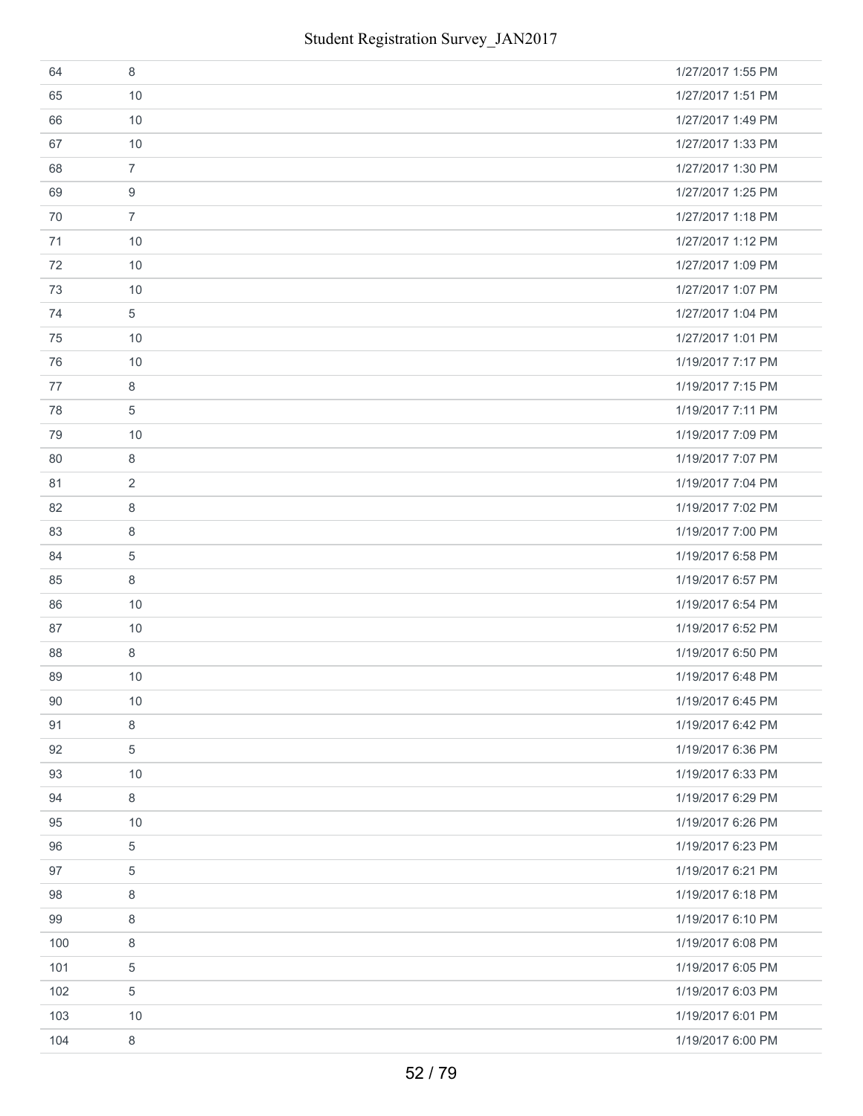| 64  | 8              | 1/27/2017 1:55 PM |
|-----|----------------|-------------------|
| 65  | 10             | 1/27/2017 1:51 PM |
| 66  | 10             | 1/27/2017 1:49 PM |
| 67  | 10             | 1/27/2017 1:33 PM |
| 68  | $\overline{7}$ | 1/27/2017 1:30 PM |
| 69  | 9              | 1/27/2017 1:25 PM |
| 70  | $\overline{7}$ | 1/27/2017 1:18 PM |
| 71  | 10             | 1/27/2017 1:12 PM |
| 72  | 10             | 1/27/2017 1:09 PM |
| 73  | 10             | 1/27/2017 1:07 PM |
| 74  | 5              | 1/27/2017 1:04 PM |
| 75  | 10             | 1/27/2017 1:01 PM |
| 76  | 10             | 1/19/2017 7:17 PM |
| 77  | 8              | 1/19/2017 7:15 PM |
| 78  | 5              | 1/19/2017 7:11 PM |
| 79  | 10             | 1/19/2017 7:09 PM |
| 80  | 8              | 1/19/2017 7:07 PM |
| 81  | 2              | 1/19/2017 7:04 PM |
| 82  | 8              | 1/19/2017 7:02 PM |
| 83  | 8              | 1/19/2017 7:00 PM |
| 84  | 5              | 1/19/2017 6:58 PM |
| 85  | 8              | 1/19/2017 6:57 PM |
| 86  | 10             | 1/19/2017 6:54 PM |
| 87  | 10             | 1/19/2017 6:52 PM |
| 88  | 8              | 1/19/2017 6:50 PM |
| 89  | 10             | 1/19/2017 6:48 PM |
| 90  | 10             | 1/19/2017 6:45 PM |
| 91  | 8              | 1/19/2017 6:42 PM |
| 92  | $\sqrt{5}$     | 1/19/2017 6:36 PM |
| 93  | 10             | 1/19/2017 6:33 PM |
| 94  | 8              | 1/19/2017 6:29 PM |
| 95  | 10             | 1/19/2017 6:26 PM |
| 96  | 5              | 1/19/2017 6:23 PM |
| 97  | 5              | 1/19/2017 6:21 PM |
| 98  | 8              | 1/19/2017 6:18 PM |
| 99  | 8              | 1/19/2017 6:10 PM |
| 100 | 8              | 1/19/2017 6:08 PM |
| 101 | 5              | 1/19/2017 6:05 PM |
| 102 | 5              | 1/19/2017 6:03 PM |
| 103 | 10             | 1/19/2017 6:01 PM |
| 104 | 8              | 1/19/2017 6:00 PM |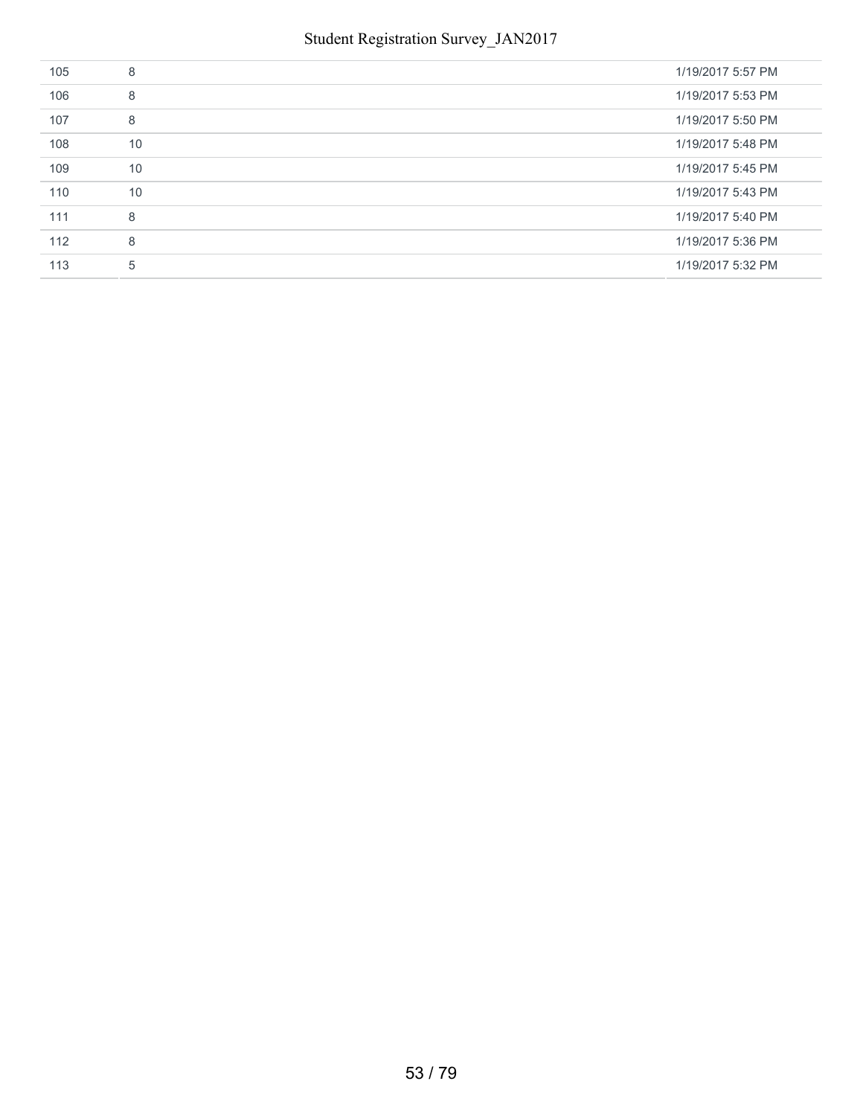| 105 | 8  | 1/19/2017 5:57 PM |
|-----|----|-------------------|
| 106 | 8  | 1/19/2017 5:53 PM |
| 107 | 8  | 1/19/2017 5:50 PM |
| 108 | 10 | 1/19/2017 5:48 PM |
| 109 | 10 | 1/19/2017 5:45 PM |
| 110 | 10 | 1/19/2017 5:43 PM |
| 111 | 8  | 1/19/2017 5:40 PM |
| 112 | 8  | 1/19/2017 5:36 PM |
| 113 | 5  | 1/19/2017 5:32 PM |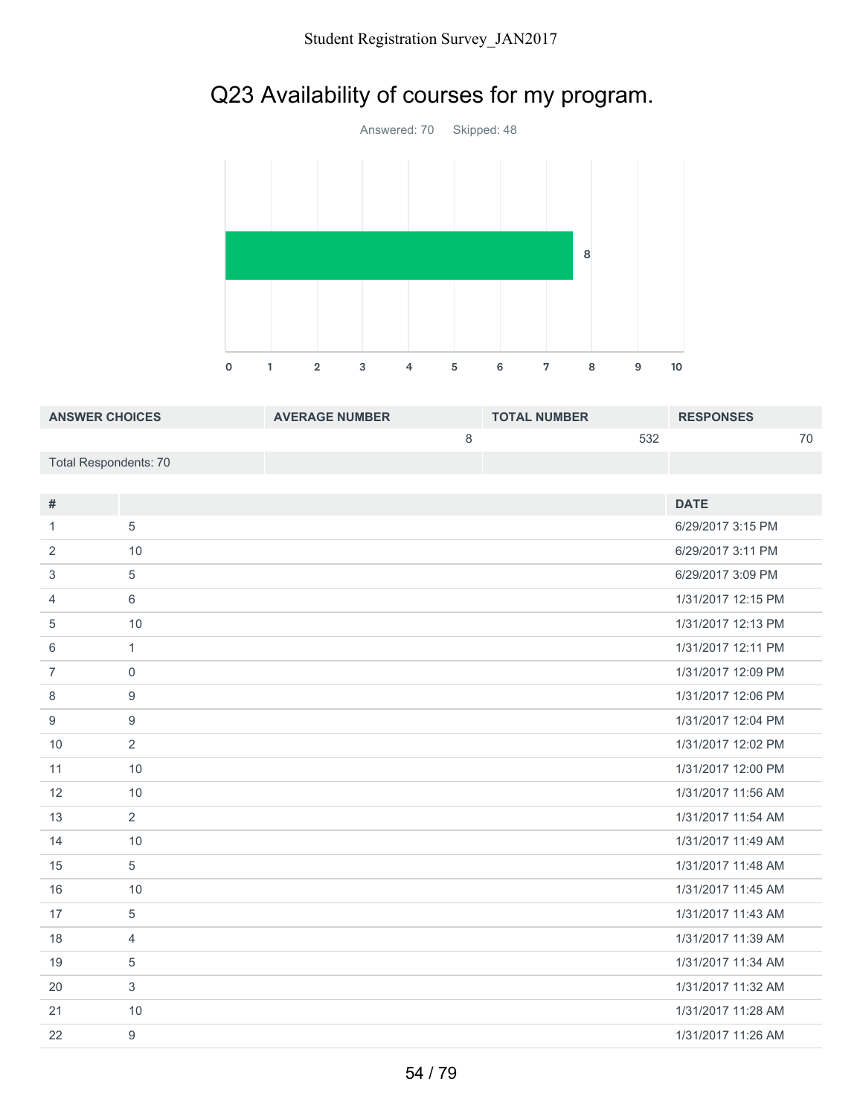# Q23 Availability of courses for my program.



| <b>ANSWER CHOICES</b> | <b>AVERAGE NUMBER</b> | <b>TOTAL NUMBER</b> | <b>RESPONSES</b> |
|-----------------------|-----------------------|---------------------|------------------|
|                       |                       | 532                 | 70               |
| Total Respondents: 70 |                       |                     |                  |
|                       |                       |                     |                  |

| #              |                | <b>DATE</b>        |
|----------------|----------------|--------------------|
| 1              | 5              | 6/29/2017 3:15 PM  |
| 2              | 10             | 6/29/2017 3:11 PM  |
| 3              | 5              | 6/29/2017 3:09 PM  |
| $\overline{4}$ | 6              | 1/31/2017 12:15 PM |
| 5              | 10             | 1/31/2017 12:13 PM |
| 6              | $\mathbf{1}$   | 1/31/2017 12:11 PM |
| $\overline{7}$ | $\mathbf 0$    | 1/31/2017 12:09 PM |
| 8              | 9              | 1/31/2017 12:06 PM |
| 9              | 9              | 1/31/2017 12:04 PM |
| 10             | 2              | 1/31/2017 12:02 PM |
| 11             | 10             | 1/31/2017 12:00 PM |
| 12             | 10             | 1/31/2017 11:56 AM |
| 13             | 2              | 1/31/2017 11:54 AM |
| 14             | 10             | 1/31/2017 11:49 AM |
| 15             | 5              | 1/31/2017 11:48 AM |
| 16             | 10             | 1/31/2017 11:45 AM |
| 17             | 5              | 1/31/2017 11:43 AM |
| 18             | $\overline{4}$ | 1/31/2017 11:39 AM |
| 19             | 5              | 1/31/2017 11:34 AM |
| 20             | 3              | 1/31/2017 11:32 AM |
| 21             | 10             | 1/31/2017 11:28 AM |
| 22             | 9              | 1/31/2017 11:26 AM |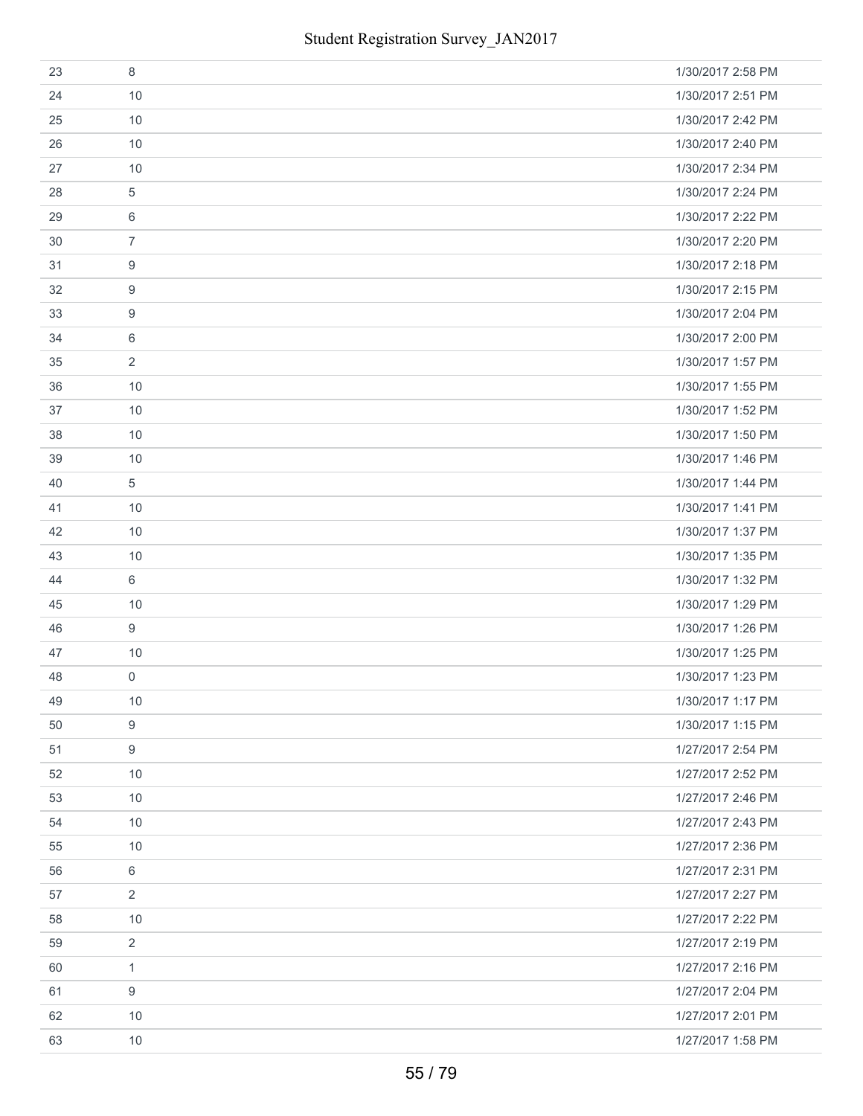| 23 | 8              | 1/30/2017 2:58 PM |
|----|----------------|-------------------|
| 24 | 10             | 1/30/2017 2:51 PM |
| 25 | 10             | 1/30/2017 2:42 PM |
| 26 | 10             | 1/30/2017 2:40 PM |
| 27 | 10             | 1/30/2017 2:34 PM |
| 28 | 5              | 1/30/2017 2:24 PM |
| 29 | 6              | 1/30/2017 2:22 PM |
| 30 | $\overline{7}$ | 1/30/2017 2:20 PM |
| 31 | 9              | 1/30/2017 2:18 PM |
| 32 | 9              | 1/30/2017 2:15 PM |
| 33 | 9              | 1/30/2017 2:04 PM |
| 34 | 6              | 1/30/2017 2:00 PM |
| 35 | $\overline{2}$ | 1/30/2017 1:57 PM |
| 36 | 10             | 1/30/2017 1:55 PM |
| 37 | 10             | 1/30/2017 1:52 PM |
| 38 | 10             | 1/30/2017 1:50 PM |
| 39 | 10             | 1/30/2017 1:46 PM |
| 40 | 5              | 1/30/2017 1:44 PM |
| 41 | 10             | 1/30/2017 1:41 PM |
| 42 | 10             | 1/30/2017 1:37 PM |
| 43 | 10             | 1/30/2017 1:35 PM |
| 44 | 6              | 1/30/2017 1:32 PM |
| 45 | 10             | 1/30/2017 1:29 PM |
| 46 | 9              | 1/30/2017 1:26 PM |
| 47 | 10             | 1/30/2017 1:25 PM |
| 48 | $\mathbf 0$    | 1/30/2017 1:23 PM |
| 49 | 10             | 1/30/2017 1:17 PM |
| 50 | 9              | 1/30/2017 1:15 PM |
| 51 | 9              | 1/27/2017 2:54 PM |
| 52 | 10             | 1/27/2017 2:52 PM |
| 53 | 10             | 1/27/2017 2:46 PM |
| 54 | 10             | 1/27/2017 2:43 PM |
| 55 | 10             | 1/27/2017 2:36 PM |
| 56 | 6              | 1/27/2017 2:31 PM |
| 57 | $\overline{2}$ | 1/27/2017 2:27 PM |
| 58 | 10             | 1/27/2017 2:22 PM |
| 59 | $\overline{2}$ | 1/27/2017 2:19 PM |
| 60 | $\mathbf{1}$   | 1/27/2017 2:16 PM |
| 61 | 9              | 1/27/2017 2:04 PM |
| 62 | 10             | 1/27/2017 2:01 PM |
| 63 | 10             | 1/27/2017 1:58 PM |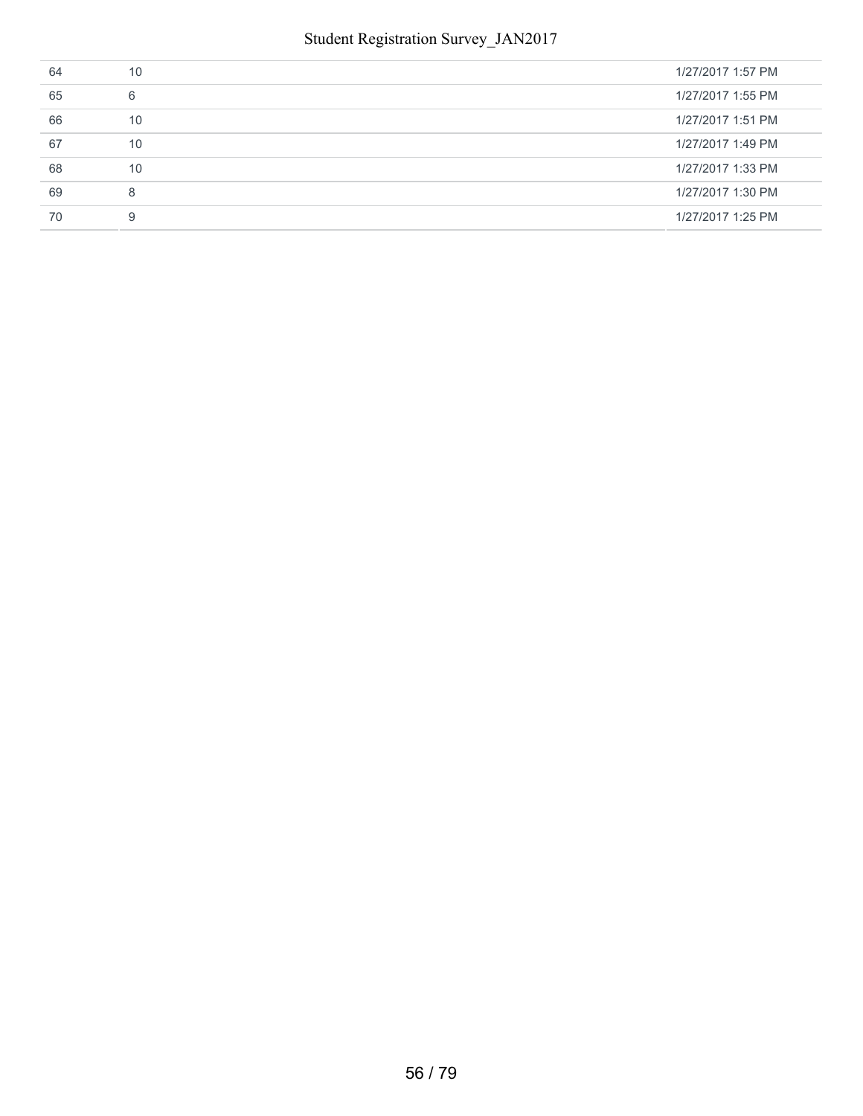#### Student Registration Survey\_JAN2017

| 64 | 10 | 1/27/2017 1:57 PM |
|----|----|-------------------|
| 65 | 6  | 1/27/2017 1:55 PM |
| 66 | 10 | 1/27/2017 1:51 PM |
| 67 | 10 | 1/27/2017 1:49 PM |
| 68 | 10 | 1/27/2017 1:33 PM |
| 69 | 8  | 1/27/2017 1:30 PM |
| 70 | 9  | 1/27/2017 1:25 PM |
|    |    |                   |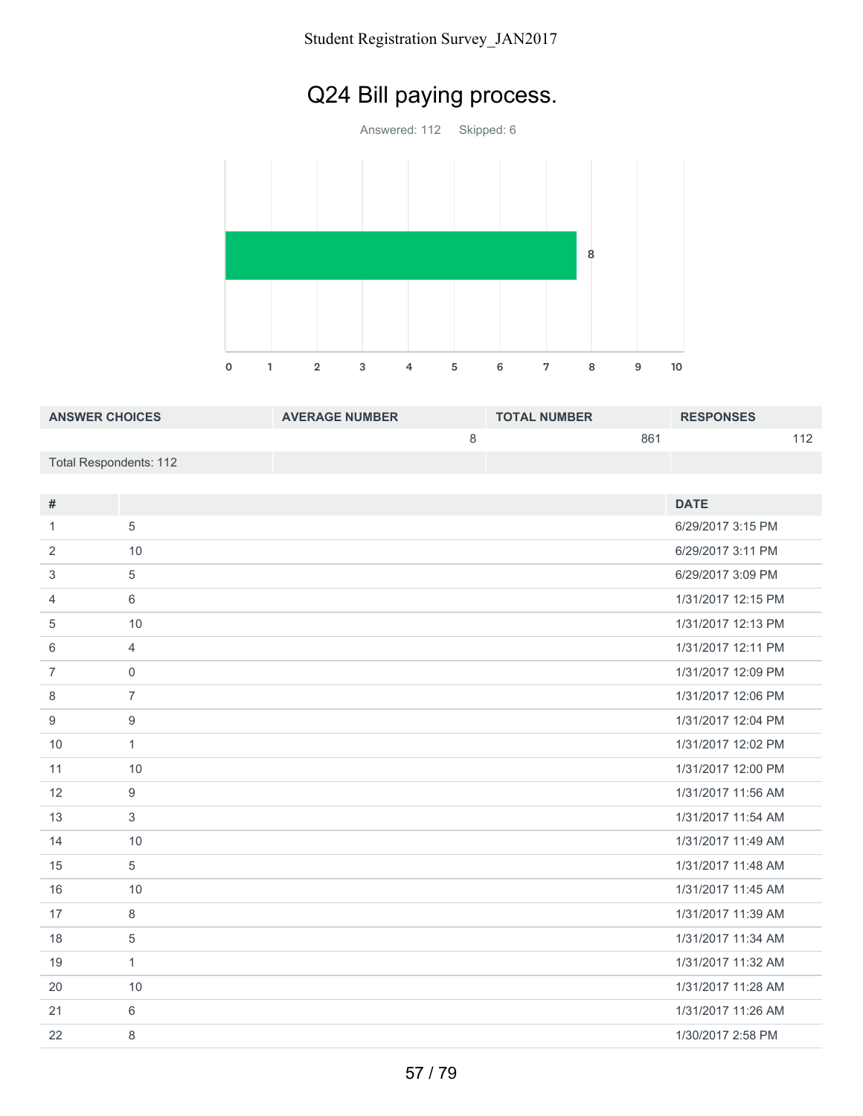# Q24 Bill paying process.

Answered: 112 Skipped: 6



| <b>ANSWER CHOICES</b>  | <b>AVERAGE NUMBER</b> | <b>TOTAL NUMBER</b> | <b>RESPONSES</b> |     |
|------------------------|-----------------------|---------------------|------------------|-----|
|                        |                       |                     | 861              | 11つ |
| Total Respondents: 112 |                       |                     |                  |     |

| #              |                | <b>DATE</b>        |
|----------------|----------------|--------------------|
| 1.             | 5              | 6/29/2017 3:15 PM  |
| 2              | 10             | 6/29/2017 3:11 PM  |
| 3              | 5              | 6/29/2017 3:09 PM  |
| 4              | 6              | 1/31/2017 12:15 PM |
| 5              | 10             | 1/31/2017 12:13 PM |
| 6              | $\overline{4}$ | 1/31/2017 12:11 PM |
| $\overline{7}$ | $\mathbf 0$    | 1/31/2017 12:09 PM |
| 8              | $\overline{7}$ | 1/31/2017 12:06 PM |
| 9              | 9              | 1/31/2017 12:04 PM |
| 10             | $\mathbf{1}$   | 1/31/2017 12:02 PM |
| 11             | 10             | 1/31/2017 12:00 PM |
| 12             | 9              | 1/31/2017 11:56 AM |
| 13             | 3              | 1/31/2017 11:54 AM |
| 14             | 10             | 1/31/2017 11:49 AM |
| 15             | 5              | 1/31/2017 11:48 AM |
| 16             | 10             | 1/31/2017 11:45 AM |
| 17             | 8              | 1/31/2017 11:39 AM |
| 18             | $\sqrt{5}$     | 1/31/2017 11:34 AM |
| 19             | $\mathbf{1}$   | 1/31/2017 11:32 AM |
| 20             | 10             | 1/31/2017 11:28 AM |
| 21             | 6              | 1/31/2017 11:26 AM |
| 22             | 8              | 1/30/2017 2:58 PM  |
|                |                |                    |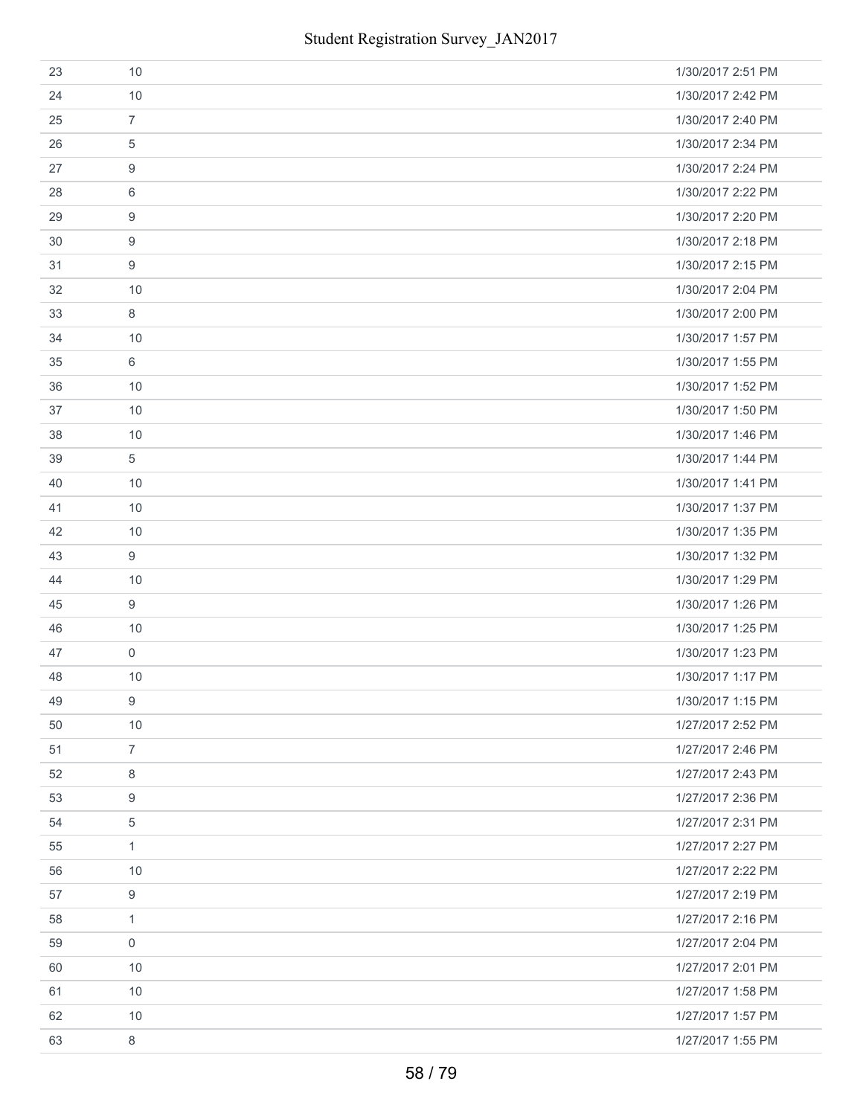| 23 | 10                  | 1/30/2017 2:51 PM |
|----|---------------------|-------------------|
| 24 | 10                  | 1/30/2017 2:42 PM |
| 25 | $\overline{7}$      | 1/30/2017 2:40 PM |
| 26 | 5                   | 1/30/2017 2:34 PM |
| 27 | 9                   | 1/30/2017 2:24 PM |
| 28 | 6                   | 1/30/2017 2:22 PM |
| 29 | 9                   | 1/30/2017 2:20 PM |
| 30 | 9                   | 1/30/2017 2:18 PM |
| 31 | 9                   | 1/30/2017 2:15 PM |
| 32 | 10                  | 1/30/2017 2:04 PM |
| 33 | 8                   | 1/30/2017 2:00 PM |
| 34 | 10                  | 1/30/2017 1:57 PM |
| 35 | 6                   | 1/30/2017 1:55 PM |
| 36 | 10                  | 1/30/2017 1:52 PM |
| 37 | 10                  | 1/30/2017 1:50 PM |
| 38 | 10                  | 1/30/2017 1:46 PM |
| 39 | $\overline{5}$      | 1/30/2017 1:44 PM |
| 40 | 10                  | 1/30/2017 1:41 PM |
| 41 | 10                  | 1/30/2017 1:37 PM |
| 42 | 10                  | 1/30/2017 1:35 PM |
| 43 | 9                   | 1/30/2017 1:32 PM |
| 44 | 10                  | 1/30/2017 1:29 PM |
| 45 | 9                   | 1/30/2017 1:26 PM |
| 46 | 10                  | 1/30/2017 1:25 PM |
| 47 | $\mathsf{O}\xspace$ | 1/30/2017 1:23 PM |
| 48 | 10                  | 1/30/2017 1:17 PM |
| 49 | 9                   | 1/30/2017 1:15 PM |
| 50 | 10                  | 1/27/2017 2:52 PM |
| 51 | $\overline{7}$      | 1/27/2017 2:46 PM |
| 52 | 8                   | 1/27/2017 2:43 PM |
| 53 | 9                   | 1/27/2017 2:36 PM |
| 54 | $\overline{5}$      | 1/27/2017 2:31 PM |
| 55 | $\mathbf{1}$        | 1/27/2017 2:27 PM |
| 56 | 10                  | 1/27/2017 2:22 PM |
| 57 | 9                   | 1/27/2017 2:19 PM |
| 58 | $\mathbf{1}$        | 1/27/2017 2:16 PM |
| 59 | $\mathbf 0$         | 1/27/2017 2:04 PM |
| 60 | 10                  | 1/27/2017 2:01 PM |
| 61 | 10                  | 1/27/2017 1:58 PM |
| 62 | 10                  | 1/27/2017 1:57 PM |
| 63 | 8                   | 1/27/2017 1:55 PM |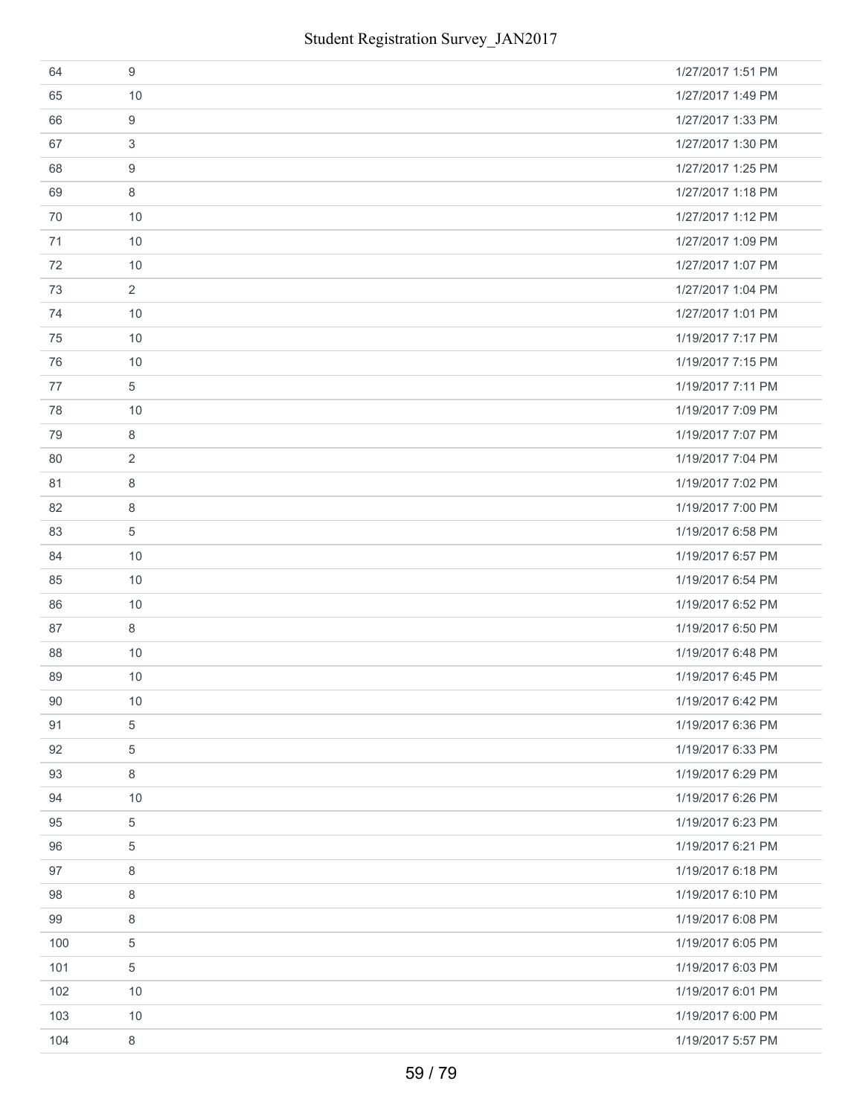| 64  | 9              | 1/27/2017 1:51 PM |
|-----|----------------|-------------------|
| 65  | 10             | 1/27/2017 1:49 PM |
| 66  | 9              | 1/27/2017 1:33 PM |
| 67  | 3              | 1/27/2017 1:30 PM |
| 68  | 9              | 1/27/2017 1:25 PM |
| 69  | 8              | 1/27/2017 1:18 PM |
| 70  | 10             | 1/27/2017 1:12 PM |
| 71  | 10             | 1/27/2017 1:09 PM |
| 72  | 10             | 1/27/2017 1:07 PM |
| 73  | $\overline{2}$ | 1/27/2017 1:04 PM |
| 74  | 10             | 1/27/2017 1:01 PM |
| 75  | 10             | 1/19/2017 7:17 PM |
| 76  | 10             | 1/19/2017 7:15 PM |
| 77  | $\overline{5}$ | 1/19/2017 7:11 PM |
| 78  | 10             | 1/19/2017 7:09 PM |
| 79  | 8              | 1/19/2017 7:07 PM |
| 80  | 2              | 1/19/2017 7:04 PM |
| 81  | 8              | 1/19/2017 7:02 PM |
| 82  | 8              | 1/19/2017 7:00 PM |
| 83  | 5              | 1/19/2017 6:58 PM |
| 84  | 10             | 1/19/2017 6:57 PM |
| 85  | 10             | 1/19/2017 6:54 PM |
| 86  | 10             | 1/19/2017 6:52 PM |
| 87  | 8              | 1/19/2017 6:50 PM |
| 88  | 10             | 1/19/2017 6:48 PM |
| 89  | 10             | 1/19/2017 6:45 PM |
| 90  | 10             | 1/19/2017 6:42 PM |
| 91  | 5              | 1/19/2017 6:36 PM |
| 92  | 5              | 1/19/2017 6:33 PM |
| 93  | 8              | 1/19/2017 6:29 PM |
| 94  | 10             | 1/19/2017 6:26 PM |
| 95  | 5              | 1/19/2017 6:23 PM |
| 96  | 5              | 1/19/2017 6:21 PM |
| 97  | 8              | 1/19/2017 6:18 PM |
| 98  | 8              | 1/19/2017 6:10 PM |
| 99  | 8              | 1/19/2017 6:08 PM |
| 100 | 5              | 1/19/2017 6:05 PM |
| 101 | 5              | 1/19/2017 6:03 PM |
| 102 | 10             | 1/19/2017 6:01 PM |
| 103 | 10             | 1/19/2017 6:00 PM |
| 104 | 8              | 1/19/2017 5:57 PM |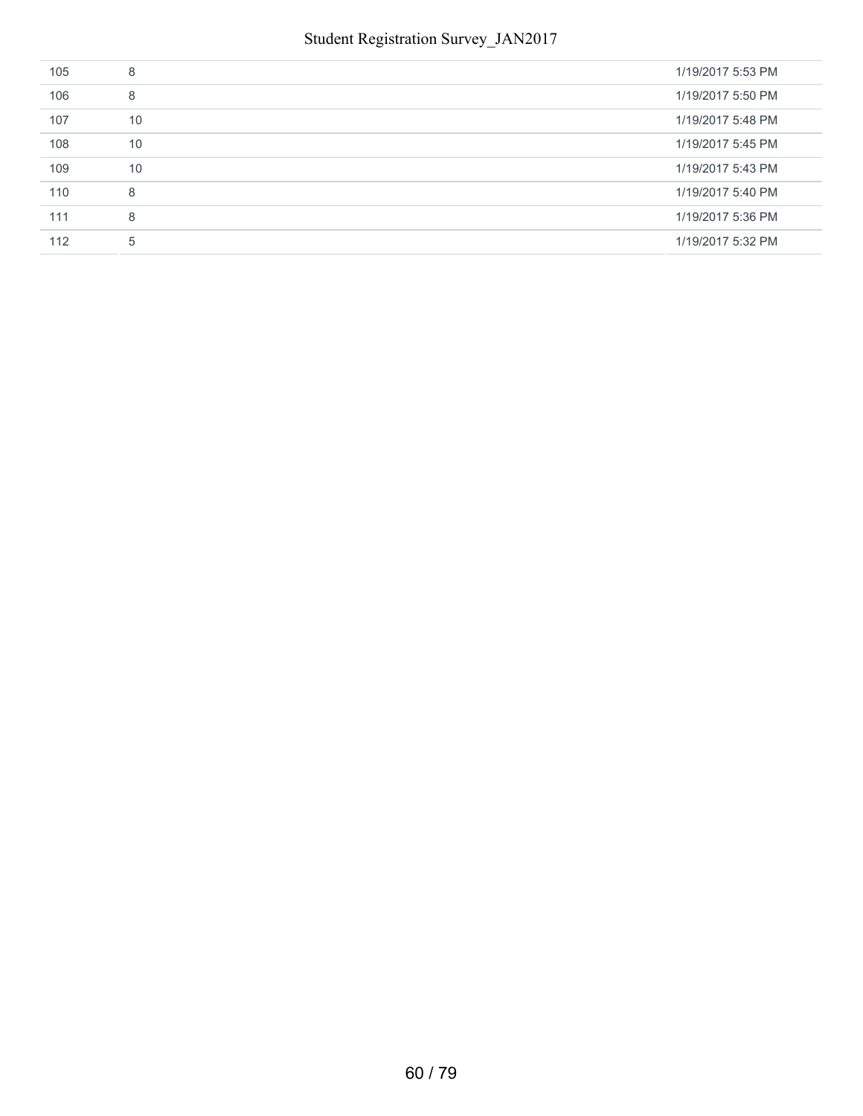| 105 | 8  | 1/19/2017 5:53 PM |
|-----|----|-------------------|
| 106 | 8  | 1/19/2017 5:50 PM |
| 107 | 10 | 1/19/2017 5:48 PM |
| 108 | 10 | 1/19/2017 5:45 PM |
| 109 | 10 | 1/19/2017 5:43 PM |
| 110 | 8  | 1/19/2017 5:40 PM |
| 111 | 8  | 1/19/2017 5:36 PM |
| 112 | 5  | 1/19/2017 5:32 PM |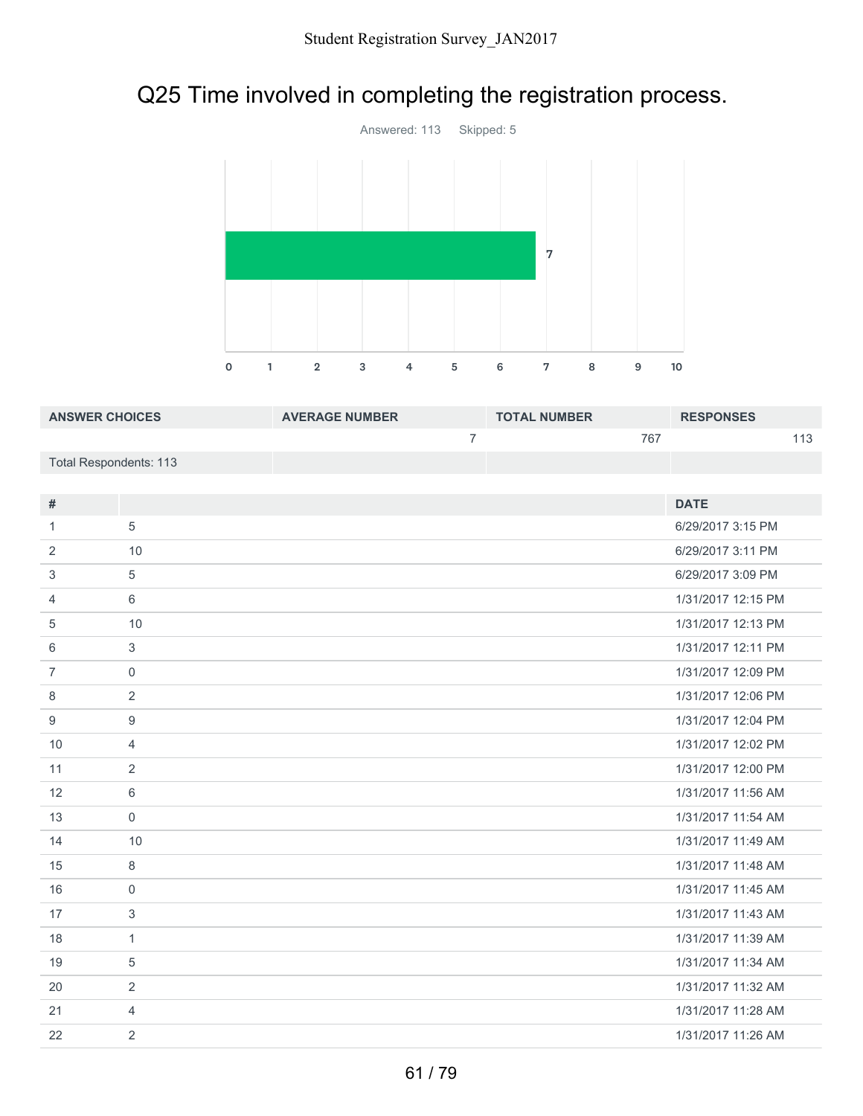# Q25 Time involved in completing the registration process.



| <b>ANSWER CHOICES</b>  | <b>AVERAGE NUMBER</b> | <b>TOTAL NUMBER</b> | <b>RESPONSES</b> |
|------------------------|-----------------------|---------------------|------------------|
|                        |                       | 767                 |                  |
| Total Respondents: 113 |                       |                     |                  |

| #              |                  | <b>DATE</b>        |
|----------------|------------------|--------------------|
| 1              | 5                | 6/29/2017 3:15 PM  |
| 2              | 10               | 6/29/2017 3:11 PM  |
| 3              | 5                | 6/29/2017 3:09 PM  |
| 4              | 6                | 1/31/2017 12:15 PM |
| 5              | 10               | 1/31/2017 12:13 PM |
| 6              | 3                | 1/31/2017 12:11 PM |
| $\overline{7}$ | $\mathbf 0$      | 1/31/2017 12:09 PM |
| 8              | $\overline{2}$   | 1/31/2017 12:06 PM |
| 9              | $\boldsymbol{9}$ | 1/31/2017 12:04 PM |
| 10             | $\overline{4}$   | 1/31/2017 12:02 PM |
| 11             | 2                | 1/31/2017 12:00 PM |
| 12             | 6                | 1/31/2017 11:56 AM |
| 13             | $\overline{0}$   | 1/31/2017 11:54 AM |
| 14             | 10               | 1/31/2017 11:49 AM |
| 15             | 8                | 1/31/2017 11:48 AM |
| 16             | $\mathbf 0$      | 1/31/2017 11:45 AM |
| 17             | 3                | 1/31/2017 11:43 AM |
| 18             | $\mathbf{1}$     | 1/31/2017 11:39 AM |
| 19             | 5                | 1/31/2017 11:34 AM |
| 20             | 2                | 1/31/2017 11:32 AM |
| 21             | $\overline{4}$   | 1/31/2017 11:28 AM |
| 22             | 2                | 1/31/2017 11:26 AM |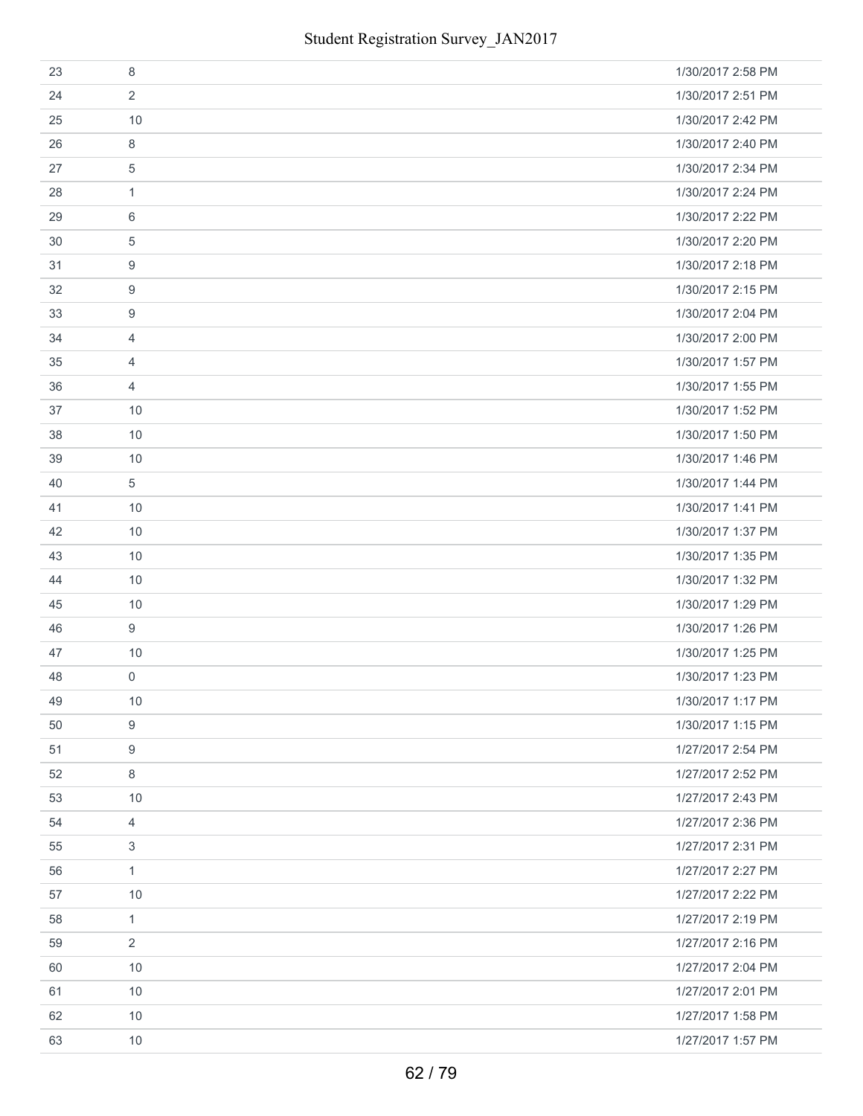| 23 | 8              | 1/30/2017 2:58 PM |
|----|----------------|-------------------|
| 24 | $\overline{2}$ | 1/30/2017 2:51 PM |
| 25 | 10             | 1/30/2017 2:42 PM |
| 26 | 8              | 1/30/2017 2:40 PM |
| 27 | 5              | 1/30/2017 2:34 PM |
| 28 | 1              | 1/30/2017 2:24 PM |
| 29 | 6              | 1/30/2017 2:22 PM |
| 30 | 5              | 1/30/2017 2:20 PM |
| 31 | 9              | 1/30/2017 2:18 PM |
| 32 | 9              | 1/30/2017 2:15 PM |
| 33 | 9              | 1/30/2017 2:04 PM |
| 34 | $\overline{4}$ | 1/30/2017 2:00 PM |
| 35 | 4              | 1/30/2017 1:57 PM |
| 36 | $\overline{4}$ | 1/30/2017 1:55 PM |
| 37 | 10             | 1/30/2017 1:52 PM |
| 38 | 10             | 1/30/2017 1:50 PM |
| 39 | 10             | 1/30/2017 1:46 PM |
| 40 | 5              | 1/30/2017 1:44 PM |
| 41 | 10             | 1/30/2017 1:41 PM |
| 42 | 10             | 1/30/2017 1:37 PM |
| 43 | 10             | 1/30/2017 1:35 PM |
| 44 | 10             | 1/30/2017 1:32 PM |
| 45 | 10             | 1/30/2017 1:29 PM |
| 46 | 9              | 1/30/2017 1:26 PM |
| 47 | 10             | 1/30/2017 1:25 PM |
| 48 | 0              | 1/30/2017 1:23 PM |
| 49 | 10             | 1/30/2017 1:17 PM |
| 50 | 9              | 1/30/2017 1:15 PM |
| 51 | 9              | 1/27/2017 2:54 PM |
| 52 | 8              | 1/27/2017 2:52 PM |
| 53 | 10             | 1/27/2017 2:43 PM |
| 54 | 4              | 1/27/2017 2:36 PM |
| 55 | 3              | 1/27/2017 2:31 PM |
| 56 | $\mathbf{1}$   | 1/27/2017 2:27 PM |
| 57 | 10             | 1/27/2017 2:22 PM |
| 58 | $\mathbf{1}$   | 1/27/2017 2:19 PM |
| 59 | $\overline{2}$ | 1/27/2017 2:16 PM |
| 60 | 10             | 1/27/2017 2:04 PM |
| 61 | 10             | 1/27/2017 2:01 PM |
| 62 | 10             | 1/27/2017 1:58 PM |
| 63 | 10             | 1/27/2017 1:57 PM |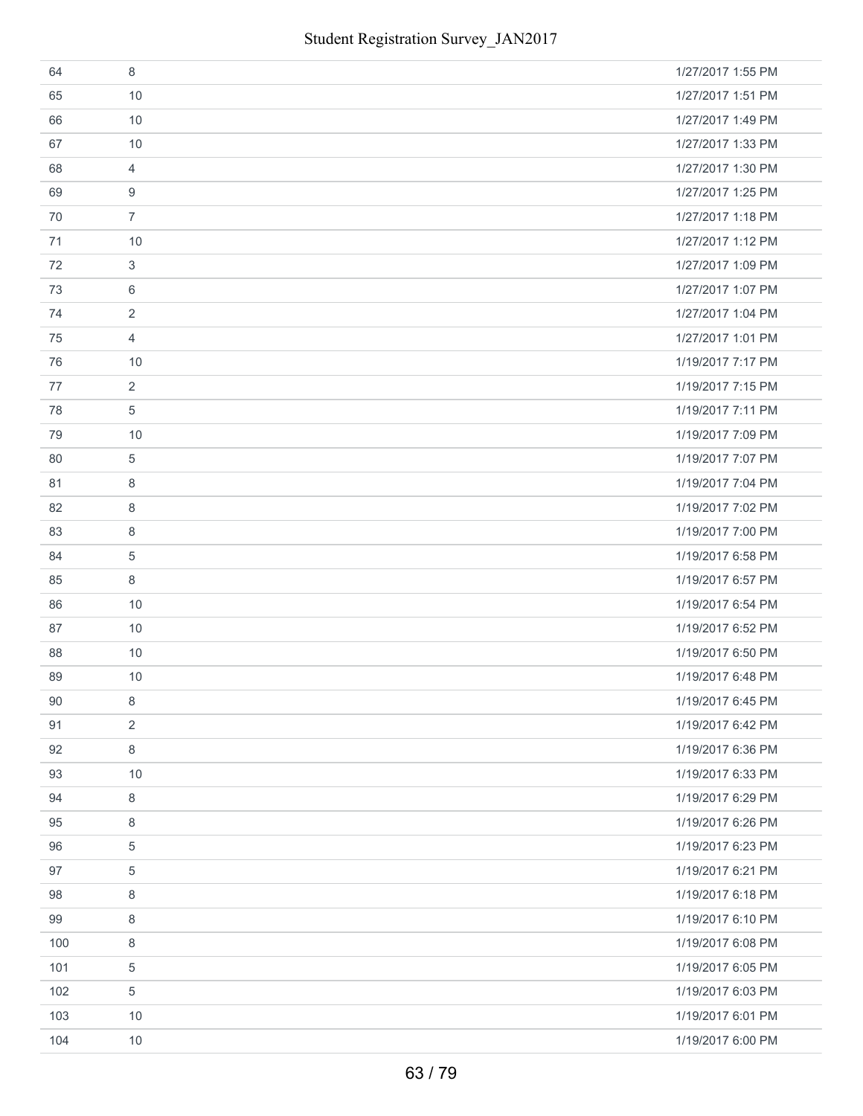| 64  | 8              | 1/27/2017 1:55 PM |
|-----|----------------|-------------------|
| 65  | 10             | 1/27/2017 1:51 PM |
| 66  | 10             | 1/27/2017 1:49 PM |
| 67  | 10             | 1/27/2017 1:33 PM |
| 68  | $\overline{4}$ | 1/27/2017 1:30 PM |
| 69  | 9              | 1/27/2017 1:25 PM |
| 70  | $\overline{7}$ | 1/27/2017 1:18 PM |
| 71  | 10             | 1/27/2017 1:12 PM |
| 72  | 3              | 1/27/2017 1:09 PM |
| 73  | 6              | 1/27/2017 1:07 PM |
| 74  | 2              | 1/27/2017 1:04 PM |
| 75  | $\overline{4}$ | 1/27/2017 1:01 PM |
| 76  | 10             | 1/19/2017 7:17 PM |
| 77  | $\overline{2}$ | 1/19/2017 7:15 PM |
| 78  | 5              | 1/19/2017 7:11 PM |
| 79  | 10             | 1/19/2017 7:09 PM |
| 80  | 5              | 1/19/2017 7:07 PM |
| 81  | 8              | 1/19/2017 7:04 PM |
| 82  | 8              | 1/19/2017 7:02 PM |
| 83  | 8              | 1/19/2017 7:00 PM |
| 84  | 5              | 1/19/2017 6:58 PM |
| 85  | 8              | 1/19/2017 6:57 PM |
| 86  | 10             | 1/19/2017 6:54 PM |
| 87  | 10             | 1/19/2017 6:52 PM |
| 88  | 10             | 1/19/2017 6:50 PM |
| 89  | 10             | 1/19/2017 6:48 PM |
| 90  | 8              | 1/19/2017 6:45 PM |
| 91  | 2              | 1/19/2017 6:42 PM |
| 92  | $\,8\,$        | 1/19/2017 6:36 PM |
| 93  | 10             | 1/19/2017 6:33 PM |
| 94  | 8              | 1/19/2017 6:29 PM |
| 95  | 8              | 1/19/2017 6:26 PM |
| 96  | 5              | 1/19/2017 6:23 PM |
| 97  | 5              | 1/19/2017 6:21 PM |
| 98  | 8              | 1/19/2017 6:18 PM |
| 99  | 8              | 1/19/2017 6:10 PM |
| 100 | 8              | 1/19/2017 6:08 PM |
| 101 | 5              | 1/19/2017 6:05 PM |
| 102 | 5              | 1/19/2017 6:03 PM |
| 103 | 10             | 1/19/2017 6:01 PM |
| 104 | 10             | 1/19/2017 6:00 PM |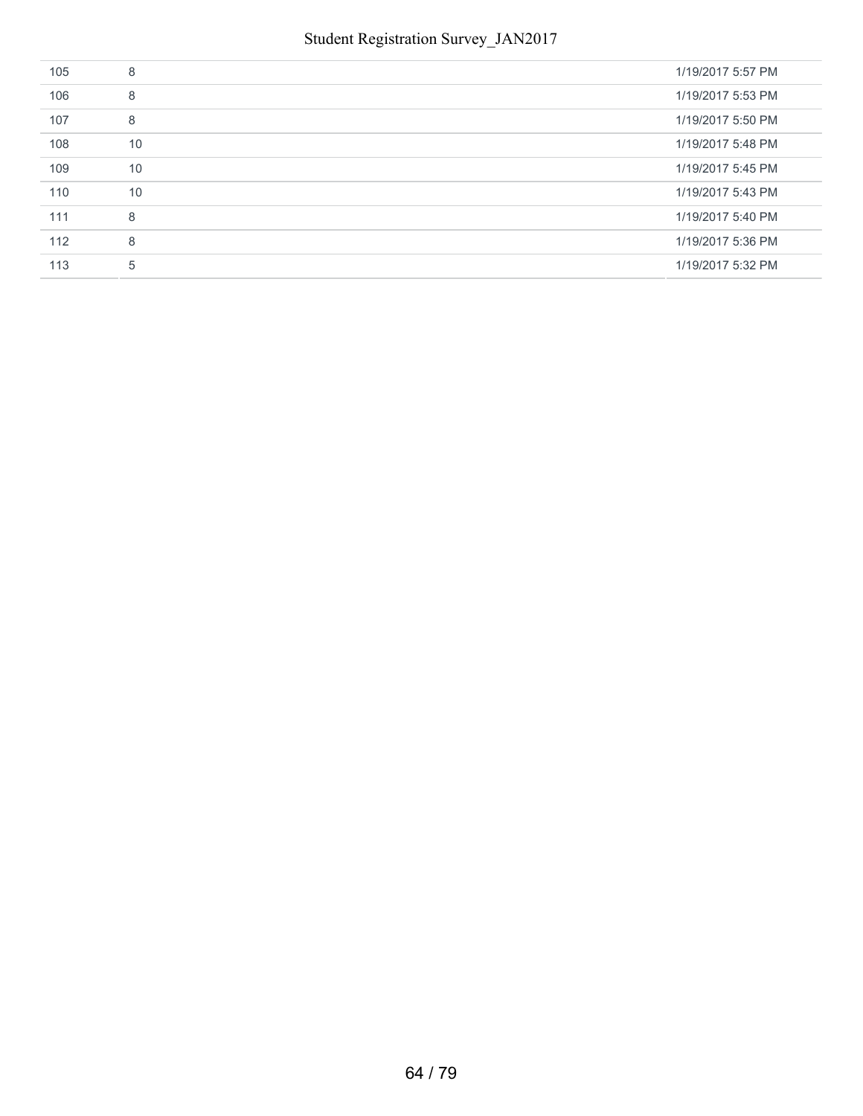| 105 | 8  | 1/19/2017 5:57 PM |
|-----|----|-------------------|
| 106 | 8  | 1/19/2017 5:53 PM |
| 107 | 8  | 1/19/2017 5:50 PM |
| 108 | 10 | 1/19/2017 5:48 PM |
| 109 | 10 | 1/19/2017 5:45 PM |
| 110 | 10 | 1/19/2017 5:43 PM |
| 111 | 8  | 1/19/2017 5:40 PM |
| 112 | 8  | 1/19/2017 5:36 PM |
| 113 | 5  | 1/19/2017 5:32 PM |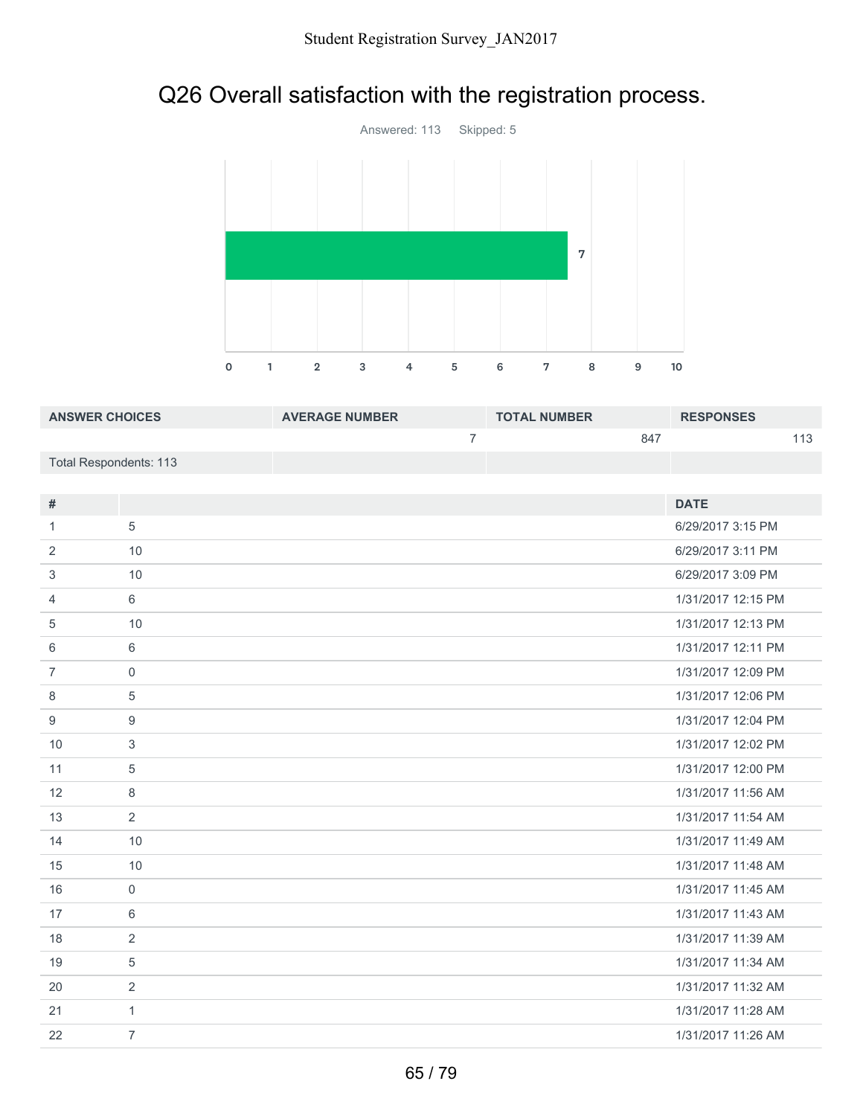# Q26 Overall satisfaction with the registration process.



| <b>ANSWER CHOICES</b>  | <b>AVERAGE NUMBER</b> | <b>TOTAL NUMBER</b> | <b>RESPONSES</b> |
|------------------------|-----------------------|---------------------|------------------|
|                        |                       | 847                 | 112              |
| Total Respondents: 113 |                       |                     |                  |

| $\#$           |                | <b>DATE</b>        |
|----------------|----------------|--------------------|
| 1              | 5              | 6/29/2017 3:15 PM  |
| 2              | 10             | 6/29/2017 3:11 PM  |
| 3              | 10             | 6/29/2017 3:09 PM  |
| 4              | 6              | 1/31/2017 12:15 PM |
| 5              | 10             | 1/31/2017 12:13 PM |
| 6              | 6              | 1/31/2017 12:11 PM |
| $\overline{7}$ | $\mathbf{0}$   | 1/31/2017 12:09 PM |
| 8              | 5              | 1/31/2017 12:06 PM |
| 9              | 9              | 1/31/2017 12:04 PM |
| 10             | 3              | 1/31/2017 12:02 PM |
| 11             | 5              | 1/31/2017 12:00 PM |
| 12             | 8              | 1/31/2017 11:56 AM |
| 13             | 2              | 1/31/2017 11:54 AM |
| 14             | 10             | 1/31/2017 11:49 AM |
| 15             | 10             | 1/31/2017 11:48 AM |
| 16             | $\mathbf{0}$   | 1/31/2017 11:45 AM |
| 17             | 6              | 1/31/2017 11:43 AM |
| 18             | 2              | 1/31/2017 11:39 AM |
| 19             | 5              | 1/31/2017 11:34 AM |
| 20             | 2              | 1/31/2017 11:32 AM |
| 21             | $\mathbf{1}$   | 1/31/2017 11:28 AM |
| 22             | $\overline{7}$ | 1/31/2017 11:26 AM |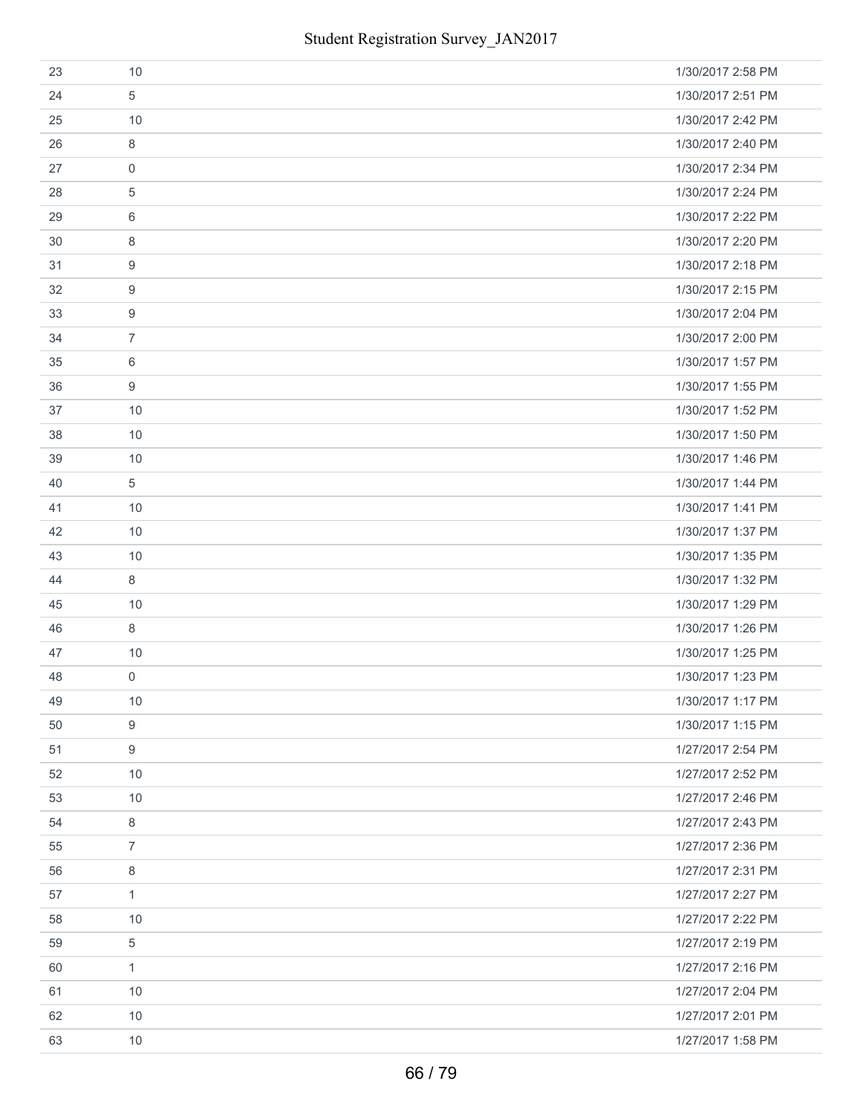| 23 | 10             | 1/30/2017 2:58 PM |
|----|----------------|-------------------|
| 24 | 5              | 1/30/2017 2:51 PM |
| 25 | 10             | 1/30/2017 2:42 PM |
| 26 | 8              | 1/30/2017 2:40 PM |
| 27 | $\mathbf 0$    | 1/30/2017 2:34 PM |
| 28 | 5              | 1/30/2017 2:24 PM |
| 29 | 6              | 1/30/2017 2:22 PM |
| 30 | 8              | 1/30/2017 2:20 PM |
| 31 | 9              | 1/30/2017 2:18 PM |
| 32 | 9              | 1/30/2017 2:15 PM |
| 33 | 9              | 1/30/2017 2:04 PM |
| 34 | $\overline{7}$ | 1/30/2017 2:00 PM |
| 35 | 6              | 1/30/2017 1:57 PM |
| 36 | 9              | 1/30/2017 1:55 PM |
| 37 | 10             | 1/30/2017 1:52 PM |
| 38 | 10             | 1/30/2017 1:50 PM |
| 39 | 10             | 1/30/2017 1:46 PM |
| 40 | 5              | 1/30/2017 1:44 PM |
| 41 | 10             | 1/30/2017 1:41 PM |
| 42 | 10             | 1/30/2017 1:37 PM |
| 43 | 10             | 1/30/2017 1:35 PM |
| 44 | 8              | 1/30/2017 1:32 PM |
| 45 | 10             | 1/30/2017 1:29 PM |
| 46 | 8              | 1/30/2017 1:26 PM |
| 47 | 10             | 1/30/2017 1:25 PM |
| 48 | $\mathbf 0$    | 1/30/2017 1:23 PM |
| 49 | 10             | 1/30/2017 1:17 PM |
| 50 | 9              | 1/30/2017 1:15 PM |
| 51 | 9              | 1/27/2017 2:54 PM |
| 52 | 10             | 1/27/2017 2:52 PM |
| 53 | 10             | 1/27/2017 2:46 PM |
| 54 | 8              | 1/27/2017 2:43 PM |
| 55 | $\overline{7}$ | 1/27/2017 2:36 PM |
| 56 | 8              | 1/27/2017 2:31 PM |
| 57 | $\mathbf{1}$   | 1/27/2017 2:27 PM |
| 58 | 10             | 1/27/2017 2:22 PM |
| 59 | 5              | 1/27/2017 2:19 PM |
| 60 | $\mathbf{1}$   | 1/27/2017 2:16 PM |
| 61 | 10             | 1/27/2017 2:04 PM |
| 62 | 10             | 1/27/2017 2:01 PM |
| 63 | 10             | 1/27/2017 1:58 PM |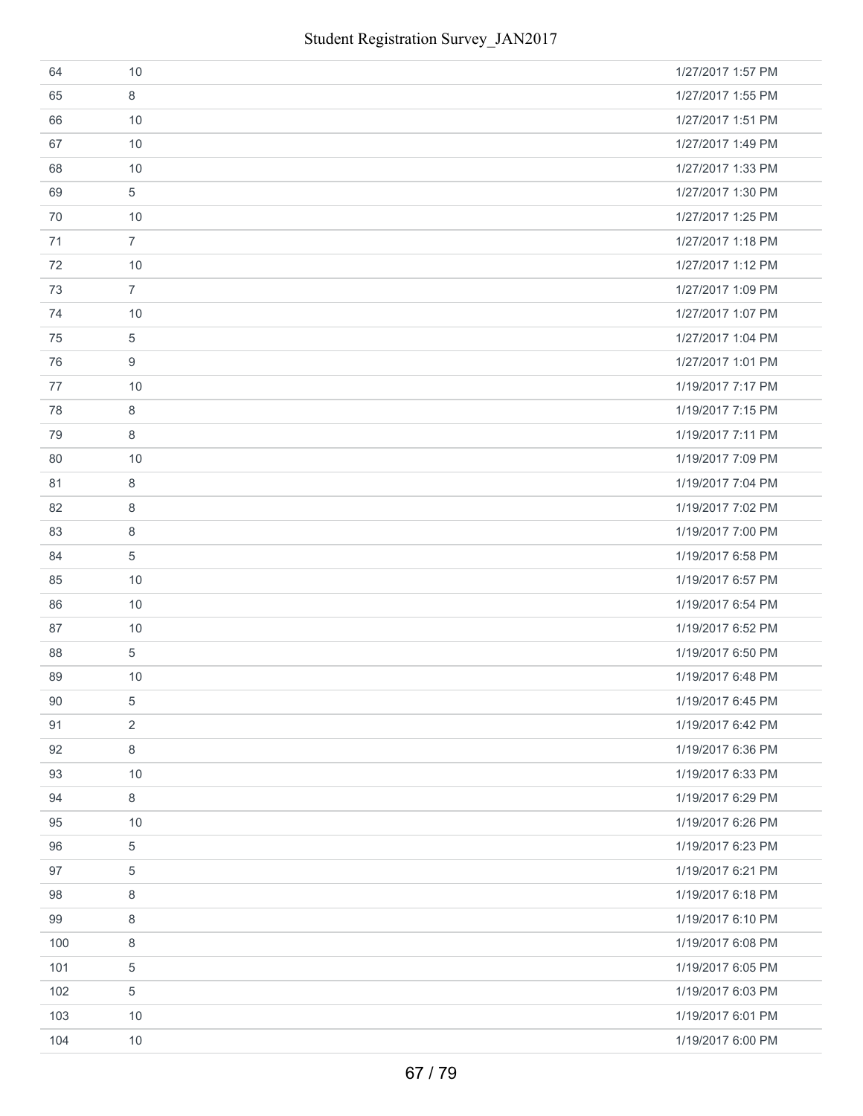| 64  | 10             | 1/27/2017 1:57 PM |
|-----|----------------|-------------------|
| 65  | 8              | 1/27/2017 1:55 PM |
| 66  | 10             | 1/27/2017 1:51 PM |
| 67  | 10             | 1/27/2017 1:49 PM |
| 68  | 10             | 1/27/2017 1:33 PM |
| 69  | 5              | 1/27/2017 1:30 PM |
| 70  | 10             | 1/27/2017 1:25 PM |
| 71  | $\overline{7}$ | 1/27/2017 1:18 PM |
| 72  | 10             | 1/27/2017 1:12 PM |
| 73  | $\overline{7}$ | 1/27/2017 1:09 PM |
| 74  | 10             | 1/27/2017 1:07 PM |
| 75  | $\overline{5}$ | 1/27/2017 1:04 PM |
| 76  | 9              | 1/27/2017 1:01 PM |
| 77  | 10             | 1/19/2017 7:17 PM |
| 78  | 8              | 1/19/2017 7:15 PM |
| 79  | 8              | 1/19/2017 7:11 PM |
| 80  | 10             | 1/19/2017 7:09 PM |
| 81  | 8              | 1/19/2017 7:04 PM |
| 82  | 8              | 1/19/2017 7:02 PM |
| 83  | 8              | 1/19/2017 7:00 PM |
| 84  | $\overline{5}$ | 1/19/2017 6:58 PM |
| 85  | 10             | 1/19/2017 6:57 PM |
| 86  | 10             | 1/19/2017 6:54 PM |
| 87  | 10             | 1/19/2017 6:52 PM |
| 88  | 5              | 1/19/2017 6:50 PM |
| 89  | 10             | 1/19/2017 6:48 PM |
| 90  | 5              | 1/19/2017 6:45 PM |
| 91  | 2              | 1/19/2017 6:42 PM |
| 92  | $\,8\,$        | 1/19/2017 6:36 PM |
| 93  | 10             | 1/19/2017 6:33 PM |
| 94  | 8              | 1/19/2017 6:29 PM |
| 95  | 10             | 1/19/2017 6:26 PM |
| 96  | 5              | 1/19/2017 6:23 PM |
| 97  | $\overline{5}$ | 1/19/2017 6:21 PM |
| 98  | 8              | 1/19/2017 6:18 PM |
| 99  | 8              | 1/19/2017 6:10 PM |
| 100 | $\,8\,$        | 1/19/2017 6:08 PM |
| 101 | 5              | 1/19/2017 6:05 PM |
| 102 | $\,$ 5 $\,$    | 1/19/2017 6:03 PM |
| 103 | 10             | 1/19/2017 6:01 PM |
| 104 | 10             | 1/19/2017 6:00 PM |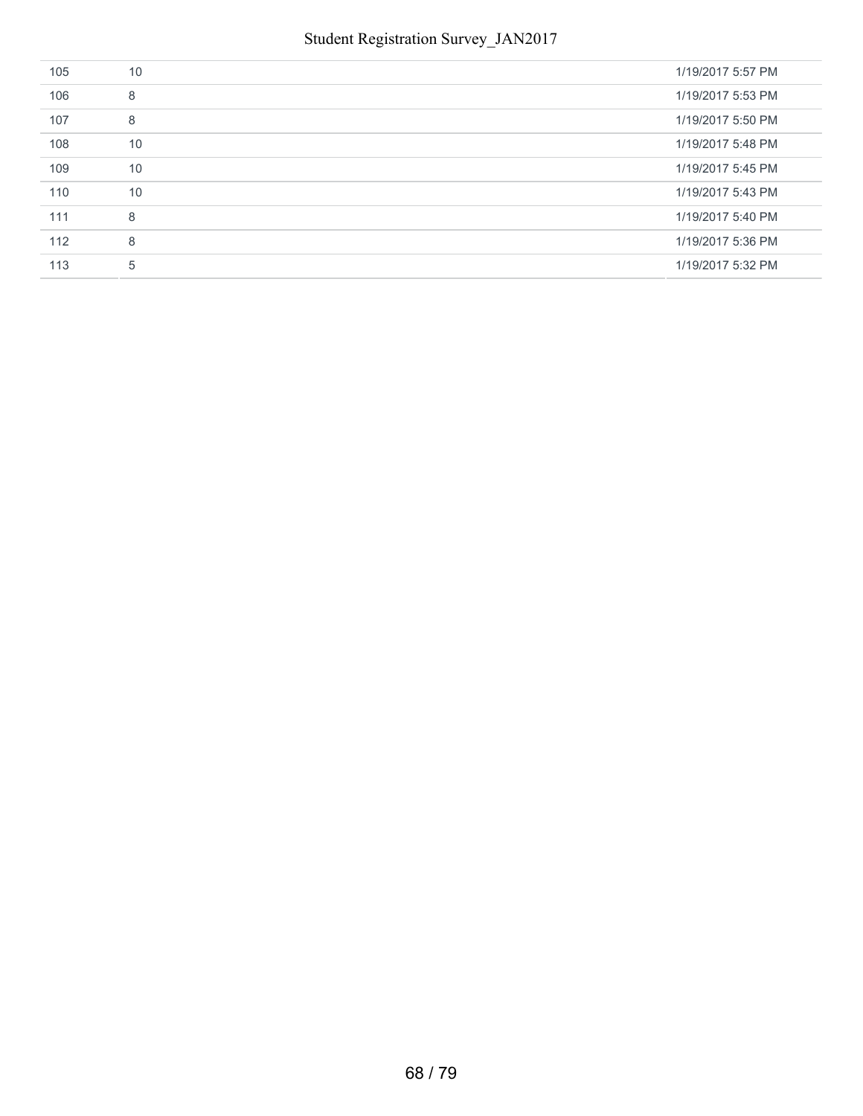| 105 | 10 | 1/19/2017 5:57 PM |
|-----|----|-------------------|
| 106 | 8  | 1/19/2017 5:53 PM |
| 107 | 8  | 1/19/2017 5:50 PM |
| 108 | 10 | 1/19/2017 5:48 PM |
| 109 | 10 | 1/19/2017 5:45 PM |
| 110 | 10 | 1/19/2017 5:43 PM |
| 111 | 8  | 1/19/2017 5:40 PM |
| 112 | 8  | 1/19/2017 5:36 PM |
| 113 | 5  | 1/19/2017 5:32 PM |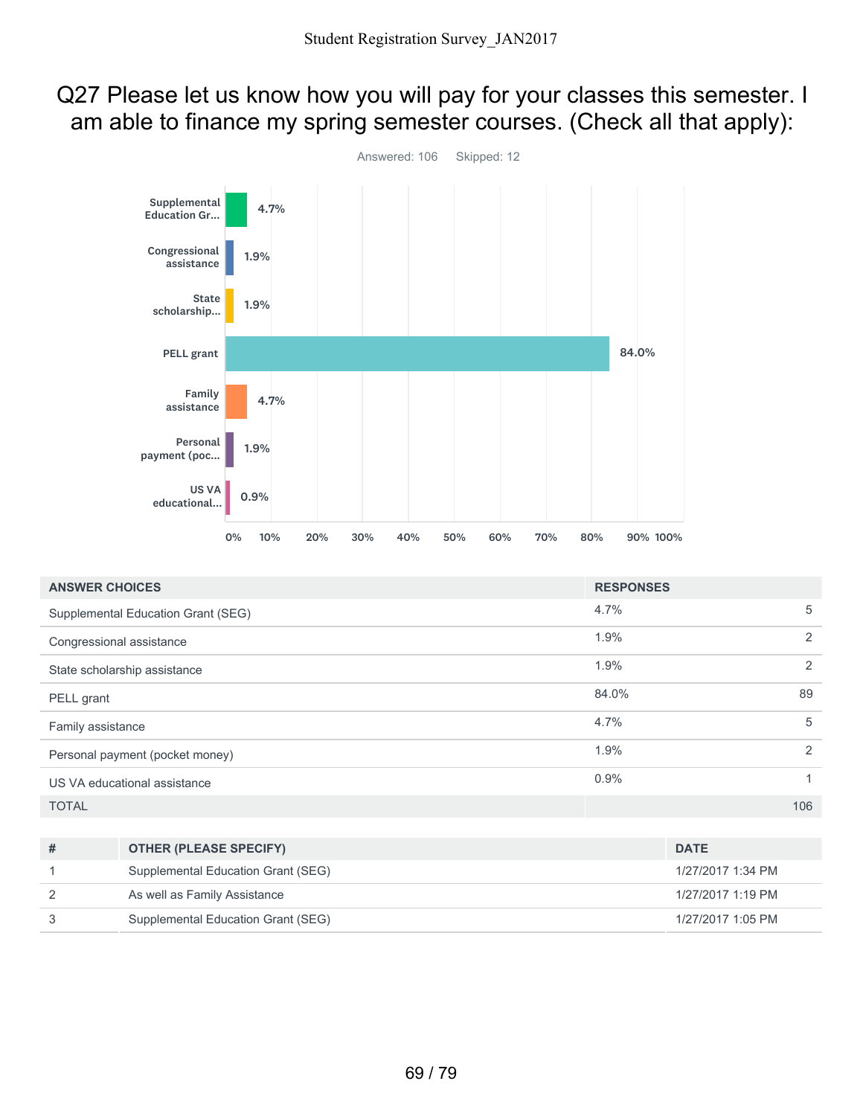#### Q27 Please let us know how you will pay for your classes this semester. I am able to finance my spring semester courses. (Check all that apply):



| <b>ANSWER CHOICES</b>              |                                    | <b>RESPONSES</b> |                   |  |
|------------------------------------|------------------------------------|------------------|-------------------|--|
| Supplemental Education Grant (SEG) |                                    | 4.7%             | 5                 |  |
| Congressional assistance           |                                    | 1.9%             | 2                 |  |
|                                    | State scholarship assistance       | 1.9%             | 2                 |  |
| PELL grant                         |                                    | 84.0%            | 89                |  |
| Family assistance                  |                                    | 4.7%             | 5                 |  |
| Personal payment (pocket money)    |                                    | 1.9%             | 2                 |  |
| US VA educational assistance       |                                    | 0.9%             | 1                 |  |
| <b>TOTAL</b>                       |                                    |                  | 106               |  |
|                                    |                                    |                  |                   |  |
| #                                  | <b>OTHER (PLEASE SPECIFY)</b>      |                  | <b>DATE</b>       |  |
| 1                                  | Supplemental Education Grant (SEG) |                  | 1/27/2017 1:34 PM |  |
| 2                                  | As well as Family Assistance       |                  | 1/27/2017 1:19 PM |  |
| 3                                  | Supplemental Education Grant (SEG) |                  | 1/27/2017 1:05 PM |  |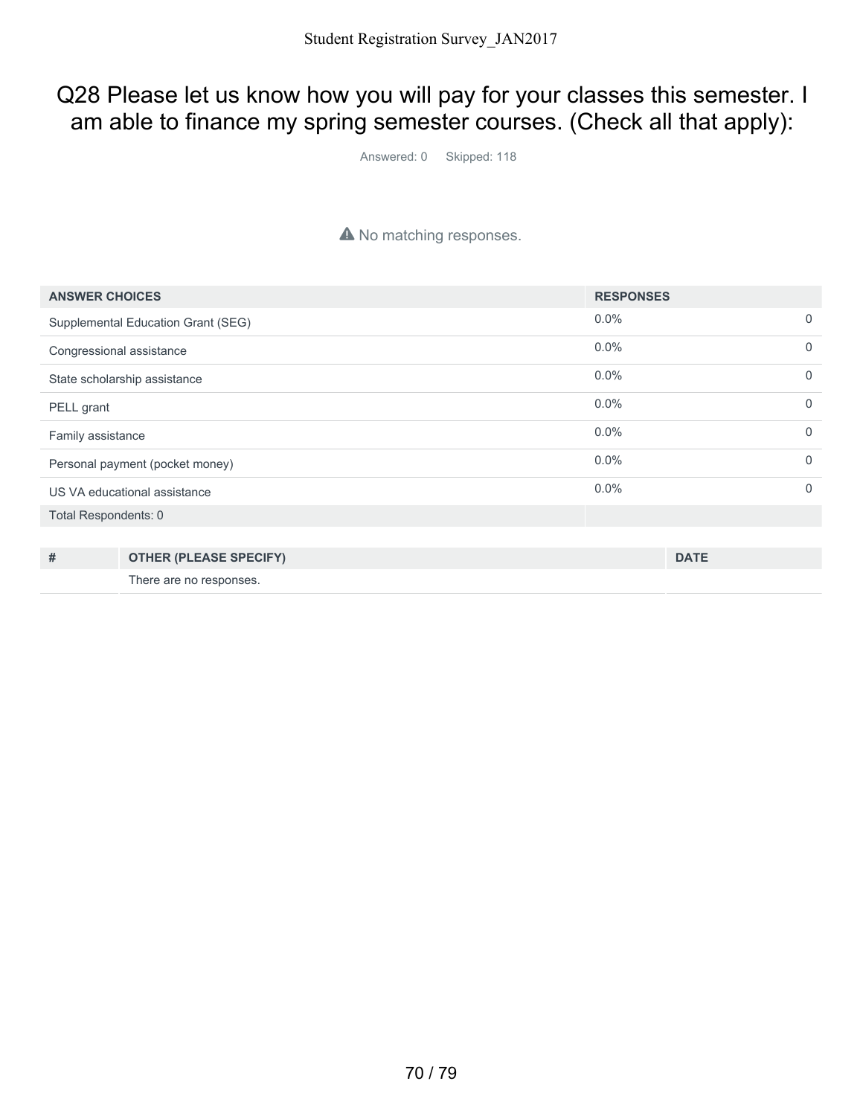#### Q28 Please let us know how you will pay for your classes this semester. I am able to finance my spring semester courses. (Check all that apply):

Answered: 0 Skipped: 118

#### A No matching responses.

| <b>ANSWER CHOICES</b>              |                               | <b>RESPONSES</b> |             |             |
|------------------------------------|-------------------------------|------------------|-------------|-------------|
| Supplemental Education Grant (SEG) |                               | $0.0\%$          |             | $\mathbf 0$ |
| Congressional assistance           |                               | $0.0\%$          |             | $\mathbf 0$ |
| State scholarship assistance       |                               | 0.0%             |             | $\Omega$    |
| PELL grant                         |                               | 0.0%             |             | $\mathbf 0$ |
| Family assistance                  |                               | 0.0%             |             | $\Omega$    |
| Personal payment (pocket money)    |                               | 0.0%             |             | $\Omega$    |
| US VA educational assistance       |                               | 0.0%             |             | $\Omega$    |
| Total Respondents: 0               |                               |                  |             |             |
|                                    |                               |                  |             |             |
| #                                  | <b>OTHER (PLEASE SPECIFY)</b> |                  | <b>DATE</b> |             |
|                                    | There are no responses.       |                  |             |             |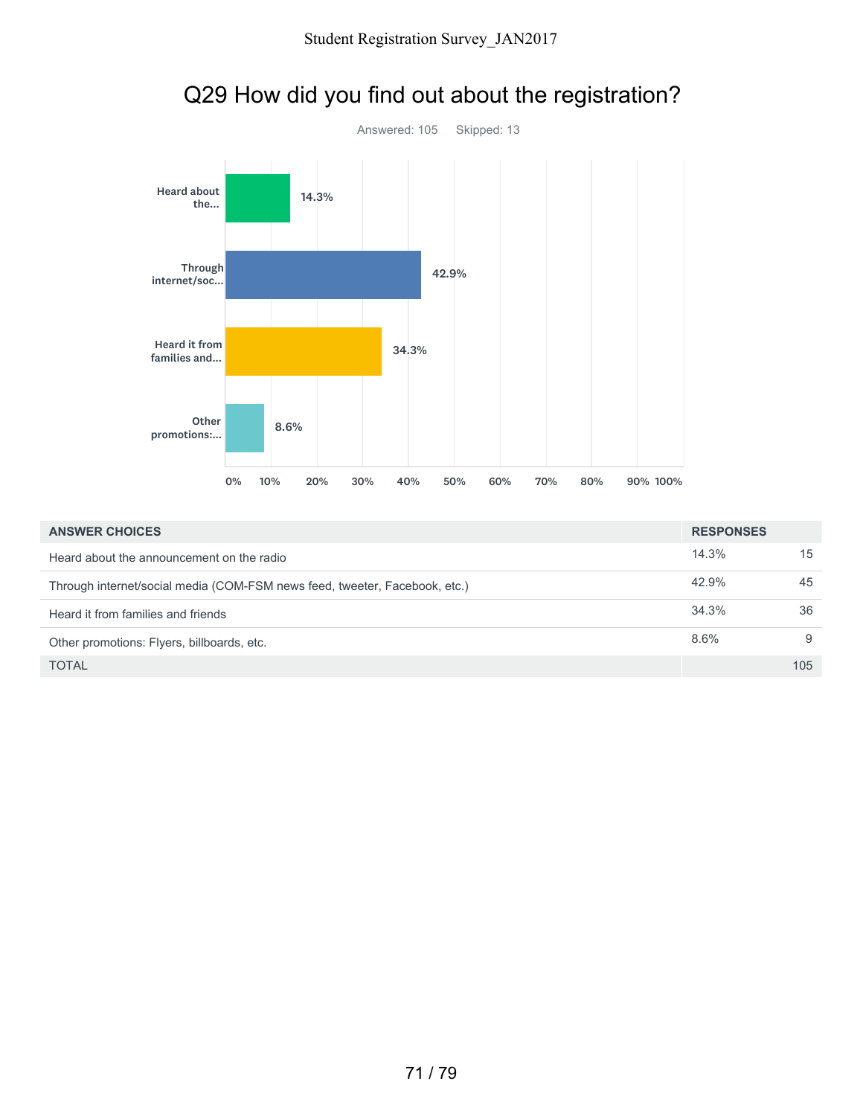

# Q29 How did you find out about the registration?

| <b>ANSWER CHOICES</b>                                                      | <b>RESPONSES</b> |     |
|----------------------------------------------------------------------------|------------------|-----|
| Heard about the announcement on the radio                                  | 14.3%            | 15  |
| Through internet/social media (COM-FSM news feed, tweeter, Facebook, etc.) | 42.9%            | 45  |
| Heard it from families and friends                                         | 34.3%            | 36  |
| Other promotions: Flyers, billboards, etc.                                 | 8.6%             | 9   |
| <b>TOTAL</b>                                                               |                  | 105 |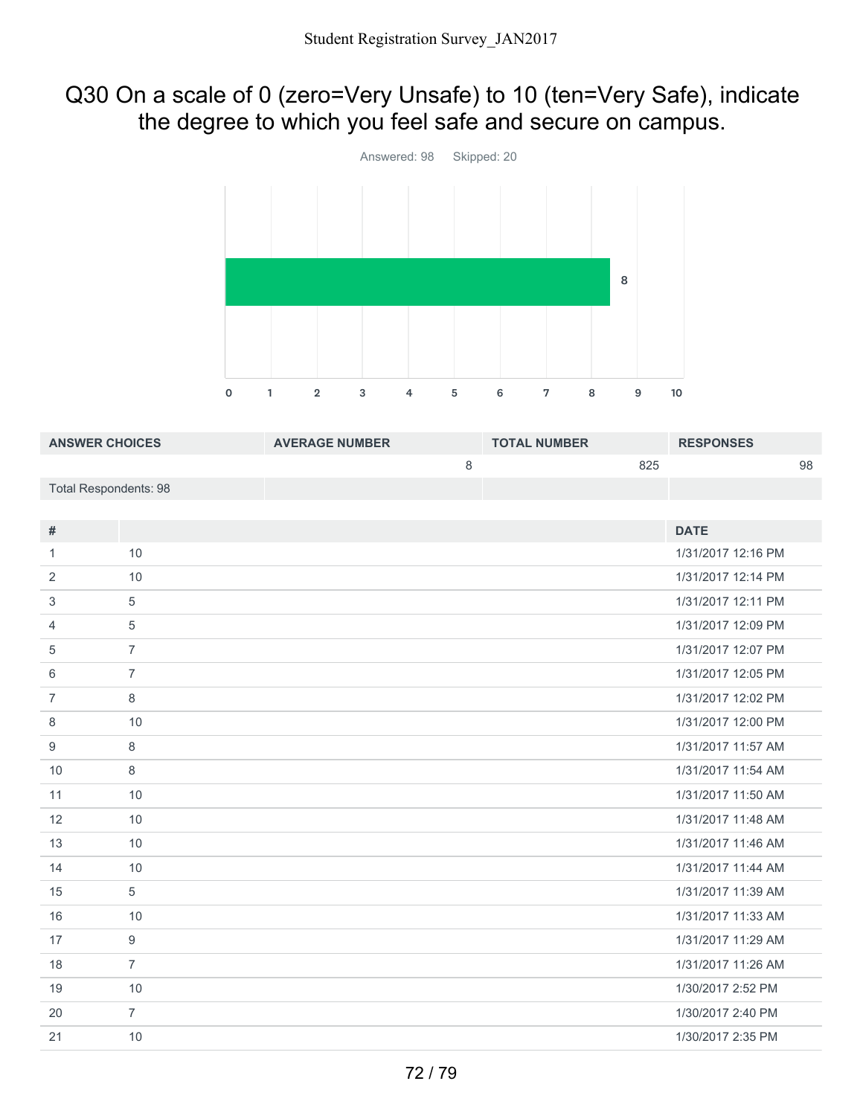### Q30 On a scale of 0 (zero=Very Unsafe) to 10 (ten=Very Safe), indicate the degree to which you feel safe and secure on campus.



| <b>ANSWER CHOICES</b>        |                | <b>AVERAGE NUMBER</b> |   | <b>TOTAL NUMBER</b> |     | <b>RESPONSES</b>   |    |
|------------------------------|----------------|-----------------------|---|---------------------|-----|--------------------|----|
|                              |                |                       | 8 |                     | 825 |                    | 98 |
| <b>Total Respondents: 98</b> |                |                       |   |                     |     |                    |    |
|                              |                |                       |   |                     |     |                    |    |
| #                            |                |                       |   |                     |     | <b>DATE</b>        |    |
| 1                            | 10             |                       |   |                     |     | 1/31/2017 12:16 PM |    |
| 2                            | 10             |                       |   |                     |     | 1/31/2017 12:14 PM |    |
| 3                            | $\sqrt{5}$     |                       |   |                     |     | 1/31/2017 12:11 PM |    |
| 4                            | 5              |                       |   |                     |     | 1/31/2017 12:09 PM |    |
| 5                            | $\overline{7}$ |                       |   |                     |     | 1/31/2017 12:07 PM |    |
| 6                            | $\overline{7}$ |                       |   |                     |     | 1/31/2017 12:05 PM |    |
| $\overline{7}$               | $\,8\,$        |                       |   |                     |     | 1/31/2017 12:02 PM |    |
| 8                            | 10             |                       |   |                     |     | 1/31/2017 12:00 PM |    |
| 9                            | $\,8\,$        |                       |   |                     |     | 1/31/2017 11:57 AM |    |
| 10                           | 8              |                       |   |                     |     | 1/31/2017 11:54 AM |    |
| 11                           | 10             |                       |   |                     |     | 1/31/2017 11:50 AM |    |
| 12                           | 10             |                       |   |                     |     | 1/31/2017 11:48 AM |    |
| 13                           | 10             |                       |   |                     |     | 1/31/2017 11:46 AM |    |
| 14                           | 10             |                       |   |                     |     | 1/31/2017 11:44 AM |    |
| 15                           | 5              |                       |   |                     |     | 1/31/2017 11:39 AM |    |
| 16                           | 10             |                       |   |                     |     | 1/31/2017 11:33 AM |    |
| 17                           | $\overline{9}$ |                       |   |                     |     | 1/31/2017 11:29 AM |    |
| 18                           | $\overline{7}$ |                       |   |                     |     | 1/31/2017 11:26 AM |    |
| 19                           | 10             |                       |   |                     |     | 1/30/2017 2:52 PM  |    |
| 20                           | $\overline{7}$ |                       |   |                     |     | 1/30/2017 2:40 PM  |    |
| 21                           | 10             |                       |   |                     |     | 1/30/2017 2:35 PM  |    |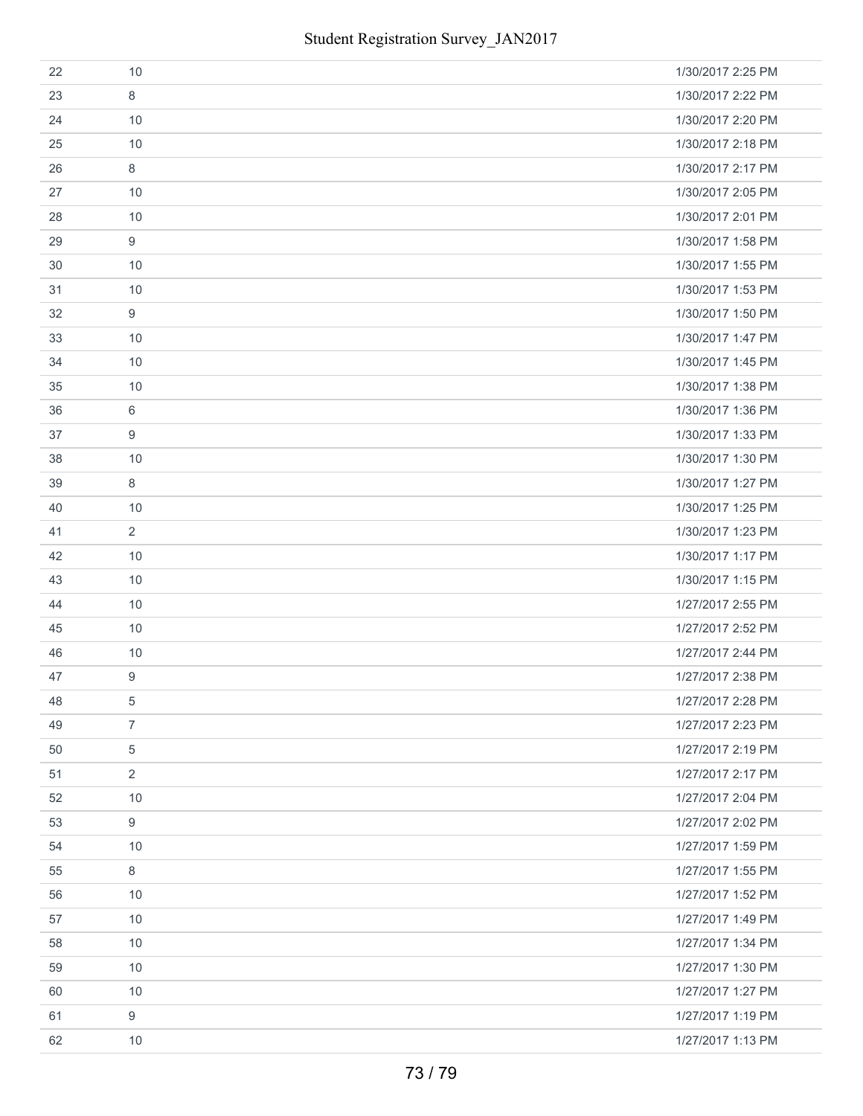| 22 | 10             | 1/30/2017 2:25 PM |
|----|----------------|-------------------|
| 23 | $\,8\,$        | 1/30/2017 2:22 PM |
| 24 | 10             | 1/30/2017 2:20 PM |
| 25 | 10             | 1/30/2017 2:18 PM |
| 26 | $\,8\,$        | 1/30/2017 2:17 PM |
| 27 | 10             | 1/30/2017 2:05 PM |
| 28 | 10             | 1/30/2017 2:01 PM |
| 29 | $9\,$          | 1/30/2017 1:58 PM |
| 30 | 10             | 1/30/2017 1:55 PM |
| 31 | 10             | 1/30/2017 1:53 PM |
| 32 | $9\,$          | 1/30/2017 1:50 PM |
| 33 | 10             | 1/30/2017 1:47 PM |
| 34 | 10             | 1/30/2017 1:45 PM |
| 35 | 10             | 1/30/2017 1:38 PM |
| 36 | 6              | 1/30/2017 1:36 PM |
| 37 | 9              | 1/30/2017 1:33 PM |
| 38 | 10             | 1/30/2017 1:30 PM |
| 39 | $\,8\,$        | 1/30/2017 1:27 PM |
| 40 | 10             | 1/30/2017 1:25 PM |
| 41 | $\overline{2}$ | 1/30/2017 1:23 PM |
| 42 | 10             | 1/30/2017 1:17 PM |
| 43 | 10             | 1/30/2017 1:15 PM |
| 44 | 10             | 1/27/2017 2:55 PM |
| 45 | 10             | 1/27/2017 2:52 PM |
| 46 | 10             | 1/27/2017 2:44 PM |
| 47 | 9              | 1/27/2017 2:38 PM |
| 48 | 5              | 1/27/2017 2:28 PM |
| 49 | $\overline{7}$ | 1/27/2017 2:23 PM |
| 50 | 5              | 1/27/2017 2:19 PM |
| 51 | $\overline{2}$ | 1/27/2017 2:17 PM |
| 52 | 10             | 1/27/2017 2:04 PM |
| 53 | 9              | 1/27/2017 2:02 PM |
| 54 | 10             | 1/27/2017 1:59 PM |
| 55 | $\,8\,$        | 1/27/2017 1:55 PM |
| 56 | 10             | 1/27/2017 1:52 PM |
| 57 | 10             | 1/27/2017 1:49 PM |
| 58 | 10             | 1/27/2017 1:34 PM |
| 59 | 10             | 1/27/2017 1:30 PM |
| 60 | 10             | 1/27/2017 1:27 PM |
| 61 | $9\,$          | 1/27/2017 1:19 PM |
| 62 | 10             | 1/27/2017 1:13 PM |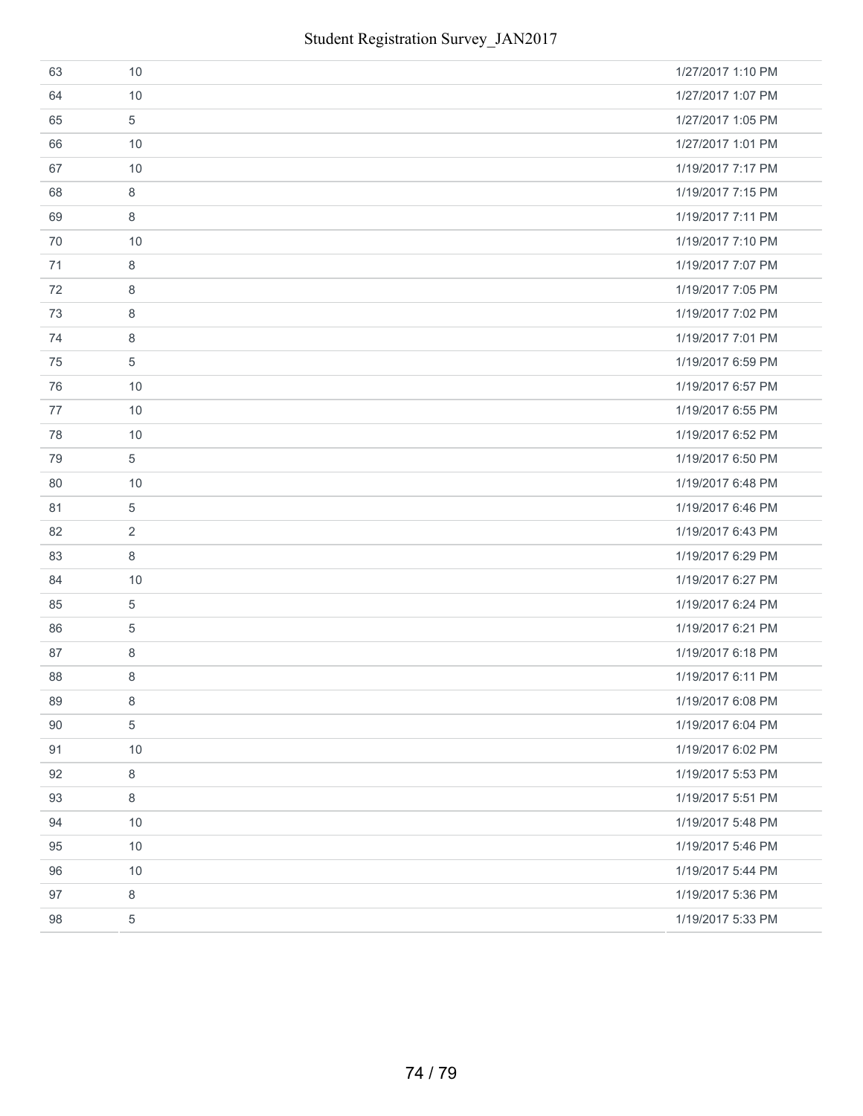| 63 | 10             | 1/27/2017 1:10 PM |
|----|----------------|-------------------|
| 64 | 10             | 1/27/2017 1:07 PM |
| 65 | 5              | 1/27/2017 1:05 PM |
| 66 | 10             | 1/27/2017 1:01 PM |
| 67 | 10             | 1/19/2017 7:17 PM |
| 68 | 8              | 1/19/2017 7:15 PM |
| 69 | 8              | 1/19/2017 7:11 PM |
| 70 | 10             | 1/19/2017 7:10 PM |
| 71 | 8              | 1/19/2017 7:07 PM |
| 72 | 8              | 1/19/2017 7:05 PM |
| 73 | 8              | 1/19/2017 7:02 PM |
| 74 | 8              | 1/19/2017 7:01 PM |
| 75 | 5              | 1/19/2017 6:59 PM |
| 76 | 10             | 1/19/2017 6:57 PM |
| 77 | 10             | 1/19/2017 6:55 PM |
| 78 | 10             | 1/19/2017 6:52 PM |
| 79 | 5              | 1/19/2017 6:50 PM |
| 80 | 10             | 1/19/2017 6:48 PM |
| 81 | 5              | 1/19/2017 6:46 PM |
| 82 | 2              | 1/19/2017 6:43 PM |
| 83 | 8              | 1/19/2017 6:29 PM |
| 84 | 10             | 1/19/2017 6:27 PM |
| 85 | $\overline{5}$ | 1/19/2017 6:24 PM |
| 86 | 5              | 1/19/2017 6:21 PM |
| 87 | $\,8\,$        | 1/19/2017 6:18 PM |
| 88 | 8              | 1/19/2017 6:11 PM |
| 89 | 8              | 1/19/2017 6:08 PM |
| 90 | 5              | 1/19/2017 6:04 PM |
| 91 | 10             | 1/19/2017 6:02 PM |
| 92 | 8              | 1/19/2017 5:53 PM |
| 93 | $\,8\,$        | 1/19/2017 5:51 PM |
| 94 | 10             | 1/19/2017 5:48 PM |
| 95 | 10             | 1/19/2017 5:46 PM |
| 96 | 10             | 1/19/2017 5:44 PM |
| 97 | 8              | 1/19/2017 5:36 PM |
| 98 | 5              | 1/19/2017 5:33 PM |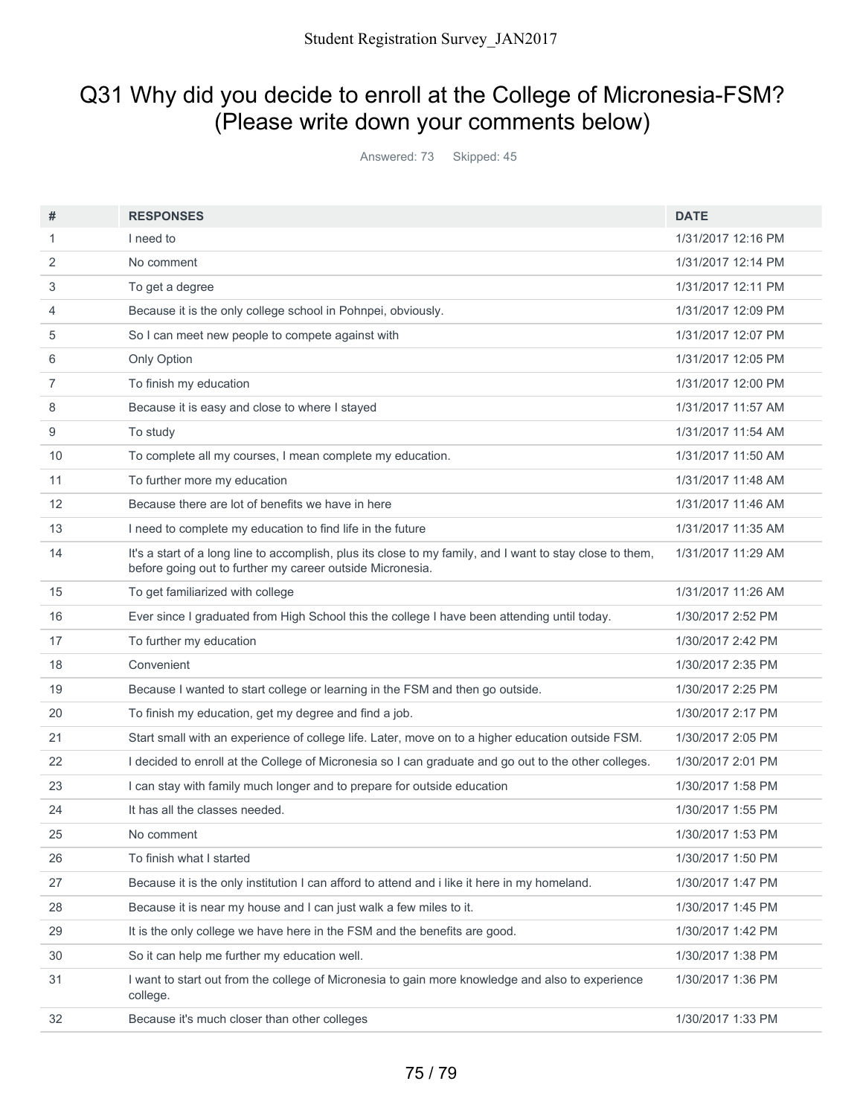# Q31 Why did you decide to enroll at the College of Micronesia-FSM? (Please write down your comments below)

Answered: 73 Skipped: 45

| #  | <b>RESPONSES</b>                                                                                                                                                       | <b>DATE</b>        |
|----|------------------------------------------------------------------------------------------------------------------------------------------------------------------------|--------------------|
| 1  | I need to                                                                                                                                                              | 1/31/2017 12:16 PM |
| 2  | No comment                                                                                                                                                             | 1/31/2017 12:14 PM |
| 3  | To get a degree                                                                                                                                                        | 1/31/2017 12:11 PM |
| 4  | Because it is the only college school in Pohnpei, obviously.                                                                                                           | 1/31/2017 12:09 PM |
| 5  | So I can meet new people to compete against with                                                                                                                       | 1/31/2017 12:07 PM |
| 6  | Only Option                                                                                                                                                            | 1/31/2017 12:05 PM |
| 7  | To finish my education                                                                                                                                                 | 1/31/2017 12:00 PM |
| 8  | Because it is easy and close to where I stayed                                                                                                                         | 1/31/2017 11:57 AM |
| 9  | To study                                                                                                                                                               | 1/31/2017 11:54 AM |
| 10 | To complete all my courses, I mean complete my education.                                                                                                              | 1/31/2017 11:50 AM |
| 11 | To further more my education                                                                                                                                           | 1/31/2017 11:48 AM |
| 12 | Because there are lot of benefits we have in here                                                                                                                      | 1/31/2017 11:46 AM |
| 13 | I need to complete my education to find life in the future                                                                                                             | 1/31/2017 11:35 AM |
| 14 | It's a start of a long line to accomplish, plus its close to my family, and I want to stay close to them,<br>before going out to further my career outside Micronesia. | 1/31/2017 11:29 AM |
| 15 | To get familiarized with college                                                                                                                                       | 1/31/2017 11:26 AM |
| 16 | Ever since I graduated from High School this the college I have been attending until today.                                                                            | 1/30/2017 2:52 PM  |
| 17 | To further my education                                                                                                                                                | 1/30/2017 2:42 PM  |
| 18 | Convenient                                                                                                                                                             | 1/30/2017 2:35 PM  |
| 19 | Because I wanted to start college or learning in the FSM and then go outside.                                                                                          | 1/30/2017 2:25 PM  |
| 20 | To finish my education, get my degree and find a job.                                                                                                                  | 1/30/2017 2:17 PM  |
| 21 | Start small with an experience of college life. Later, move on to a higher education outside FSM.                                                                      | 1/30/2017 2:05 PM  |
| 22 | I decided to enroll at the College of Micronesia so I can graduate and go out to the other colleges.                                                                   | 1/30/2017 2:01 PM  |
| 23 | I can stay with family much longer and to prepare for outside education                                                                                                | 1/30/2017 1:58 PM  |
| 24 | It has all the classes needed.                                                                                                                                         | 1/30/2017 1:55 PM  |
| 25 | No comment                                                                                                                                                             | 1/30/2017 1:53 PM  |
| 26 | To finish what I started                                                                                                                                               | 1/30/2017 1:50 PM  |
| 27 | Because it is the only institution I can afford to attend and i like it here in my homeland.                                                                           | 1/30/2017 1:47 PM  |
| 28 | Because it is near my house and I can just walk a few miles to it.                                                                                                     | 1/30/2017 1:45 PM  |
| 29 | It is the only college we have here in the FSM and the benefits are good.                                                                                              | 1/30/2017 1:42 PM  |
| 30 | So it can help me further my education well.                                                                                                                           | 1/30/2017 1:38 PM  |
| 31 | I want to start out from the college of Micronesia to gain more knowledge and also to experience<br>college.                                                           | 1/30/2017 1:36 PM  |
| 32 | Because it's much closer than other colleges                                                                                                                           | 1/30/2017 1:33 PM  |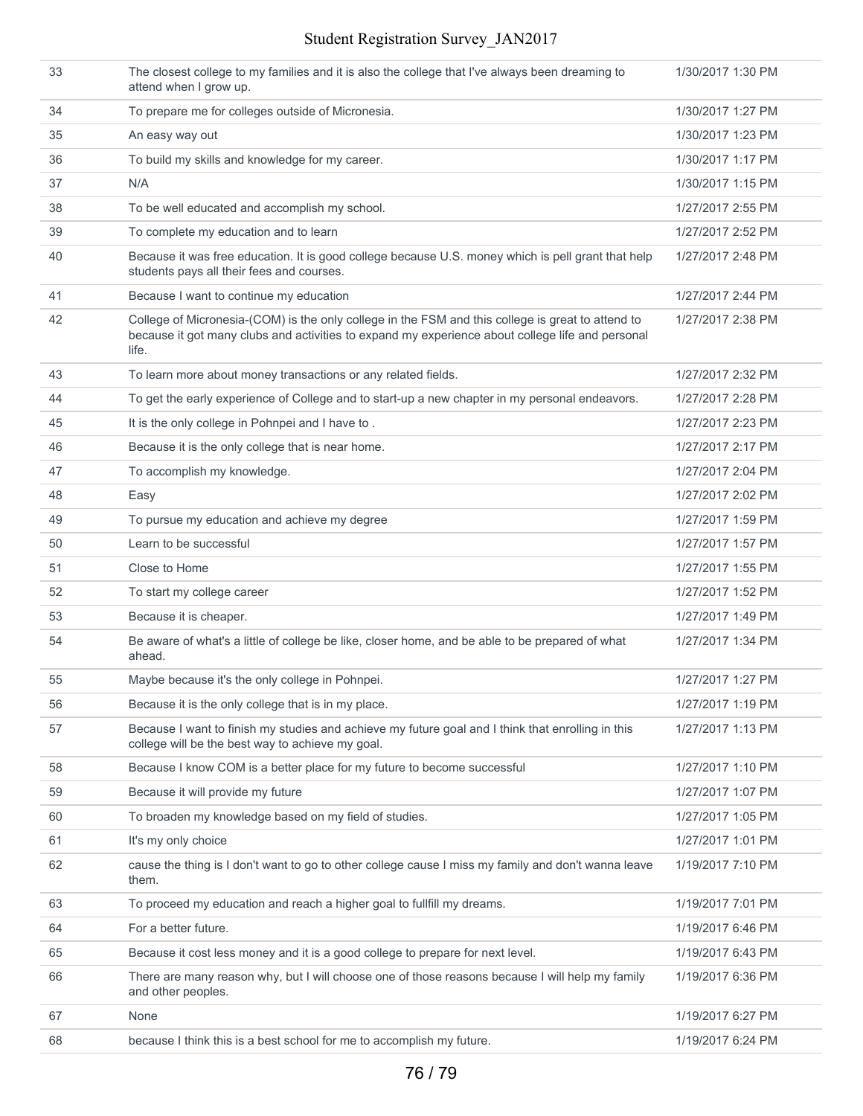### Student Registration Survey\_JAN2017

| 33 | The closest college to my families and it is also the college that I've always been dreaming to<br>attend when I grow up.                                                                                      | 1/30/2017 1:30 PM |
|----|----------------------------------------------------------------------------------------------------------------------------------------------------------------------------------------------------------------|-------------------|
| 34 | To prepare me for colleges outside of Micronesia.                                                                                                                                                              | 1/30/2017 1:27 PM |
| 35 | An easy way out                                                                                                                                                                                                | 1/30/2017 1:23 PM |
| 36 | To build my skills and knowledge for my career.                                                                                                                                                                | 1/30/2017 1:17 PM |
| 37 | N/A                                                                                                                                                                                                            | 1/30/2017 1:15 PM |
| 38 | To be well educated and accomplish my school.                                                                                                                                                                  | 1/27/2017 2:55 PM |
| 39 | To complete my education and to learn                                                                                                                                                                          | 1/27/2017 2:52 PM |
| 40 | Because it was free education. It is good college because U.S. money which is pell grant that help<br>students pays all their fees and courses.                                                                | 1/27/2017 2:48 PM |
| 41 | Because I want to continue my education                                                                                                                                                                        | 1/27/2017 2:44 PM |
| 42 | College of Micronesia-(COM) is the only college in the FSM and this college is great to attend to<br>because it got many clubs and activities to expand my experience about college life and personal<br>life. | 1/27/2017 2:38 PM |
| 43 | To learn more about money transactions or any related fields.                                                                                                                                                  | 1/27/2017 2:32 PM |
| 44 | To get the early experience of College and to start-up a new chapter in my personal endeavors.                                                                                                                 | 1/27/2017 2:28 PM |
| 45 | It is the only college in Pohnpei and I have to.                                                                                                                                                               | 1/27/2017 2:23 PM |
| 46 | Because it is the only college that is near home.                                                                                                                                                              | 1/27/2017 2:17 PM |
| 47 | To accomplish my knowledge.                                                                                                                                                                                    | 1/27/2017 2:04 PM |
| 48 | Easy                                                                                                                                                                                                           | 1/27/2017 2:02 PM |
| 49 | To pursue my education and achieve my degree                                                                                                                                                                   | 1/27/2017 1:59 PM |
| 50 | Learn to be successful                                                                                                                                                                                         | 1/27/2017 1:57 PM |
| 51 | Close to Home                                                                                                                                                                                                  | 1/27/2017 1:55 PM |
| 52 | To start my college career                                                                                                                                                                                     | 1/27/2017 1:52 PM |
| 53 | Because it is cheaper.                                                                                                                                                                                         | 1/27/2017 1:49 PM |
| 54 | Be aware of what's a little of college be like, closer home, and be able to be prepared of what<br>ahead.                                                                                                      | 1/27/2017 1:34 PM |
| 55 | Maybe because it's the only college in Pohnpei.                                                                                                                                                                | 1/27/2017 1:27 PM |
| 56 | Because it is the only college that is in my place.                                                                                                                                                            | 1/27/2017 1:19 PM |
| 57 | Because I want to finish my studies and achieve my future goal and I think that enrolling in this<br>college will be the best way to achieve my goal.                                                          | 1/27/2017 1:13 PM |
| 58 | Because I know COM is a better place for my future to become successful                                                                                                                                        | 1/27/2017 1:10 PM |
| 59 | Because it will provide my future                                                                                                                                                                              | 1/27/2017 1:07 PM |
| 60 | To broaden my knowledge based on my field of studies.                                                                                                                                                          | 1/27/2017 1:05 PM |
| 61 | It's my only choice                                                                                                                                                                                            | 1/27/2017 1:01 PM |
| 62 | cause the thing is I don't want to go to other college cause I miss my family and don't wanna leave<br>them.                                                                                                   | 1/19/2017 7:10 PM |
| 63 | To proceed my education and reach a higher goal to fullfill my dreams.                                                                                                                                         | 1/19/2017 7:01 PM |
| 64 | For a better future.                                                                                                                                                                                           | 1/19/2017 6:46 PM |
| 65 | Because it cost less money and it is a good college to prepare for next level.                                                                                                                                 | 1/19/2017 6:43 PM |
| 66 | There are many reason why, but I will choose one of those reasons because I will help my family<br>and other peoples.                                                                                          | 1/19/2017 6:36 PM |
| 67 | None                                                                                                                                                                                                           | 1/19/2017 6:27 PM |
| 68 | because I think this is a best school for me to accomplish my future.                                                                                                                                          | 1/19/2017 6:24 PM |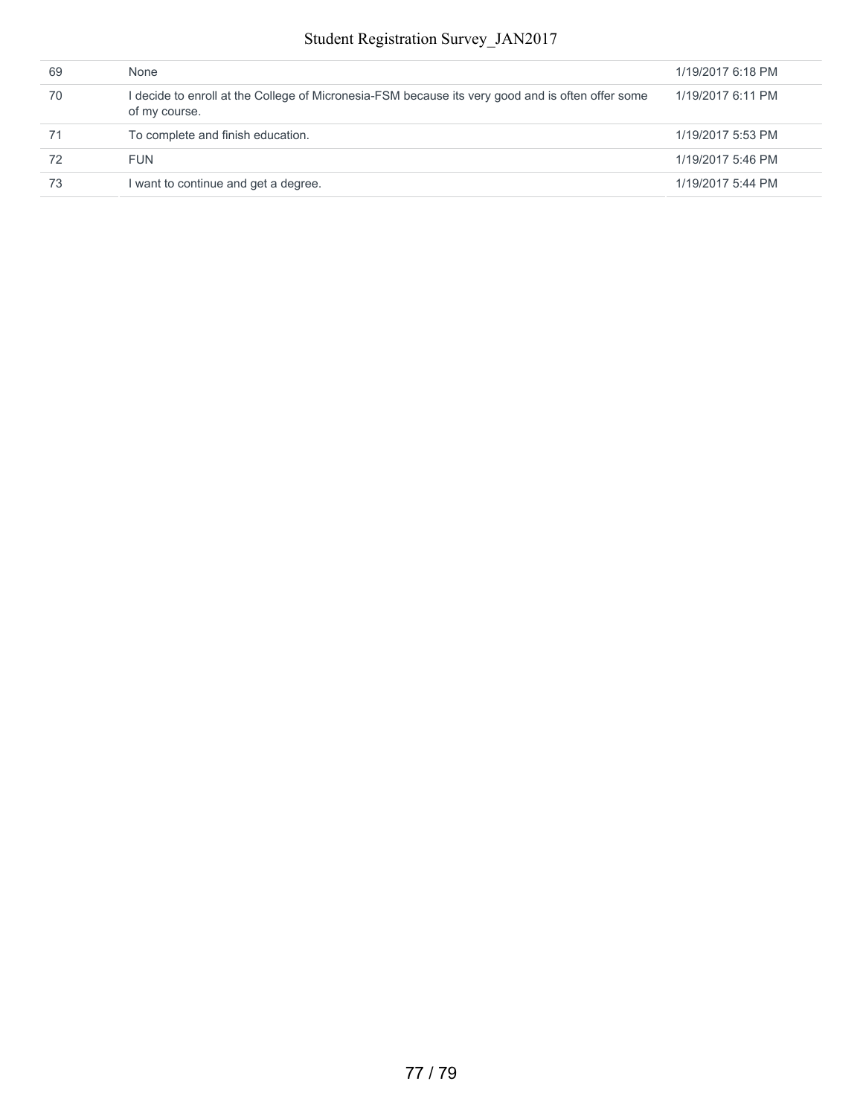### Student Registration Survey\_JAN2017

| 69 | None                                                                                                               | 1/19/2017 6:18 PM |
|----|--------------------------------------------------------------------------------------------------------------------|-------------------|
| 70 | l decide to enroll at the College of Micronesia-FSM because its very good and is often offer some<br>of my course. | 1/19/2017 6:11 PM |
| 71 | To complete and finish education.                                                                                  | 1/19/2017 5:53 PM |
| 72 | <b>FUN</b>                                                                                                         | 1/19/2017 5:46 PM |
| 73 | I want to continue and get a degree.                                                                               | 1/19/2017 5:44 PM |
|    |                                                                                                                    |                   |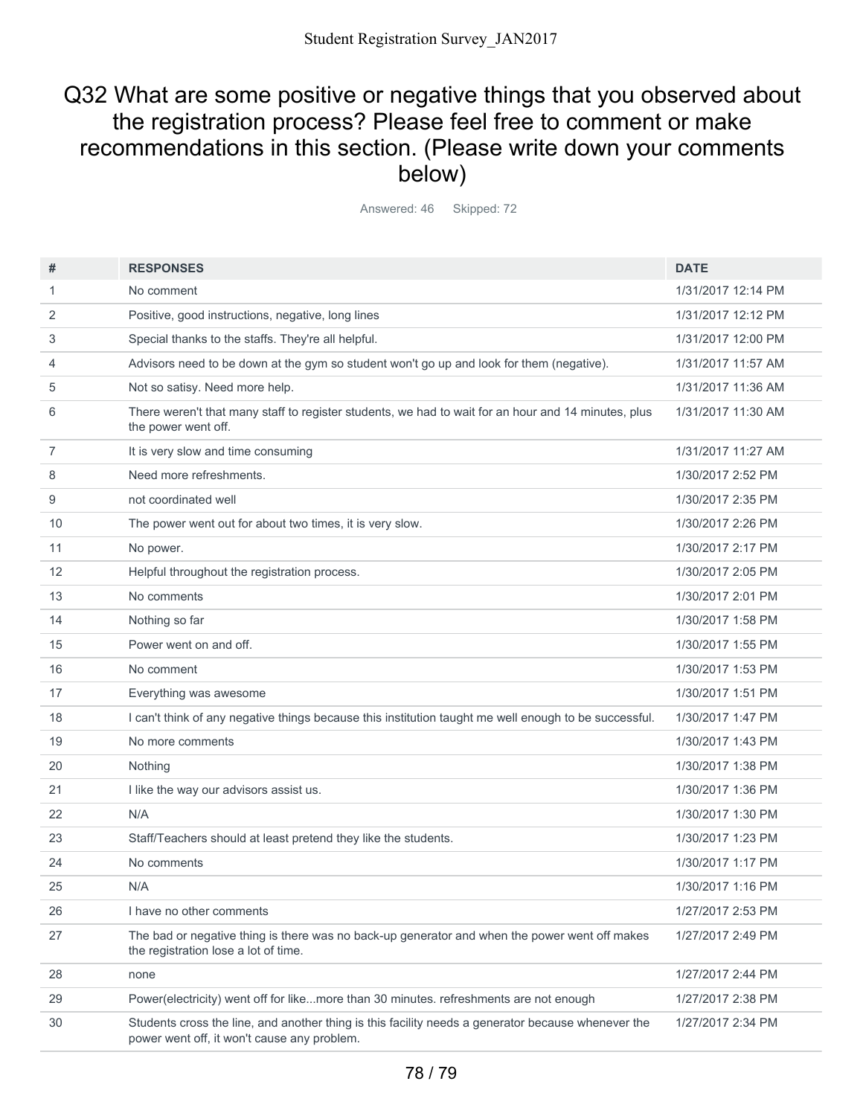## Q32 What are some positive or negative things that you observed about the registration process? Please feel free to comment or make recommendations in this section. (Please write down your comments below)

Answered: 46 Skipped: 72

| #              | <b>RESPONSES</b>                                                                                                                                  | <b>DATE</b>        |
|----------------|---------------------------------------------------------------------------------------------------------------------------------------------------|--------------------|
| 1              | No comment                                                                                                                                        | 1/31/2017 12:14 PM |
| 2              | Positive, good instructions, negative, long lines                                                                                                 | 1/31/2017 12:12 PM |
| 3              | Special thanks to the staffs. They're all helpful.                                                                                                | 1/31/2017 12:00 PM |
| 4              | Advisors need to be down at the gym so student won't go up and look for them (negative).                                                          | 1/31/2017 11:57 AM |
| 5              | Not so satisy. Need more help.                                                                                                                    | 1/31/2017 11:36 AM |
| 6              | There weren't that many staff to register students, we had to wait for an hour and 14 minutes, plus<br>the power went off.                        | 1/31/2017 11:30 AM |
| $\overline{7}$ | It is very slow and time consuming                                                                                                                | 1/31/2017 11:27 AM |
| 8              | Need more refreshments.                                                                                                                           | 1/30/2017 2:52 PM  |
| 9              | not coordinated well                                                                                                                              | 1/30/2017 2:35 PM  |
| 10             | The power went out for about two times, it is very slow.                                                                                          | 1/30/2017 2:26 PM  |
| 11             | No power.                                                                                                                                         | 1/30/2017 2:17 PM  |
| 12             | Helpful throughout the registration process.                                                                                                      | 1/30/2017 2:05 PM  |
| 13             | No comments                                                                                                                                       | 1/30/2017 2:01 PM  |
| 14             | Nothing so far                                                                                                                                    | 1/30/2017 1:58 PM  |
| 15             | Power went on and off.                                                                                                                            | 1/30/2017 1:55 PM  |
| 16             | No comment                                                                                                                                        | 1/30/2017 1:53 PM  |
| 17             | Everything was awesome                                                                                                                            | 1/30/2017 1:51 PM  |
| 18             | I can't think of any negative things because this institution taught me well enough to be successful.                                             | 1/30/2017 1:47 PM  |
| 19             | No more comments                                                                                                                                  | 1/30/2017 1:43 PM  |
| 20             | Nothing                                                                                                                                           | 1/30/2017 1:38 PM  |
| 21             | I like the way our advisors assist us.                                                                                                            | 1/30/2017 1:36 PM  |
| 22             | N/A                                                                                                                                               | 1/30/2017 1:30 PM  |
| 23             | Staff/Teachers should at least pretend they like the students.                                                                                    | 1/30/2017 1:23 PM  |
| 24             | No comments                                                                                                                                       | 1/30/2017 1:17 PM  |
| 25             | N/A                                                                                                                                               | 1/30/2017 1:16 PM  |
| 26             | I have no other comments                                                                                                                          | 1/27/2017 2:53 PM  |
| 27             | The bad or negative thing is there was no back-up generator and when the power went off makes<br>the registration lose a lot of time.             | 1/27/2017 2:49 PM  |
| 28             | none                                                                                                                                              | 1/27/2017 2:44 PM  |
| 29             | Power(electricity) went off for likemore than 30 minutes. refreshments are not enough                                                             | 1/27/2017 2:38 PM  |
| 30             | Students cross the line, and another thing is this facility needs a generator because whenever the<br>power went off, it won't cause any problem. | 1/27/2017 2:34 PM  |